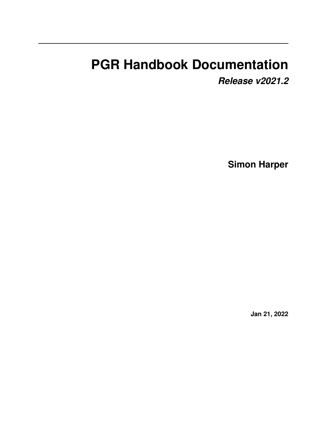# **PGR Handbook Documentation**

*Release v2021.2*

**Simon Harper**

**Jan 21, 2022**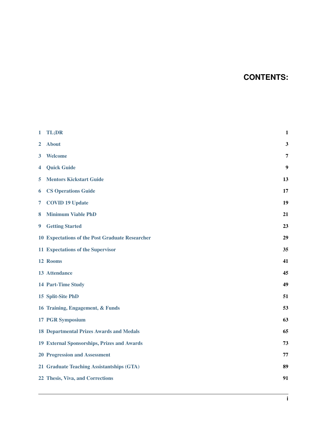# **CONTENTS:**

| $\mathbf{1}$ | TL;DR                                                  | $\mathbf{1}$   |
|--------------|--------------------------------------------------------|----------------|
| $\mathbf{2}$ | <b>About</b>                                           | $\mathbf{3}$   |
| 3            | <b>Welcome</b>                                         | $\overline{7}$ |
| 4            | <b>Quick Guide</b>                                     | 9              |
| 5            | <b>Mentors Kickstart Guide</b>                         | 13             |
| 6            | <b>CS Operations Guide</b>                             | 17             |
| 7            | <b>COVID 19 Update</b>                                 | 19             |
| 8            | <b>Minimum Viable PhD</b>                              | 21             |
| 9            | <b>Getting Started</b>                                 | 23             |
|              | <b>10 Expectations of the Post Graduate Researcher</b> | 29             |
|              | 11 Expectations of the Supervisor                      | 35             |
|              | 12 Rooms                                               | 41             |
|              | 13 Attendance                                          | 45             |
|              | 14 Part-Time Study                                     | 49             |
|              | 15 Split-Site PhD                                      | 51             |
|              | 16 Training, Engagement, & Funds                       | 53             |
|              | <b>17 PGR Symposium</b>                                | 63             |
|              | <b>18 Departmental Prizes Awards and Medals</b>        | 65             |
|              | 19 External Sponsorships, Prizes and Awards            | 73             |
|              | <b>20 Progression and Assessment</b>                   | 77             |
|              | 21 Graduate Teaching Assistantships (GTA)              | 89             |
|              | 22 Thesis, Viva, and Corrections                       | 91             |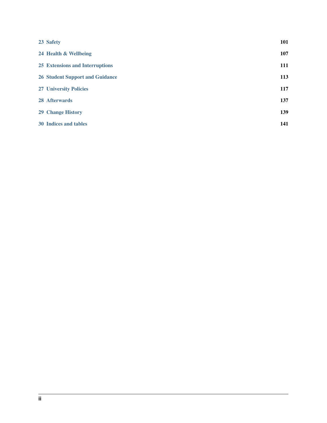| 23 Safety                              | 101 |
|----------------------------------------|-----|
| 24 Health & Wellbeing                  | 107 |
| 25 Extensions and Interruptions        | 111 |
| <b>26 Student Support and Guidance</b> | 113 |
| <b>27 University Policies</b>          | 117 |
| 28 Afterwards                          | 137 |
| <b>29 Change History</b>               | 139 |
| 30 Indices and tables                  | 141 |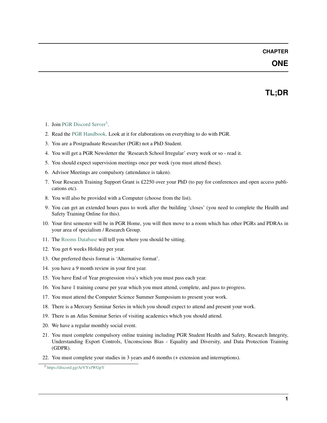### **ONE**

# **TL;DR**

- <span id="page-4-0"></span>1. Join [PGR Discord Server](https://discord.gg/ArVYxfWGpY)<sup>[3](#page-4-1)</sup>.
- 2. Read the [PGR Handbook.](https://studentnet.cs.manchester.ac.uk/pgr/handbook/) Look at it for elaborations on everything to do with PGR.
- 3. You are a Postgraduate Researcher (PGR) not a PhD Student.
- 4. You will get a PGR Newsletter the 'Research School Irregular' every week or so read it.
- 5. You should expect supervision meetings once per week (you must attend these).
- 6. Advisor Meetings are compulsory (attendance is taken).
- 7. Your Research Training Support Grant is £2250 over your PhD (to pay for conferences and open access publications etc).
- 8. You will also be provided with a Computer (choose from the list).
- 9. You can get an extended hours pass to work after the building 'closes' (you need to complete the Health and Safety Training Online for this).
- 10. Your first semester will be in PGR Home, you will then move to a room which has other PGRs and PDRAs in your area of specialism / Research Group.
- 11. The [Rooms Database](https://rooms.cs.manchester.ac.uk/) will tell you where you should be sitting.
- 12. You get 6 weeks Holiday per year.
- 13. Our preferred thesis format is 'Alternative format'.
- 14. you have a 9 month review in your first year.
- 15. You have End of Year progression viva's which you must pass each year.
- 16. You have 1 training course per year which you must attend, complete, and pass to progress.
- 17. You must attend the Computer Science Summer Sumposium to present your work.
- 18. There is a Mercury Seminar Series in which you shoudl expect to attend and present your work.
- 19. There is an Atlas Seminar Series of visiting academics which you should attend.
- 20. We have a regular monthly social event.
- 21. You must complete compulsory online training including PGR Student Health and Safety, Research Integrity, Understanding Export Controls, Unconscious Bias - Equality and Diversity, and Data Protection Training (GDPR).
- 22. You must complete your studies in 3 years and 6 months (+ extension and interruptions).

<span id="page-4-1"></span><sup>3</sup> <https://discord.gg/ArVYxfWGpY>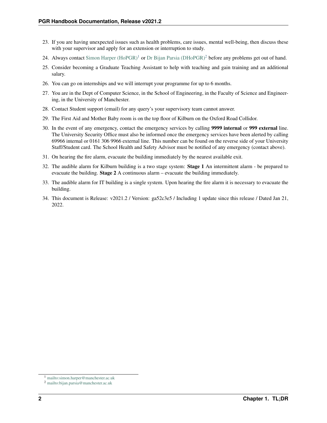- 23. If you are having unexpected issues such as health problems, care issues, mental well-being, then discuss these with your supervisor and apply for an extension or interruption to study.
- [2](#page-5-1)4. Always contact Simon Harper  $(HoPGR)^1$  $(HoPGR)^1$  or [Dr Bijan Parsia \(DHoPGR\)](mailto:bijan.parsia@manchester.ac.uk)<sup>2</sup> before any problems get out of hand.
- 25. Consider becoming a Graduate Teaching Assistant to help with teaching and gain training and an additional salary.
- 26. You can go on internships and we will interrupt your programme for up to 6 months.
- 27. You are in the Dept of Computer Science, in the School of Engineering, in the Faculty of Science and Engineering, in the University of Manchester.
- 28. Contact Student support (email) for any query's your supervisory team cannot answer.
- 29. The First Aid and Mother Baby room is on the top floor of Kilburn on the Oxford Road Collidor.
- 30. In the event of any emergency, contact the emergency services by calling 9999 internal or 999 external line. The University Security Office must also be informed once the emergency services have been alerted by calling 69966 internal or 0161 306 9966 external line. This number can be found on the reverse side of your University Staff/Student card. The School Health and Safety Advisor must be notified of any emergency (contact above).
- 31. On hearing the fire alarm, evacuate the building immediately by the nearest available exit.
- 32. The audible alarm for Kilburn building is a two stage system: Stage 1 An intermittent alarm be prepared to evacuate the building. Stage 2 A continuous alarm – evacuate the building immediately.
- 33. The audible alarm for IT building is a single system. Upon hearing the fire alarm it is necessary to evacuate the building.
- 34. This document is Release: v2021.2 / Version: ga52c3e5 / Including 1 update since this release / Dated Jan 21, 2022.

<span id="page-5-0"></span><sup>1</sup> <mailto:simon.harper@manchester.ac.uk>

<span id="page-5-1"></span><sup>2</sup> <mailto:bijan.parsia@manchester.ac.uk>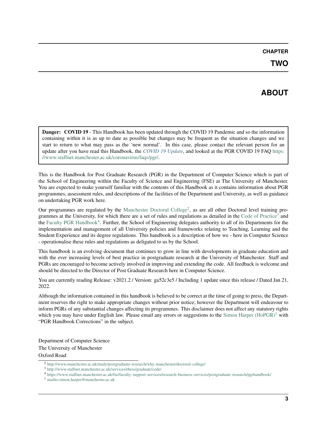# **ABOUT**

<span id="page-6-0"></span>Danger: COVID 19 - This Handbook has been updated through the COVID 19 Pandemic and so the information containing within it is as up to date as possible but changes may be frequent as the situation changes and we start to return to what may pass as the 'new normal'. In this case, please contact the relevant person for an update after you have read this Handbook, the *[COVID 19 Update](#page-22-0)*, and looked at the PGR COVID 19 FAQ [https:](https://www.staffnet.manchester.ac.uk/coronavirus/faqs/pgr/) [//www.staffnet.manchester.ac.uk/coronavirus/faqs/pgr/.](https://www.staffnet.manchester.ac.uk/coronavirus/faqs/pgr/)

This is the Handbook for Post Graduate Research (PGR) in the Department of Computer Science which is part of the School of Engineering within the Faculty of Science and Engineering (FSE) at The University of Manchester. You are expected to make yourself familiar with the contents of this Handbook as it contains information about PGR programmes, assessment rules, and descriptions of the facilities of the Department and University, as well as guidance on undertaking PGR work here.

Our programmes are regulated by the [Manchester Doctoral College](http://www.manchester.ac.uk/study/postgraduate-research/why-manchester/doctoral-college/)<sup>[2](#page-6-1)</sup>, as are all other Doctoral level training pro-grammes at the University, for which there are a set of rules and regulations as detailed in the [Code of Practice](http://www.staffnet.manchester.ac.uk/services/rbess/graduate/code/)<sup>[3](#page-6-2)</sup> and the [Faculty PGR Handbook](https://www.staffnet.manchester.ac.uk/fse/faculty-support-services/research-business-services/postgraduate-research/pgrhandbook/)<sup>[4](#page-6-3)</sup>. Further, the School of Engineering delegates authority to all of its Departments for the implementation and management of all University policies and frameworks relating to Teaching, Learning and the Student Experience and its degree regulations. This handbook is a description of how we - here in Computer Science - operationalise these rules and regulations as deligated to us by the School.

This handbook is an evolving document that continues to grow in line with developments in graduate education and with the ever increasing levels of best practice in postgraduate research at the University of Manchester. Staff and PGRs are encouraged to become actively involved in improving and extending the code. All feedback is welcome and should be directed to the Director of Post Graduate Research here in Computer Science.

You are currently reading Release:  $v2021.2$  / Version: ga52c3e5 / Including 1 update since this release / Dated Jan 21, 2022.

Although the information contained in this handbook is believed to be correct at the time of going to press, the Department reserves the right to make appropriate changes without prior notice; however the Department will endeavour to inform PGRs of any substantial changes affecting its programmes. This disclaimer does not affect any statutory rights which you may have under English law. Please email any errors or suggestions to the [Simon Harper \(HoPGR\)](mailto:simon.harper@manchester.ac.uk)<sup>[1](#page-6-4)</sup> with "PGR Handbook Corrections" in the subject.

Department of Computer Science The University of Manchester Oxford Road

<span id="page-6-1"></span><sup>2</sup> <http://www.manchester.ac.uk/study/postgraduate-research/why-manchester/doctoral-college/>

<span id="page-6-2"></span><sup>3</sup> <http://www.staffnet.manchester.ac.uk/services/rbess/graduate/code/>

<span id="page-6-3"></span><sup>4</sup> <https://www.staffnet.manchester.ac.uk/fse/faculty-support-services/research-business-services/postgraduate-research/pgrhandbook/>

<span id="page-6-4"></span><sup>1</sup> <mailto:simon.harper@manchester.ac.uk>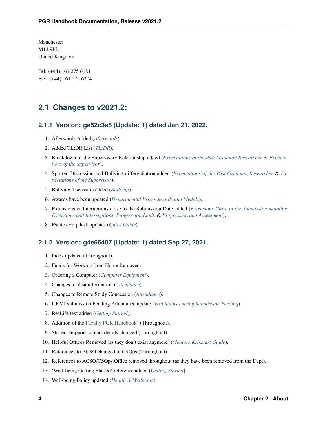Manchester M13 9PL United Kingdom

Tel: (+44) 161 275 6181 Fax: (+44) 161 275 6204

### **2.1 Changes to v2021.2:**

#### **2.1.1 Version: ga52c3e5 (Update: 1) dated Jan 21, 2022.**

- 1. Afterwards Added (*[Afterwards](#page-140-0)*).
- 2. Added TL;DR List (*[TL;DR](#page-4-0)*).
- 3. Breakdown of the Supervisory Relationship added (*[Expectations of the Post Graduate Researcher](#page-32-0)* & *[Expecta](#page-38-0)[tions of the Supervisor](#page-38-0)*).
- 4. Spirited Discussion and Bullying differentiation added (*[Expectations of the Post Graduate Researcher](#page-32-0)* & *[Ex](#page-38-0)[pectations of the Supervisor](#page-38-0)*).
- 5. Bullying discussion added (*[Bullying](#page-111-0)*).
- 6. Awards have been updated (*[Departmental Prizes Awards and Medals](#page-68-0)*).
- 7. Extensions or Interuptions close to the Submission Date added (*[Extensions Close to the Submission deadline](#page-115-0)*, *[Extensions and Interruptions](#page-114-0)*, *[Progression Limit](#page-90-0)*, & *[Progression and Assessment](#page-80-0)*).
- 8. Estates Helpdesk updates (*[Quick Guide](#page-12-0)*).

### **2.1.2 Version: g4e65407 (Update: 1) dated Sep 27, 2021.**

- 1. Index updated (Throughout).
- 2. Funds for Working from Home Removed.
- 3. Ordering a Computer (*[Computer Equipment](#page-63-0)*).
- 4. Changes to Visa information (*[Attendance](#page-48-0)*).
- 5. Changes to Remote Study Concession (*[Attendance](#page-48-0)*).
- 6. UKVI Submission Pending Attendance update (*[Visa Status During Submission Pending](#page-50-0)*).
- 7. ResLife text added (*[Getting Started](#page-26-0)*).
- 8. Addition of the [Faculty PGR Handbook](https://www.staffnet.manchester.ac.uk/fse/faculty-support-services/research-business-services/postgraduate-research/pgrhandbook/)<sup>4</sup> (Throughout).
- 9. Student Support contact details changed (Throughout).
- 10. Helpful Offices Removed (as they don't exist anymore) (*[Mentors Kickstart Guide](#page-16-0)*).
- 11. References to ACSO changed to CSOps (Throughout).
- 12. References to ACSO/CSOps Office removed throughout (as they have been removed from the Dept).
- 13. 'Well-being Getting Started' reference added (*[Getting Started](#page-26-0)*)
- 14. Well-being Policy updated (*[Health & Wellbeing](#page-110-0)*).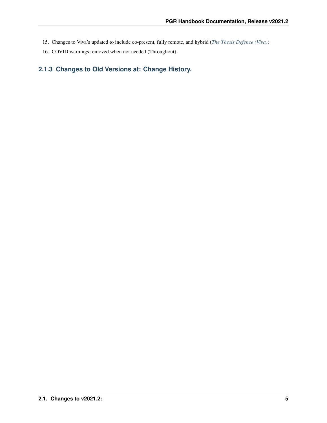- 15. Changes to Viva's updated to include co-present, fully remote, and hybrid (*[The Thesis Defence \(Viva\)](#page-101-0)*)
- 16. COVID warnings removed when not needed (Throughout).

### **2.1.3 Changes to Old Versions at: Change History.**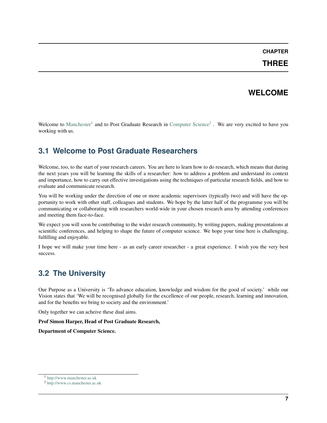### **THREE**

### **WELCOME**

<span id="page-10-0"></span>Welcome to [Manchester](http://www.manchester.ac.uk)<sup>[1](#page-10-1)</sup> and to Post Graduate Research in [Computer Science](http://www.cs.manchester.ac.uk)<sup>[2](#page-10-2)</sup>. We are very excited to have you working with us.

# **3.1 Welcome to Post Graduate Researchers**

Welcome, too, to the start of your research careers. You are here to learn how to do research, which means that during the next years you will be learning the skills of a researcher: how to address a problem and understand its context and importance, how to carry out effective investigations using the techniques of particular research fields, and how to evaluate and communicate research.

You will be working under the direction of one or more academic supervisors (typically two) and will have the opportunity to work with other staff, colleagues and students. We hope by the latter half of the programme you will be communicating or collaborating with researchers world-wide in your chosen research area by attending conferences and meeting them face-to-face.

We expect you will soon be contributing to the wider research community, by writing papers, making presentations at scientific conferences, and helping to shape the future of computer science. We hope your time here is challenging, fulfilling and enjoyable.

I hope we will make your time here - as an early career researcher - a great experience. I wish you the very best success.

# **3.2 The University**

Our Purpose as a University is 'To advance education, knowledge and wisdom for the good of society.' while our Vision states that 'We will be recognised globally for the excellence of our people, research, learning and innovation, and for the benefits we bring to society and the environment.'

Only together we can acheive these dual aims.

Prof Simon Harper, Head of Post Graduate Research,

Department of Computer Science.

<span id="page-10-1"></span><sup>1</sup> <http://www.manchester.ac.uk>

<span id="page-10-2"></span><sup>2</sup> <http://www.cs.manchester.ac.uk>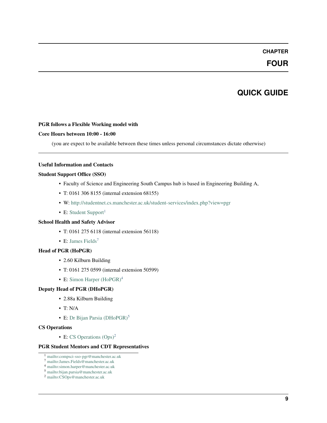### **FOUR**

# **QUICK GUIDE**

#### <span id="page-12-0"></span>PGR follows a Flexible Working model with

#### Core Hours between 10:00 - 16:00

(you are expect to be available between these times unless personal circumstances dictate otherwise)

#### Useful Information and Contacts

#### Student Support Office (SSO)

- Faculty of Science and Engineering South Campus hub is based in Engineering Building A,
- T: 0161 306 8155 (internal extension 68155)
- W: <http://studentnet.cs.manchester.ac.uk/student-services/index.php?view=pgr>
- E: [Student Support](mailto:compsci-sso-pgr@manchester.ac.uk)<sup>[1](#page-12-1)</sup>

#### School Health and Safety Advisor

- T: 0161 275 6118 (internal extension 56118)
- E: [James Fields](mailto:James.Fields@manchester.ac.uk)<sup>[7](#page-12-2)</sup>

#### Head of PGR (HoPGR)

- 2.60 Kilburn Building
- T: 0161 275 0599 (internal extension 50599)
- E: Simon Harper  $(HoPGR)^4$  $(HoPGR)^4$

#### Deputy Head of PGR (DHoPGR)

- 2.88a Kilburn Building
- T: N/A
- E: [Dr Bijan Parsia \(DHoPGR\)](mailto:bijan.parsia@manchester.ac.uk)<sup>[5](#page-12-4)</sup>

#### CS Operations

• E: CS Operations  $(Ops)^2$  $(Ops)^2$ 

#### PGR Student Mentors and CDT Representatives

- <span id="page-12-1"></span><sup>1</sup> <mailto:compsci-sso-pgr@manchester.ac.uk>
- <span id="page-12-2"></span><sup>7</sup> <mailto:James.Fields@manchester.ac.uk>
- <span id="page-12-3"></span><sup>4</sup> <mailto:simon.harper@manchester.ac.uk>
- <span id="page-12-5"></span><span id="page-12-4"></span><sup>5</sup> <mailto:bijan.parsia@manchester.ac.uk> <sup>2</sup> <mailto:CSOps@manchester.ac.uk>
	-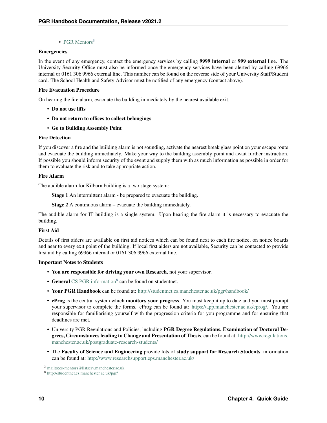• [PGR Mentors](mailto:cs-mentors@listserv.manchester.ac.uk) $3$ 

#### Emergencies

In the event of any emergency, contact the emergency services by calling 9999 internal or 999 external line. The University Security Office must also be informed once the emergency services have been alerted by calling 69966 internal or 0161 306 9966 external line. This number can be found on the reverse side of your University Staff/Student card. The School Health and Safety Advisor must be notified of any emergency (contact above).

#### Fire Evacuation Procedure

On hearing the fire alarm, evacuate the building immediately by the nearest available exit.

- Do not use lifts
- Do not return to offices to collect belongings
- Go to Building Assembly Point

#### Fire Detection

If you discover a fire and the building alarm is not sounding, activate the nearest break glass point on your escape route and evacuate the building immediately. Make your way to the building assembly point and await further instruction. If possible you should inform security of the event and supply them with as much information as possible in order for them to evaluate the risk and to take appropriate action.

#### Fire Alarm

The audible alarm for Kilburn building is a two stage system:

Stage 1 An intermittent alarm - be prepared to evacuate the building.

Stage 2 A continuous alarm – evacuate the building immediately.

The audible alarm for IT building is a single system. Upon hearing the fire alarm it is necessary to evacuate the building.

#### First Aid

Details of first aiders are available on first aid notices which can be found next to each fire notice, on notice boards and near to every exit point of the building. If local first aiders are not available, Security can be contacted to provide first aid by calling 69966 internal or 0161 306 9966 external line.

#### Important Notes to Students

- You are responsible for driving your own Research, not your supervisor.
- General [CS PGR information](http://studentnet.cs.manchester.ac.uk/pgr/) $8$  can be found on studentnet.
- Your PGR Handbook can be found at: <http://studentnet.cs.manchester.ac.uk/pgr/handbook/>
- eProg is the central system which monitors your progress. You must keep it up to date and you must prompt your supervisor to complete the forms. eProg can be found at: [https://app.manchester.ac.uk/eprog/.](https://app.manchester.ac.uk/eprog/) You are responsible for familiarising yourself with the progression criteria for you programme and for ensuring that deadlines are met.
- University PGR Regulations and Policies, including PGR Degree Regulations, Examination of Doctoral Degrees, Circumstances leading to Change and Presentation of Thesis, can be found at: [http://www.regulations.](http://www.regulations.manchester.ac.uk/postgraduate-research-students/) [manchester.ac.uk/postgraduate-research-students/](http://www.regulations.manchester.ac.uk/postgraduate-research-students/)
- The Faculty of Science and Engineering provide lots of study support for Research Students, information can be found at: <http://www.researchsupport.eps.manchester.ac.uk/>

<span id="page-13-0"></span><sup>3</sup> <mailto:cs-mentors@listserv.manchester.ac.uk>

<span id="page-13-1"></span><sup>8</sup> <http://studentnet.cs.manchester.ac.uk/pgr/>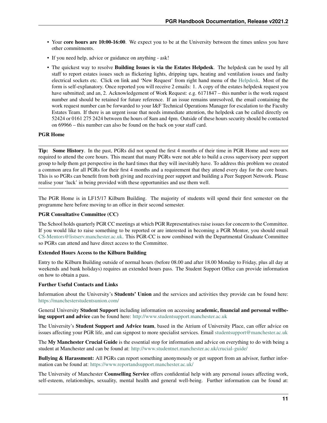- Your core hours are 10:00-16:00. We expect you to be at the University between the times unless you have other commitments.
- If you need help, advice or guidance on anything ask!
- The quickest way to resolve Building Issues is via the Estates Helpdesk. The helpdesk can be used by all staff to report estates issues such as flickering lights, dripping taps, heating and ventilation issues and faulty electrical sockets etc. Click on link and 'New Request' from right hand menu of the [Helpdesk.](https://www.estates.manchester.ac.uk/services/msu/helpdesk/) Most of the form is self-explanatory. Once reported you will receive 2 emails: 1. A copy of the estates helpdesk request you have submitted; and an, 2. Acknowledgement of Work Request: e.g. 6171847 – this number is the work request number and should be retained for future reference. If an issue remains unresolved, the email containing the work request number can be forwarded to your I&F Technical Operations Manager for escalation to the Faculty Estates Team. If there is an urgent issue that needs immediate attention, the helpdesk can be called directly on 52424 or 0161 275 2424 between the hours of 8am and 4pm. Outside of these hours security should be contacted on 69966 – this number can also be found on the back on your staff card.

#### PGR Home

Tip: Some History. In the past, PGRs did not spend the first 4 months of their time in PGR Home and were not required to attend the core hours. This meant that many PGRs were not able to build a cross supervisory peer support group to help them get perspective in the hard times that they will inevitably have. To address this problem we created a common area for all PGRs for their first 4 months and a requirement that they attend every day for the core hours. This is so PGRs can benefit from both giving and receiving peer support and building a Peer Support Network. Please realise your 'luck' in being provided with these opportunities and use them well.

The PGR Home is in LF15/17 Kilburn Building. The majority of students will spend their first semester on the programme here before moving to an office in their second semester.

#### PGR Consultative Committee (CC)

The School holds quarterly PGR CC meetings at which PGR Representatives raise issues for concern to the Committee. If you would like to raise something to be reported or are interested in becoming a PGR Mentor, you should email [CS-Mentors@listserv.manchester.ac.uk.](mailto:CS-Mentors@listserv.manchester.ac.uk) This PGR-CC is now combined with the Departmental Graduate Committee so PGRs can attend and have direct access to the Committee.

#### Extended Hours Access to the Kilburn Building

Entry to the Kilburn Building outside of normal hours (before 08.00 and after 18.00 Monday to Friday, plus all day at weekends and bank holidays) requires an extended hours pass. The Student Support Office can provide information on how to obtain a pass.

#### Further Useful Contacts and Links

Information about the University's Students' Union and the services and activities they provide can be found here: <https://manchesterstudentsunion.com/>

General University Student Support including information on accessing academic, financial and personal wellbeing support and advice can be found here: <http://www.studentsupport.manchester.ac.uk>

The University's Student Support and Advice team, based in the Atrium of University Place, can offer advice on issues affecting your PGR life, and can signpost to more specialist services. Email [studentsupport@manchester.ac.uk](mailto:studentsupport@manchester.ac.uk)

The My Manchester Crucial Guide is the essential stop for information and advice on everything to do with being a student at Manchester and can be found at: <http://www.studentnet.manchester.ac.uk/crucial-guide/>

Bullying & Harassment: All PGRs can report something anonymously or get support from an advisor, further information can be found at: <https://www.reportandsupport.manchester.ac.uk/>

The University of Manchester Counselling Service offers confidential help with any personal issues affecting work, self-esteem, relationships, sexuality, mental health and general well-being. Further information can be found at: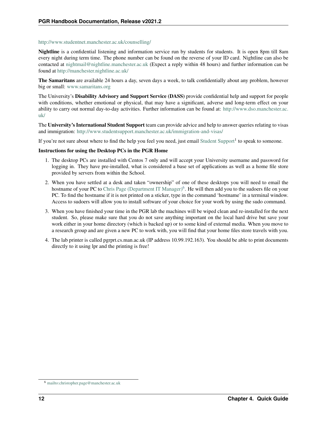#### <http://www.studentnet.manchester.ac.uk/counselling/>

Nightline is a confidential listening and information service run by students for students. It is open 8pm till 8am every night during term time. The phone number can be found on the reverse of your ID card. Nightline can also be contacted at [nightmail@nightline.manchester.ac.uk](mailto:nightmail@nightline.manchester.ac.uk) (Expect a reply within 48 hours) and further information can be found at <http://manchester.nightline.ac.uk/>

The Samaritans are available 24 hours a day, seven days a week, to talk confidentially about any problem, however big or small: [www.samaritans.org](http://www.samaritans.org)

The University's Disability Advisory and Support Service (DASS) provide confidential help and support for people with conditions, whether emotional or physical, that may have a significant, adverse and long-term effect on your ability to carry out normal day-to-day activities. Further information can be found at: [http://www.dso.manchester.ac.](http://www.dso.manchester.ac.uk/) [uk/](http://www.dso.manchester.ac.uk/)

The University's International Student Support team can provide advice and help to answer queries relating to visas and immigration: <http://www.studentsupport.manchester.ac.uk/immigration-and-visas/>

If you're not sure about where to find the help you feel you need, just email [Student Support](mailto:compsci-sso-pgr@manchester.ac.uk)<sup>1</sup> to speak to someone.

#### Instructions for using the Desktop PCs in the PGR Home

- 1. The desktop PCs are installed with Centos 7 only and will accept your University username and password for logging in. They have pre-installed, what is considered a base set of applications as well as a home file store provided by servers from within the School.
- 2. When you have settled at a desk and taken "ownership" of one of these desktops you will need to email the hostname of your PC to [Chris Page \(Department IT Manager\)](mailto:christopher.page@manchester.ac.uk)<sup>[6](#page-15-0)</sup>. He will then add you to the sudoers file on your PC. To find the hostname if it is not printed on a sticker, type in the command 'hostname' in a terminal window. Access to sudoers will allow you to install software of your choice for your work by using the sudo command.
- 3. When you have finished your time in the PGR lab the machines will be wiped clean and re-installed for the next student. So, please make sure that you do not save anything important on the local hard drive but save your work either in your home directory (which is backed up) or to some kind of external media. When you move to a research group and are given a new PC to work with, you will find that your home files store travels with you.
- 4. The lab printer is called pgrprt.cs.man.ac.uk (IP address 10.99.192.163). You should be able to print documents directly to it using lpr and the printing is free!

<span id="page-15-0"></span><sup>6</sup> <mailto:christopher.page@manchester.ac.uk>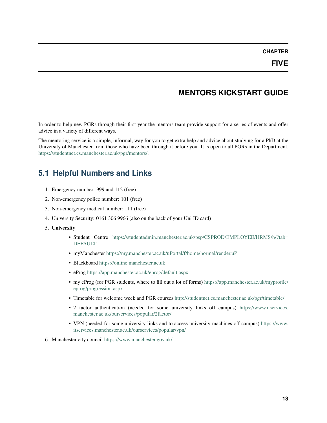# **MENTORS KICKSTART GUIDE**

<span id="page-16-0"></span>In order to help new PGRs through their first year the mentors team provide support for a series of events and offer advice in a variety of different ways.

The mentoring service is a simple, informal, way for you to get extra help and advice about studying for a PhD at the University of Manchester from those who have been through it before you. It is open to all PGRs in the Department. [https://studentnet.cs.manchester.ac.uk/pgr/mentors/.](https://studentnet.cs.manchester.ac.uk/pgr/mentors/)

# **5.1 Helpful Numbers and Links**

- 1. Emergency number: 999 and 112 (free)
- 2. Non-emergency police number: 101 (free)
- 3. Non-emergency medical number: 111 (free)
- 4. University Security: 0161 306 9966 (also on the back of your Uni ID card)
- 5. University
	- Student Centre [https://studentadmin.manchester.ac.uk/psp/CSPROD/EMPLOYEE/HRMS/h/?tab=](https://studentadmin.manchester.ac.uk/psp/CSPROD/EMPLOYEE/HRMS/h/?tab=DEFAULT) [DEFAULT](https://studentadmin.manchester.ac.uk/psp/CSPROD/EMPLOYEE/HRMS/h/?tab=DEFAULT)
	- myManchester <https://my.manchester.ac.uk/uPortal/f/home/normal/render.uP>
	- Blackboard <https://online.manchester.ac.uk>
	- eProg <https://app.manchester.ac.uk/eprog/default.aspx>
	- my eProg (for PGR students, where to fill out a lot of forms) [https://app.manchester.ac.uk/myprofile/](https://app.manchester.ac.uk/myprofile/eprog/progression.aspx) [eprog/progression.aspx](https://app.manchester.ac.uk/myprofile/eprog/progression.aspx)
	- Timetable for welcome week and PGR courses <http://studentnet.cs.manchester.ac.uk/pgr/timetable/>
	- 2 factor authentication (needed for some university links off campus) [https://www.itservices.](https://www.itservices.manchester.ac.uk/ourservices/popular/2factor/) [manchester.ac.uk/ourservices/popular/2factor/](https://www.itservices.manchester.ac.uk/ourservices/popular/2factor/)
	- VPN (needed for some university links and to access university machines off campus) [https://www.](https://www.itservices.manchester.ac.uk/ourservices/popular/vpn/) [itservices.manchester.ac.uk/ourservices/popular/vpn/](https://www.itservices.manchester.ac.uk/ourservices/popular/vpn/)
- 6. Manchester city council <https://www.manchester.gov.uk/>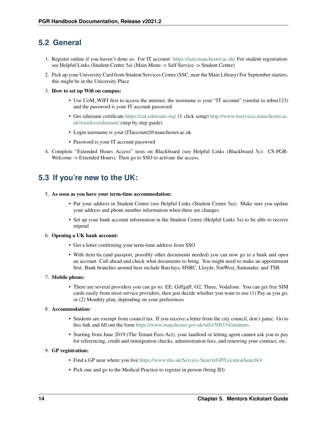### **5.2 General**

- 1. Register online if you haven't done so. For IT account: <https://iam.manchester.ac.uk/> For student registration: see Helpful Links (Student Centre 5a) (Main Menu -> Self Service -> Student Centre)
- 2. Pick up your University Card from Student Services Centre (SSC, near the Main Library) For September starters, this might be in the University Place
- 3. How to set up Wifi on campus:
	- Use UoM\_WIFI first to access the internet, the username is your "IT account" (similar to mbax123) and the password is your IT account password.
	- Get eduroam certificate <https://cat.eduroam.org/> (1 click setup) [http://www.itservices.manchester.ac.](http://www.itservices.manchester.ac.uk/wireless/eduroam/) [uk/wireless/eduroam/](http://www.itservices.manchester.ac.uk/wireless/eduroam/) (step by step guide)
	- Login username is your [ITaccount]@manchester.ac.uk
	- Password is your IT account password
- 4. Complete "Extended Hours Access" tests on Blackboard (see Helpful Links (Blackboard 5c): CS-PGR-Welcome -> Extended Hours). Then go to SSO to activate the access.

### **5.3 If you're new to the UK:**

#### 5. As soon as you have your term-time accommodation:

- Put your address in Student Centre (see Helpful Links (Student Centre 5a)). Make sure you update your address and phone number information when there are changes
- Set up your bank account information in the Student Centre (Helpful Links 5a) to be able to receive stipend

#### 6. Opening a UK bank account:

- Get a letter confirming your term-time address from SSO
- With item 6a (and passport, possibly other documents needed) you can now go to a bank and open an account. Call ahead and check what documents to bring. You might need to make an appointment first. Bank branches around here include Barclays, HSBC, Lloyds, NatWest, Santander, and TSB

#### 7. Mobile phone:

• There are several providers you can go to: EE, Giffgaff, O2, Three, Vodafone. You can get free SIM cards easily from most service providers, then just decide whether you want to use (1) Pay as you go, or (2) Monthly plan, depending on your preferences

#### 8. Accommodation:

- Students are exempt from council tax. If you receive a letter from the city council, don't panic. Go to this link and fill out the form <https://www.manchester.gov.uk/info/500334/students>
- Starting from June 2019 (The Tenant Fees Act), your landlord or letting agent cannot ask you to pay for referencing, credit and immigration checks, administration fees, and renewing your contract, etc.

#### 9. GP registration:

- Find a GP near where you live <https://www.nhs.uk/Service-Search/GP/LocationSearch/4>
- Pick one and go to the Medical Practice to register in person (bring ID)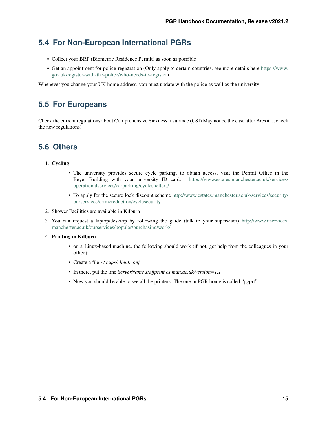### **5.4 For Non-European International PGRs**

- Collect your BRP (Biometric Residence Permit) as soon as possible
- Get an appointment for police-registration (Only apply to certain countries, see more details here [https://www.](https://www.gov.uk/register-with-the-police/who-needs-to-register) [gov.uk/register-with-the-police/who-needs-to-register\)](https://www.gov.uk/register-with-the-police/who-needs-to-register)

Whenever you change your UK home address, you must update with the police as well as the university

### **5.5 For Europeans**

Check the current regulations about Comprehensive Sickness Insurance (CSI) May not be the case after Brexit. . . check the new regulations!

### **5.6 Others**

#### 1. Cycling

- The university provides secure cycle parking, to obtain access, visit the Permit Office in the Beyer Building with your university ID card. [https://www.estates.manchester.ac.uk/services/](https://www.estates.manchester.ac.uk/services/operationalservices/carparking/cycleshelters/) [operationalservices/carparking/cycleshelters/](https://www.estates.manchester.ac.uk/services/operationalservices/carparking/cycleshelters/)
- To apply for the secure lock discount scheme [http://www.estates.manchester.ac.uk/services/security/](http://www.estates.manchester.ac.uk/services/security/ourservices/crimereduction/cyclesecurity) [ourservices/crimereduction/cyclesecurity](http://www.estates.manchester.ac.uk/services/security/ourservices/crimereduction/cyclesecurity)
- 2. Shower Facilities are available in Kilburn
- 3. You can request a laptop/desktop by following the guide (talk to your supervisor) [http://www.itservices.](http://www.itservices.manchester.ac.uk/ourservices/popular/purchasing/work/) [manchester.ac.uk/ourservices/popular/purchasing/work/](http://www.itservices.manchester.ac.uk/ourservices/popular/purchasing/work/)
- 4. Printing in Kilburn
	- on a Linux-based machine, the following should work (if not, get help from the colleagues in your office):
	- Create a file *~/.cups/client.conf*
	- In there, put the line *ServerName staffprint.cs.man.ac.uk/version=1.1*
	- Now you should be able to see all the printers. The one in PGR home is called "pgprt"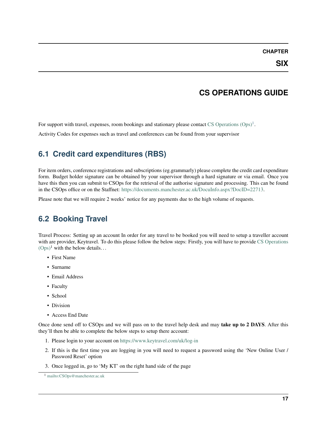### **CS OPERATIONS GUIDE**

<span id="page-20-0"></span>For support with travel, expenses, room bookings and stationary please contact CS Operations  $(\text{Ops})^1$  $(\text{Ops})^1$ .

Activity Codes for expenses such as travel and conferences can be found from your supervisor

# **6.1 Credit card expenditures (RBS)**

For item orders, conference registrations and subscriptions (eg.grammarly) please complete the credit card expenditure form. Budget holder signature can be obtained by your supervisor through a hard signature or via email. Once you have this then you can submit to CSOps for the retrieval of the authorise signature and processing. This can be found in the CSOps office or on the Staffnet: [https://documents.manchester.ac.uk/DocuInfo.aspx?DocID=22713.](https://documents.manchester.ac.uk/DocuInfo.aspx?DocID=22713)

Please note that we will require 2 weeks' notice for any payments due to the high volume of requests.

# **6.2 Booking Travel**

Travel Process: Setting up an account In order for any travel to be booked you will need to setup a traveller account with are provider, Keytravel. To do this please follow the below steps: Firstly, you will have to provide [CS Operations](mailto:CSOps@manchester.ac.uk)  $(Ops)^1$  $(Ops)^1$  with the below details...

- First Name
- Surname
- Email Address
- Faculty
- School
- Division
- Access End Date

Once done send off to CSOps and we will pass on to the travel help desk and may take up to 2 DAYS. After this they'll then be able to complete the below steps to setup there account:

- 1. Please login to your account on [https://www.keytravel.com/uk/log-in](https://www.keytravel.com/uk/log-inS)
- 2. If this is the first time you are logging in you will need to request a password using the 'New Online User / Password Reset' option
- 3. Once logged in, go to 'My KT' on the right hand side of the page

<span id="page-20-1"></span><sup>1</sup> <mailto:CSOps@manchester.ac.uk>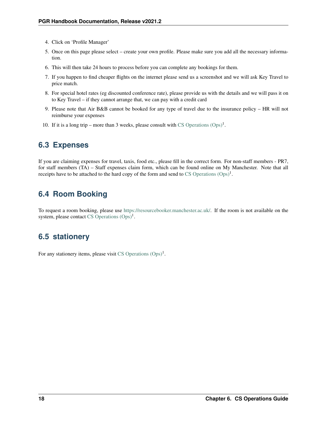- 4. Click on 'Profile Manager'
- 5. Once on this page please select create your own profile. Please make sure you add all the necessary information.
- 6. This will then take 24 hours to process before you can complete any bookings for them.
- 7. If you happen to find cheaper flights on the internet please send us a screenshot and we will ask Key Travel to price match.
- 8. For special hotel rates (eg discounted conference rate), please provide us with the details and we will pass it on to Key Travel – if they cannot arrange that, we can pay with a credit card
- 9. Please note that Air B&B cannot be booked for any type of travel due to the insurance policy HR will not reimburse your expenses
- 10. If it is a long trip more than 3 weeks, please consult with CS Operations  $(\text{Ops})^1$ .

### **6.3 Expenses**

If you are claiming expenses for travel, taxis, food etc., please fill in the correct form. For non-staff members - PR7, for staff members (TA) – Staff expenses claim form, which can be found online on My Manchester. Note that all receipts have to be attached to the hard copy of the form and send to  $CS$  Operations  $(Ops)^1$ .

# **6.4 Room Booking**

To request a room booking, please use [https://resourcebooker.manchester.ac.uk/.](https://resourcebooker.manchester.ac.uk/) If the room is not available on the system, please contact CS Operations  $(Ops)^1$ .

### **6.5 stationery**

For any stationery items, please visit CS Operations  $(Ops)^1$ .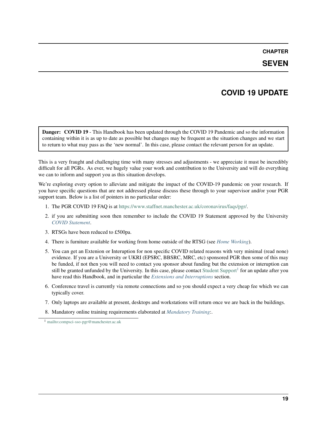### **SEVEN**

### **COVID 19 UPDATE**

<span id="page-22-0"></span>Danger: COVID 19 - This Handbook has been updated through the COVID 19 Pandemic and so the information containing within it is as up to date as possible but changes may be frequent as the situation changes and we start to return to what may pass as the 'new normal'. In this case, please contact the relevant person for an update.

This is a very fraught and challenging time with many stresses and adjustments - we appreciate it must be incredibly difficult for all PGRs. As ever, we hugely value your work and contribution to the University and will do everything we can to inform and support you as this situation develops.

We're exploring every option to alleviate and mitigate the impact of the COVID-19 pandemic on your research. If you have specific questions that are not addressed please discuss these through to your supervisor and/or your PGR support team. Below is a list of pointers in no particular order:

- 1. The PGR COVID 19 FAQ is at [https://www.staffnet.manchester.ac.uk/coronavirus/faqs/pgr/.](https://www.staffnet.manchester.ac.uk/coronavirus/faqs/pgr/)
- 2. if you are submitting soon then remember to include the COVID 19 Statement approved by the University *[COVID Statement](#page-95-0)*.
- 3. RTSGs have been reduced to £500pa.
- 4. There is furniture available for working from home outside of the RTSG (see *[Home Working](#page-64-0)*).
- 5. You can get an Extenion or Interuption for non specific COVID related reasons with very minimal (read none) evidence. If you are a University or UKRI (EPSRC, BBSRC, MRC, etc) sponsored PGR then some of this may be funded, if not then you will need to contact you sponsor about funding but the extension or interuption can still be granted unfunded by the University. In this case, please contact [Student Support](mailto:compsci-sso-pgr@manchester.ac.uk)<sup>[1](#page-22-1)</sup> for an update after you have read this Handbook, and in particular the *[Extensions and Interruptions](#page-114-0)* section.
- 6. Conference travel is currently via remote connections and so you should expect a very cheap fee which we can typically cover.
- 7. Only laptops are available at present, desktops and workstations will return once we are back in the buildings.
- 8. Mandatory online training requirements elaborated at *[Mandatory Training](#page-56-1)*:.

<span id="page-22-1"></span><sup>1</sup> <mailto:compsci-sso-pgr@manchester.ac.uk>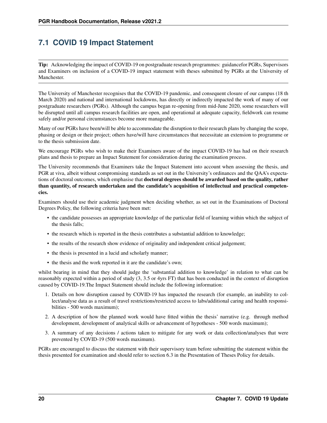# **7.1 COVID 19 Impact Statement**

Tip: Acknowledging the impact of COVID-19 on postgraduate research programmes: guidancefor PGRs, Supervisors and Examiners on inclusion of a COVID-19 impact statement with theses submitted by PGRs at the University of Manchester.

The University of Manchester recognises that the COVID-19 pandemic, and consequent closure of our campus (18 th March 2020) and national and international lockdowns, has directly or indirectly impacted the work of many of our postgraduate researchers (PGRs). Although the campus began re-opening from mid-June 2020, some researchers will be disrupted until all campus research facilities are open, and operational at adequate capacity, fieldwork can resume safely and/or personal circumstances become more manageable.

Many of our PGRs have been/will be able to accommodate the disruption to their research plans by changing the scope, phasing or design or their project; others have/will have circumstances that necessitate an extension to programme or to the thesis submission date.

We encourage PGRs who wish to make their Examiners aware of the impact COVID-19 has had on their research plans and thesis to prepare an Impact Statement for consideration during the examination process.

The University recommends that Examiners take the Impact Statement into account when assessing the thesis, and PGR at viva, albeit without compromising standards as set out in the University's ordinances and the QAA's expectations of doctoral outcomes, which emphasise that **doctoral degrees should be awarded based on the quality, rather** than quantity, of research undertaken and the candidate's acquisition of intellectual and practical competencies.

Examiners should use their academic judgment when deciding whether, as set out in the Examinations of Doctoral Degrees Policy, the following criteria have been met:

- the candidate possesses an appropriate knowledge of the particular field of learning within which the subject of the thesis falls;
- the research which is reported in the thesis contributes a substantial addition to knowledge;
- the results of the research show evidence of originality and independent critical judgement;
- the thesis is presented in a lucid and scholarly manner;
- the thesis and the work reported in it are the candidate's own;

whilst bearing in mind that they should judge the 'substantial addition to knowledge' in relation to what can be reasonably expected within a period of study (3, 3.5 or 4yrs FT) that has been conducted in the context of disruption caused by COVID-19.The Impact Statement should include the following information:

- 1. Details on how disruption caused by COVID-19 has impacted the research (for example, an inability to collect/analyse data as a result of travel restrictions/restricted access to labs/additional caring and health responsibilities - 500 words maximum);
- 2. A description of how the planned work would have fitted within the thesis' narrative (e.g. through method development, development of analytical skills or advancement of hypotheses - 500 words maximum);
- 3. A summary of any decisions / actions taken to mitigate for any work or data collection/analyses that were prevented by COVID-19 (500 words maximum).

PGRs are encouraged to discuss the statement with their supervisory team before submitting the statement within the thesis presented for examination and should refer to section 6.3 in the Presentation of Theses Policy for details.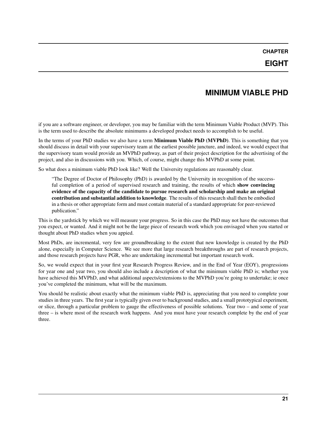### **MINIMUM VIABLE PHD**

<span id="page-24-0"></span>if you are a software engineer, or developer, you may be familiar with the term Minimum Viable Product (MVP). This is the term used to describe the absolute minimums a developed product needs to accomplish to be useful.

In the terms of your PhD studies we also have a term Minimum Viable PhD (MVPhD). This is something that you should discuss in detail with your supervisory team at the earliest possible juncture, and indeed, we would expect that the supervisory team would provide an MVPhD pathway, as part of their project description for the advertising of the project, and also in discussions with you. Which, of course, might change this MVPhD at some point.

So what does a minimum viable PhD look like? Well the University regulations are reasonably clear.

"The Degree of Doctor of Philosophy (PhD) is awarded by the University in recognition of the successful completion of a period of supervised research and training, the results of which show convincing evidence of the capacity of the candidate to pursue research and scholarship and make an original contribution and substantial addition to knowledge. The results of this research shall then be embodied in a thesis or other appropriate form and must contain material of a standard appropriate for peer-reviewed publication."

This is the yardstick by which we will measure your progress. So in this case the PhD may not have the outcomes that you expect, or wanted. And it might not be the large piece of research work which you envisaged when you started or thought about PhD studies when you appied.

Most PhDs, are incremental, very few are groundbreaking to the extent that new knowledge is created by the PhD alone, especially in Computer Science. We see more that large research breakthroughs are part of research projects, and those research projects have PGR, who are undertaking incremental but important research work.

So, we would expect that in your first year Research Progress Review, and in the End of Year (EOY), progressions for year one and year two, you should also include a description of what the minimum viable PhD is; whether you have achieved this MVPhD, and what additional aspects/extensions to the MVPhD you're going to undertake; ie once you've completed the minimum, what will be the maximum.

You should be realistic about exactly what the minimum viable PhD is, appreciating that you need to complete your studies in three years. The first year is typically given over to background studies, and a small prototypical experiment, or slice, through a particular problem to gauge the effectiveness of possible solutions. Year two – and some of year three – is where most of the research work happens. And you must have your research complete by the end of year three.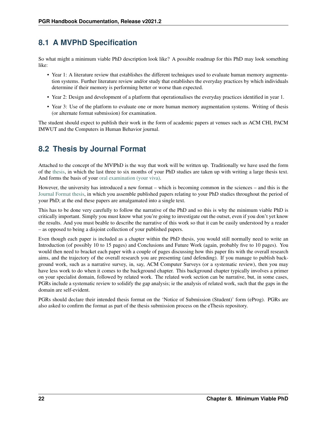### **8.1 A MVPhD Specification**

So what might a minimum viable PhD description look like? A possible roadmap for this PhD may look something like:

- Year 1: A literature review that establishes the different techniques used to evaluate human memory augmentation systems. Further literature review and/or study that establishes the everyday practices by which individuals determine if their memory is performing better or worse than expected.
- Year 2: Design and development of a platform that operationalises the everyday practices identified in year 1.
- Year 3: Use of the platform to evaluate one or more human memory augmentation systems. Writing of thesis (or alternate format submission) for examination.

The student should expect to publish their work in the form of academic papers at venues such as ACM CHI, PACM IMWUT and the Computers in Human Behavior journal.

### **8.2 Thesis by Journal Format**

Attached to the concept of the MV|PhD is the way that work will be written up. Traditionally we have used the form of the [thesis,](http://documents.manchester.ac.uk/display.aspx?DocID=7420) in which the last three to six months of your PhD studies are taken up with writing a large thesis text. And forms the basis of your [oral examination \(your viva\).](http://documents.manchester.ac.uk/display.aspx?DocID=7445)

However, the university has introduced a new format – which is becoming common in the sciences – and this is the [Journal Format thesis,](http://documents.manchester.ac.uk/DocuInfo.aspx?DocID=15216) in which you assemble published papers relating to your PhD studies throughout the period of your PhD; at the end these papers are amalgamated into a single text.

This has to be done very carefully to follow the narrative of the PhD and so this is why the minimum viable PhD is critically important. Simply you must know what you're going to investigate out the outset, even if you don't yet know the results. And you must beable to describe the narrative of this work so that it can be easily understood by a reader – as opposed to being a disjoint collection of your published papers.

Even though each paper is included as a chapter within the PhD thesis, you would still normally need to write an Introduction (of possibly 10 to 15 pages) and Conclusions and Future Work (again, probably five to 10 pages). You would then need to bracket each paper with a couple of pages discussing how this paper fits with the overall research aims, and the trajectory of the overall research you are presenting (and defending). If you manage to publish background work, such as a narrative survey, in, say, ACM Computer Surveys (or a systematic review), then you may have less work to do when it comes to the background chapter. This background chapter typically involves a primer on your specialist domain, followed by related work. The related work section can be narrative, but, in some cases, PGRs include a systematic review to solidify the gap analysis; ie the analysis of related work, such that the gaps in the domain are self-evident.

PGRs should declare their intended thesis format on the 'Notice of Submission (Student)' form (eProg). PGRs are also asked to confirm the format as part of the thesis submission process on the eThesis repository.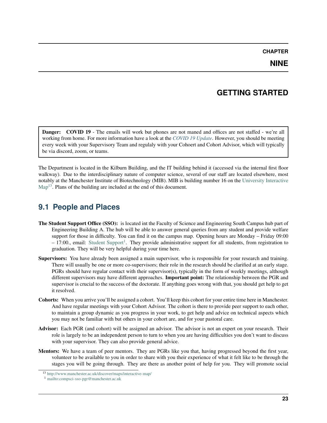# **GETTING STARTED**

<span id="page-26-0"></span>Danger: COVID 19 - The emails will work but phones are not maned and offices are not staffed - we're all working from home. For more information have a look at the *[COVID 19 Update](#page-22-0)*. However, you should be meeting every week with your Supervisory Team and regulaly with your Cohoert and Cohort Advisor, which will typically be via discord, zoom, or teams.

The Department is located in the Kilburn Building, and the IT building behind it (accessed via the internal first floor walkway). Due to the interdisciplinary nature of computer science, several of our staff are located elsewhere, most notably at the Manchester Institute of Biotechnology (MIB). MIB is building number 16 on the [University Interactive](http://www.manchester.ac.uk/discover/maps/interactive-map/) [Map](http://www.manchester.ac.uk/discover/maps/interactive-map/)<sup>[13](#page-26-1)</sup>. Plans of the building are included at the end of this document.

# **9.1 People and Places**

- The Student Support Office (SSO): is located int the Faculty of Science and Engineering South Campus hub part of Engineering Building A. The hub will be able to answer general queries from any student and provide welfare support for those in difficulty. You can find it on the campus map. Opening hours are Monday – Friday 09:00  $-17:00$  $-17:00$  $-17:00$ ., email: [Student Support](mailto:compsci-sso-pgr@manchester.ac.uk)<sup>1</sup>. They provide administrative support for all students, from registration to graduation. They will be very helpful during your time here.
- Supervisors: You have already been assigned a main supervisor, who is responsible for your research and training. There will usually be one or more co-supervisors; their role in the research should be clarified at an early stage. PGRs should have regular contact with their supervisor(s), typically in the form of weekly meetings, although different supervisors may have different approaches. Important point: The relationship between the PGR and supervisor is crucial to the success of the doctorate. If anything goes wrong with that, you should get help to get it resolved.
- Cohorts: When you arrive you'll be assigned a cohort. You'll keep this cohort for your entire time here in Manchester. And have regular meetings with your Cohort Advisor. The cohort is there to provide peer support to each other, to maintain a group dynamic as you progress in your work, to get help and advice on technical aspects which you may not be familiar with but others in your cohort are, and for your pastoral care.
- Advisor: Each PGR (and cohort) will be assigned an advisor. The advisor is not an expert on your research. Their role is largely to be an independent person to turn to when you are having difficulties you don't want to discuss with your supervisor. They can also provide general advice.
- Mentors: We have a team of peer mentors. They are PGRs like you that, having progressed beyond the first year, volunteer to be available to you in order to share with you their experience of what it felt like to be through the stages you will be going through. They are there as another point of help for you. They will promote social

<span id="page-26-1"></span><sup>13</sup> <http://www.manchester.ac.uk/discover/maps/interactive-map/>

<span id="page-26-2"></span><sup>1</sup> <mailto:compsci-sso-pgr@manchester.ac.uk>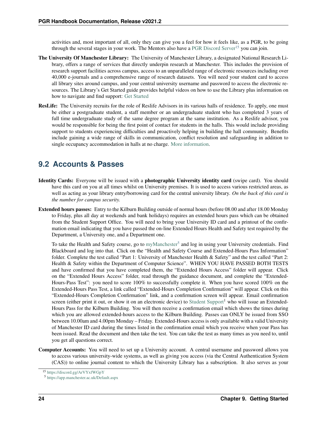activities and, most important of all, only they can give you a feel for how it feels like, as a PGR, to be going through the several stages in your work. The Mentors also have a [PGR Discord Server](https://discord.gg/ArVYxfWGpY)<sup>[15](#page-27-0)</sup> you can join.

- The University Of Manchester Library: The University of Manchester Library, a designated National Research Library, offers a range of services that directly underpin research at Manchester. This includes the provision of research support facilities across campus, access to an unparalleled range of electronic resources including over 40,000 e-journals and a comprehensive range of research datasets. You will need your student card to access all library sites around campus, and your central university username and password to access the electronic resources. The Library's Get Started guide provides helpful videos on how to use the Library plus information on how to navigate and find support: [Get Started](http://www.library.manchester.ac.uk/get-started/)
- ResLife: The University recruits for the role of Reslife Advisors in its various halls of residence. To apply, one must be either a postgraduate student, a staff member or an undergraduate student who has completed 3 years of full time undergraduate study of the same degree program at the same institution. As a Reslife advisor, you would be responsible for being the first point of contact for students in the halls. This would include providing support to students experiencing difficulties and proactively helping in building the hall community. Benefits include gaining a wide range of skills in communication, conflict resolution and safeguarding in addition to single occupancy accommodation in halls at no charge. [More information.](http://www.accommodation.manchester.ac.uk/reslife/)

# **9.2 Accounts & Passes**

- Identity Cards: Everyone will be issued with a photographic University identity card (swipe card). You should have this card on you at all times whilst on University premises. It is used to access various restricted areas, as well as acting as your library entry/borrowing card for the central university library. *On the back of this card is the number for campus security.*
- Extended hours passes: Entry to the Kilburn Building outside of normal hours (before 08.00 and after 18.00 Monday to Friday, plus all day at weekends and bank holidays) requires an extended hours pass which can be obtained from the Student Support Office. You will need to bring your University ID card and a printout of the confirmation email indicating that you have passed the on-line Extended Hours Health and Safety test required by the Department, a University one, and a Department one.

To take the Health and Safety course, go to [myManchester](https://app.manchester.ac.uk/Default.aspx)<sup>[5](#page-27-1)</sup> and log in using your University credentials. Find Blackboard and log into that. Click on the "Health and Safety Course and Extended-Hours Pass Information" folder. Complete the test called "Part 1: University of Manchester Health & Safety" and the test called "Part 2: Health & Safety within the Department of Computer Science". WHEN YOU HAVE PASSED BOTH TESTS and have confirmed that you have completed them, the "Extended Hours Access" folder will appear. Click on the "Extended Hours Access" folder, read through the guidance document, and complete the "Extended-Hours-Pass Test": you need to score 100% to successfully complete it. When you have scored 100% on the Extended-Hours Pass Test, a link called "Extended-Hours Completion Confirmation" will appear. Click on this "Extended-Hours Completion Confirmation" link, and a confirmation screen will appear. Email confirmation screen (either print it out, or show it on an electronic device) to [Student Support](mailto:compsci-sso-pgr@manchester.ac.uk)<sup>1</sup> who will issue an Extended-Hours Pass for the Kilburn Building. You will then receive a confirmation email which shows the times during which you are allowed extended-hours access to the Kilburn Building. Passes can ONLY be issued from SSO between 10.00am and 4.00pm Monday – Friday. Extended-Hours access is only available with a valid University of Manchester ID card during the times listed in the confirmation email which you receive when your Pass has been issued. Read the document and then take the test. You can take the test as many times as you need to, until you get all questions correct.

Computer Accounts: You will need to set up a University account. A central username and password allows you to access various university-wide systems, as well as giving you access (via the Central Authentication System (CAS)) to online journal content to which the University Library has a subscription. It also serves as your

<span id="page-27-0"></span><sup>15</sup> <https://discord.gg/ArVYxfWGpY>

<span id="page-27-1"></span><sup>5</sup> <https://app.manchester.ac.uk/Default.aspx>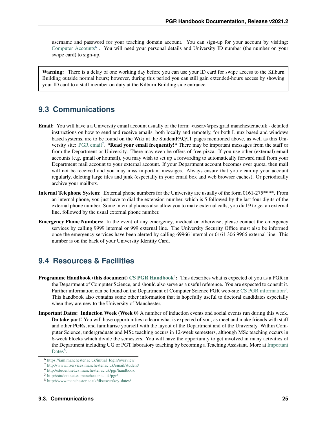username and password for your teaching domain account. You can sign-up for your account by visiting: [Computer Accounts](https://iam.manchester.ac.uk/initial_login/overview)<sup>[6](#page-28-0)</sup>. You will need your personal details and University ID number (the number on your swipe card) to sign-up.

Warning: There is a delay of one working day before you can use your ID card for swipe access to the Kilburn Building outside normal hours; however, during this period you can still gain extended-hours access by showing your ID card to a staff member on duty at the Kilburn Building side entrance.

### **9.3 Communications**

- Email: You will have a a University email account usually of the form: <user>@postgrad.manchester.ac.uk detailed instructions on how to send and receive emails, both locally and remotely, for both Linux based and windows based systems, are to be found on the Wiki at the StudentFAQ/IT pages mentioned above, as well as this Uni-versity site: [PGR email](http://www.itservices.manchester.ac.uk/email/student/)<sup>[7](#page-28-1)</sup>. \*Read your email frequently!\* There may be important messages from the staff or from the Department or University. There may even be offers of free pizza. If you use other (external) email accounts (e.g. gmail or hotmail), you may wish to set up a forwarding to automatically forward mail from your Department mail account to your external account. If your Department account becomes over quota, then mail will not be received and you may miss important messages. Always ensure that you clean up your account regularly, deleting large files and junk (especially in your email box and web browser caches). Or periodically archive your mailbox.
- Internal Telephone System: External phone numbers for the University are usually of the form 0161-275\*\*\*\*. From an internal phone, you just have to dial the extension number, which is 5 followed by the last four digits of the external phone number. Some internal phones also allow you to make external calls, you dial 9 to get an external line, followed by the usual external phone number.
- Emergency Phone Numbers: In the event of any emergency, medical or otherwise, please contact the emergency services by calling 9999 internal or 999 external line. The University Security Office must also be informed once the emergency services have been alerted by calling 69966 internal or 0161 306 9966 external line. This number is on the back of your University Identity Card.

### **9.4 Resources & Facilities**

- **Programme Handbook (this document)** [CS PGR Handbook](http://studentnet.cs.manchester.ac.uk/pgr/handbook)<sup>4</sup>: This describes what is expected of you as a PGR in the Department of Computer Science, and should also serve as a useful reference. You are expected to consult it. Further information can be found on the Department of Computer Science PGR web-site [CS PGR information](http://studentnet.cs.manchester.ac.uk/pgr/)<sup>[3](#page-28-2)</sup>. This handbook also contains some other information that is hopefully useful to doctoral candidates especially when they are new to the University of Manchester.
- Important Dates: Induction Week (Week 0) A number of induction events and social events run during this week. Do take part! You will have opportunities to learn what is expected of you, as meet and make friends with staff and other PGRs, and familiarise yourself with the layout of the Department and of the University. Within Computer Science, undergraduate and MSc teaching occurs in 12-week semesters, although MSc teaching occurs in 6-week blocks which divide the semesters. You will have the opportunity to get involved in many activities of the Department including UG or PGT laboratory teaching by becoming a Teaching Assistant. More at [Important](http://www.manchester.ac.uk/discover/key-dates/) [Dates](http://www.manchester.ac.uk/discover/key-dates/) $8$ .

<span id="page-28-0"></span><sup>6</sup> [https://iam.manchester.ac.uk/initial\\_login/overview](https://iam.manchester.ac.uk/initial_login/overview)

<span id="page-28-1"></span><sup>7</sup> <http://www.itservices.manchester.ac.uk/email/student/>

<sup>4</sup> <http://studentnet.cs.manchester.ac.uk/pgr/handbook>

<span id="page-28-2"></span><sup>3</sup> <http://studentnet.cs.manchester.ac.uk/pgr/>

<span id="page-28-3"></span><sup>8</sup> <http://www.manchester.ac.uk/discover/key-dates/>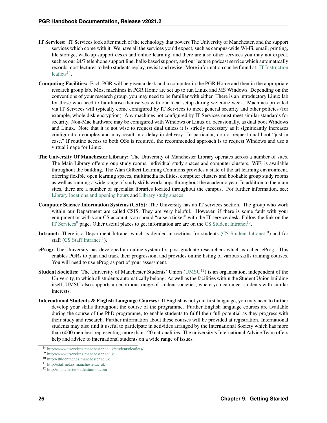- IT Services: IT Services look after much of the technology that powers The University of Manchester, and the support services which come with it. We have all the services you'd expect, such as campus-wide Wi-Fi, email, printing, file storage, walk-up support desks and online learning, and there are also other services you may not expect, such as our 24/7 telephone support line, halls-based support, and our lecture podcast service which automatically records most lectures to help students replay, revisit and revise. More information can be found at: [IT Instruction](http://www.itservices.manchester.ac.uk/students/leaflets/) [leaflets](http://www.itservices.manchester.ac.uk/students/leaflets/) $^{14}$  $^{14}$  $^{14}$ .
- Computing Facilities: Each PGR will be given a desk and a computer in the PGR Home and then in the appropriate research group lab. Most machines in PGR Home are set up to run Linux and MS Windows. Depending on the conventions of your research group, you may need to be familiar with either. There is an introductory Linux lab for those who need to familiarise themselves with our local setup during welcome week. Machines provided via IT Services will typically come configured by IT Services to meet general security and other policies (for example, whole disk encryption). Any machines not configured by IT Services must meet similar standards for security. Non-Mac hardware may be configured with Windows or Linux or, occasionally, as dual boot Windows and Linux. Note that it is not wise to request dual unless it is strictly necessary as it significantly increases configuration complex and may result in a delay in delivery. In particular, do not request dual boot "just in case." If routine access to both OSs is required, the recommended approach is to request Windows and use a virtual image for Linux.
- The University Of Manchester Library: The University of Manchester Library operates across a number of sites. The Main Library offers group study rooms, individual study spaces and computer clusters. WiFi is available throughout the building. The Alan Gilbert Learning Commons provides a state of the art learning environment, offering flexible open learning spaces, multimedia facilities, computer clusters and bookable group study rooms as well as running a wide range of study skills workshops throughout the academic year. In addition to the main sites, there are a number of specialist libraries located throughout the campus. For further information, see: [Library locations and opening hours](http://www.library.manchester.ac.uk/locations-and-opening-hours/) and [Library study spaces](http://www.library.manchester.ac.uk/using-the-library/students/study-spaces/)
- Computer Science Information Systems (CSIS): The University has an IT services section. The group who work within our Department are called CSIS. They are very helpful. However, if there is some fault with your equipment or with your CS account, you should "raise a ticket" with the IT service desk. Follow the link on the [IT Services](http://www.itservices.manchester.ac.uk)<sup>[9](#page-29-1)</sup> page. Other useful places to get information are are on the [CS Student Intranet](http://studentnet.cs.manchester.ac.uk)<sup>[10](#page-29-2)</sup>.
- **Intranet:** There is a Department Intranet which is divided in sections for students [\(CS Student Intranet](http://studentnet.cs.manchester.ac.uk)<sup>10</sup>) and for staff [\(CS Staff Intranet](http://staffnet.cs.manchester.ac.uk)<sup>[11](#page-29-3)</sup>).
- eProg: The University has developed an online system for post-graduate researchers which is called eProg. This enables PGRs to plan and track their progression, and provides online listing of various skills training courses. You will need to use eProg as part of your assessment.
- **Student Societies:** The University of Manchester Students' Union [\(UMSU](http://manchesterstudentunion.com)<sup>[12](#page-29-4)</sup>) is an organisation, independent of the University, to which all students automatically belong. As well as the facilities within the Student Union building itself, UMSU also supports an enormous range of student societies, where you can meet students with similar interests.
- International Students & English Language Courses: If English is not your first language, you may need to further develop your skills throughout the course of the programme. Further English language courses are available during the course of the PhD programme, to enable students to fulfil their full potential as they progress with their study and research. Further information about these courses will be provided at registration. International students may also find it useful to participate in activities arranged by the International Society which has more than 6000 members representing more than 120 nationalities. The university's International Advice Team offers help and advice to international students on a wide range of issues.

<span id="page-29-0"></span><sup>14</sup> <http://www.itservices.manchester.ac.uk/students/leaflets/>

<span id="page-29-1"></span><sup>9</sup> <http://www.itservices.manchester.ac.uk>

<span id="page-29-2"></span><sup>10</sup> <http://studentnet.cs.manchester.ac.uk>

<span id="page-29-3"></span><sup>11</sup> <http://staffnet.cs.manchester.ac.uk>

<span id="page-29-4"></span><sup>12</sup> <http://manchesterstudentunion.com>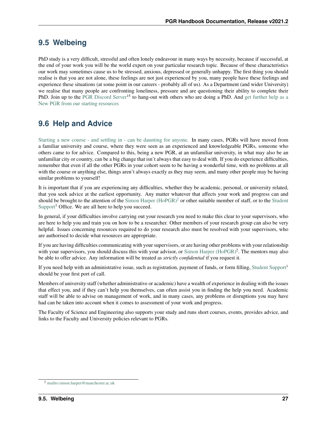### **9.5 Welbeing**

PhD study is a very difficult, stressful and often lonely endeavour in many ways by necessity, because if successful, at the end of your work you will be the world expert on your particular research topic. Because of these characteristics our work may sometimes cause us to be stressed, anxious, depressed or generally unhappy. The first thing you should realise is that you are not alone, these feelings are not just experienced by you, many people have these feelings and experience these situations (at some point in our careers - probably all of us). As a Department (and wider University) we realise that many people are confronting loneliness, pressure and are questioning their ability to complete their PhD. Join up to the [PGR Discord Server](https://discord.gg/ArVYxfWGpY)<sup>15</sup> to hang-out with others who are doing a PhD. And [get further help as a](https://www.welcome.manchester.ac.uk/starting-pgr) [New PGR from our starting resources](https://www.welcome.manchester.ac.uk/starting-pgr)

# **9.6 Help and Advice**

[Starting a new course - and settling in - can be daunting for anyone.](http://www.studentsupport.manchester.ac.uk/taking-care/imworriedabout/settlingin/) In many cases, PGRs will have moved from a familiar university and course, where they were seen as an experienced and knowledgeable PGRs, someone who others came to for advice. Compared to this, being a new PGR, at an unfamiliar university, in what may also be an unfamiliar city or country, can be a big change that isn't always that easy to deal with. If you do experience difficulties, remember that even if all the other PGRs in your cohort seem to be having a wonderful time, with no problems at all with the course or anything else, things aren't always exactly as they may seem, and many other people may be having similar problems to yourself!

It is important that if you are experiencing any difficulties, whether they be academic, personal, or university related, that you seek advice at the earliest opportunity. Any matter whatever that affects your work and progress can and should be brought to the attention of the Simon Harper  $(HoPGR)^2$  $(HoPGR)^2$  or other suitable member of staff, or to the [Student](mailto:compsci-sso-pgr@manchester.ac.uk) [Support](mailto:compsci-sso-pgr@manchester.ac.uk)<sup>1</sup> Office. We are all here to help you succeed.

In general, if your difficulties involve carrying out your research you need to make this clear to your supervisors, who are here to help you and train you on how to be a researcher. Other members of your research group can also be very helpful. Issues concerning resources required to do your research also must be resolved with your supervisors, who are authorised to decide what resources are appropriate.

If you are having difficulties communicating with your supervisors, or are having other problems with your relationship with your supervisors, you should discuss this with your advisor, or [Simon Harper \(HoPGR\)](mailto:simon.harper@manchester.ac.uk)<sup>2</sup>. The mentors may also be able to offer advice. Any information will be treated as *strictly confidential* if you request it.

If you need help with an administrative issue, such as registration, payment of funds, or form filling, [Student Support](mailto:compsci-sso-pgr@manchester.ac.uk)<sup>1</sup> should be your first port of call.

Members of university staff (whether administrative or academic) have a wealth of experience in dealing with the issues that effect you, and if they can't help you themselves, can often assist you in finding the help you need. Academic staff will be able to advise on management of work, and in many cases, any problems or disruptions you may have had can be taken into account when it comes to assessment of your work and progress.

The Faculty of Science and Engineering also supports your study and runs short courses, events, provides advice, and links to the Faculty and University policies relevant to PGRs.

<span id="page-30-0"></span><sup>2</sup> <mailto:simon.harper@manchester.ac.uk>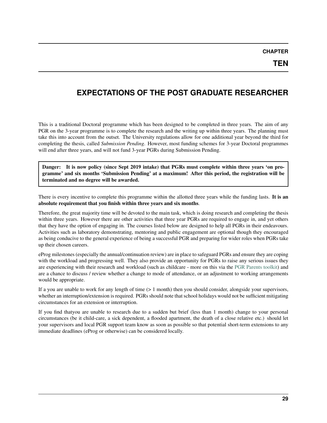### <span id="page-32-0"></span>**EXPECTATIONS OF THE POST GRADUATE RESEARCHER**

This is a traditional Doctoral programme which has been designed to be completed in three years. The aim of any PGR on the 3-year programme is to complete the research and the writing up within three years. The planning must take this into account from the outset. The University regulations allow for one additional year beyond the third for completing the thesis, called *Submission Pending*. However, most funding schemes for 3-year Doctoral programmes will end after three years, and will not fund 3-year PGRs during Submission Pending.

Danger: It is now policy (since Sept 2019 intake) that PGRs must complete within three years 'on programme' and six months 'Submission Pending' at a maximum! After this period, the registration will be terminated and no degree will be awarded.

There is every incentive to complete this programme within the allotted three years while the funding lasts. It is an absolute requirement that you finish within three years and six months.

Therefore, the great majority time will be devoted to the main task, which is doing research and completing the thesis within three years. However there are other activities that three year PGRs are required to engage in, and yet others that they have the option of engaging in. The courses listed below are designed to help all PGRs in their endeavours. Activities such as laboratory demonstrating, mentoring and public engagement are optional though they encouraged as being conducive to the general experience of being a successful PGR and preparing for wider roles when PGRs take up their chosen careers.

eProg milestones (especially the annual/continuation review) are in place to safeguard PGRs and ensure they are coping with the workload and progressing well. They also provide an opportunity for PGRs to raise any serious issues they are experiencing with their research and workload (such as childcare - more on this via the [PGR Parents toolkit\)](https://documents.manchester.ac.uk/display.aspx?DocID=55092%20) and are a chance to discuss / review whether a change to mode of attendance, or an adjustment to working arrangements would be appropriate.

If a you are unable to work for any length of time (> 1 month) then you should consider, alongside your supervisors, whether an interruption/extension is required. PGRs should note that school holidays would not be sufficient mitigating circumstances for an extension or interruption.

If you find thatyou are unable to research due to a sudden but brief (less than 1 month) change to your personal circumstances (be it child-care, a sick dependent, a flooded apartment, the death of a close relative etc.) should let your supervisors and local PGR support team know as soon as possible so that potential short-term extensions to any immediate deadlines (eProg or otherwise) can be considered locally.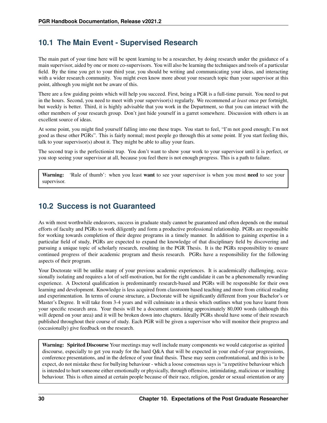### **10.1 The Main Event - Supervised Research**

The main part of your time here will be spent learning to be a researcher, by doing research under the guidance of a main supervisor, aided by one or more co-supervisors. You will also be learning the techniques and tools of a particular field. By the time you get to your third year, you should be writing and communicating your ideas, and interacting with a wider research community. You might even know more about your research topic than your supervisor at this point, although you might not be aware of this.

There are a few guiding points which will help you succeed. First, being a PGR is a full-time pursuit. You need to put in the hours. Second, you need to meet with your supervisor(s) regularly. We recommend *at least* once per fortnight, but weekly is better. Third, it is highly advisable that you work in the Department, so that you can interact with the other members of your research group. Don't just hide yourself in a garret somewhere. Discussion with others is an excellent source of ideas.

At some point, you might find yourself falling into one these traps. You start to feel, "I'm not good enough; I'm not good as these other PGRs". This is fairly normal; most people go through this at some point. If you start feeling this, talk to your supervisor(s) about it. They might be able to allay your fears.

The second trap is the perfectionist trap. You don't want to show your work to your supervisor until it is perfect, or you stop seeing your supervisor at all, because you feel there is not enough progress. This is a path to failure.

**Warning:** 'Rule of thumb': when you least **want** to see your supervisor is when you most **need** to see your supervisor.

### **10.2 Success is not Guaranteed**

As with most worthwhile endeavors, success in graduate study cannot be guaranteed and often depends on the mutual efforts of faculty and PGRs to work diligently and form a productive professional relationship. PGRs are responsible for working towards completion of their degree programs in a timely manner. In addition to gaining expertise in a particular field of study, PGRs are expected to expand the knowledge of that disciplinary field by discovering and pursuing a unique topic of scholarly research, resulting in the PGR Thesis. It is the PGRs responsibility to ensure continued progress of their academic program and thesis research. PGRs have a responsibility for the following aspects of their program.

Your Doctorate will be unlike many of your previous academic experiences. It is academically challenging, occasionally isolating and requires a lot of self-motivation, but for the right candidate it can be a phenomenally rewarding experience. A Doctoral qualification is predominantly research-based and PGRs will be responsible for their own learning and development. Knowledge is less acquired from classroom based teaching and more from critical reading and experimentation. In terms of course structure, a Doctorate will be significantly different from your Bachelor's or Master's Degree. It will take from 3-4 years and will culminate in a thesis which outlines what you have learnt from your specific research area. Your thesis will be a document containing approximately 80,000 words (although this will depend on your area) and it will be broken down into chapters. Ideally PGRs should have some of their research published throughout their course of study. Each PGR will be given a supervisor who will monitor their progress and (occasionally) give feedback on the research.

Warning: Spirited Discourse Your meetings may well include many components we would categorise as spirited discourse, especially to get you ready for the hard Q&A that will be expected in your end-of-year progressions, conference presentations, and in the defence of your final thesis. These may seem confrontational, and this is to be expect, do not mistake these for bullying behaviour - which a loose consensus says is "a repetitive behaviour which is intended to hurt someone either emotionally or physically, through offensive, intimidating, malicious or insulting behaviour. This is often aimed at certain people because of their race, religion, gender or sexual orientation or any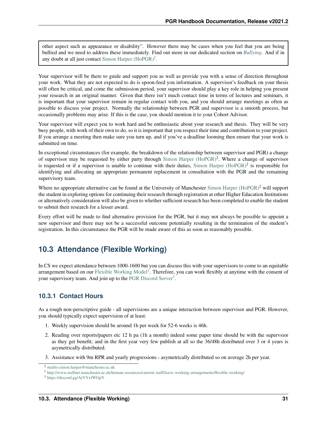other aspect such as appearance or disability". However there may be cases when you feel that you are being bullied and we need to address these immediately. Find out more in our dedicated section on *[Bullying](#page-111-0)*. And if in any doubt at all just contact Simon Harper  $(HoPGR)^2$  $(HoPGR)^2$ .

Your supervisor will be there to guide and support you as well as provide you with a sense of direction throughout your work. What they are not expected to do is spoon-feed you information. A supervisor's feedback on your thesis will often be critical, and come the submission period, your supervisor should play a key role in helping you present your research in an original manner. Given that there isn't much contact time in terms of lectures and seminars, it is important that your supervisor remain in regular contact with you, and you should arrange meetings as often as possible to discuss your project. Normally the relationship between PGR and supervisor is a smooth process, but occasionally problems may arise. If this is the case, you should mention it to your Cohort Advisor.

Your supervisor will expect you to work hard and be enthusiastic about your research and thesis. They will be very busy people, with work of their own to do, so it is important that you respect their time and contribution to your project. If you arrange a meeting then make sure you turn up, and if you've a deadline looming then ensure that your work is submitted on time.

In exceptional circumstances (for example, the breakdown of the relationship between supervisor and PGR) a change of supervisor may be requested by either party through [Simon Harper \(HoPGR\)](mailto:simon.harper@manchester.ac.uk)<sup>2</sup>. Where a change of supervisor is requested or if a supervisor is unable to continue with their duties, [Simon Harper \(HoPGR\)](mailto:simon.harper@manchester.ac.uk)<sup>2</sup> is responsible for identifying and allocating an appropriate permanent replacement in consultation with the PGR and the remaining supervisory team.

Where no appropriate alternative can be found at the University of Manchester [Simon Harper \(HoPGR\)](mailto:simon.harper@manchester.ac.uk)<sup>2</sup> will support the student in exploring options for continuing their research through registration at other Higher Education Institutions or alternatively consideration will also be given to whether sufficient research has been completed to enable the student to submit their research for a lesser award.

Every effort will be made to find alternative provision for the PGR, but it may not always be possible to appoint a new supervisor and there may not be a successful outcome potentially resulting in the termination of the student's registration. In this circumstance the PGR will be made aware of this as soon as reasonably possible.

# **10.3 Attendance (Flexible Working)**

In CS we expect attendance between 1000-1600 but you can discuss this with your supervisors to come to an equitable arrangement based on our [Flexible Working Model](http://www.staffnet.manchester.ac.uk/human-resources/current-staff/leave-working-arrangements/flexible-working/)<sup>[1](#page-34-1)</sup>. Therefore, you can work flexibly at anytime with the consent of your supervisory team. And join up to the [PGR Discord Server](https://discord.gg/ArVYxfWGpY)<sup>[3](#page-34-2)</sup>.

### **10.3.1 Contact Hours**

As a rough non-perscriptive guide - all supervisions are a unique interaction between supervisor and PGR. However, you should typically expect supervision of at least:

- 1. Weekly supervision should be around 1h per week for 52-6 weeks is 46h.
- 2. Reading over reports/papers etc 12 h pa (1h a month) indeed some paper time should be with the supervsior as they get benefit; and in the first year very few publish at all so the 36/48h distributed over 3 or 4 years is asymetrically distributed.
- 3. Assistance with 9m RPR and yearly progressions asymetrically distributed so on average 2h per year.

<span id="page-34-0"></span><sup>2</sup> <mailto:simon.harper@manchester.ac.uk>

<span id="page-34-1"></span><sup>1</sup> <http://www.staffnet.manchester.ac.uk/human-resources/current-staff/leave-working-arrangements/flexible-working/>

<span id="page-34-2"></span><sup>3</sup> <https://discord.gg/ArVYxfWGpY>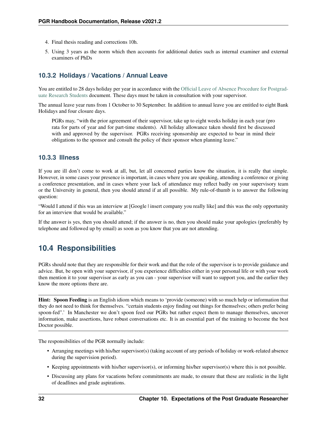- 4. Final thesis reading and corrections 10h.
- 5. Using 3 years as the norm which then accounts for additional duties such as internal examiner and external examiners of PhDs

### **10.3.2 Holidays / Vacations / Annual Leave**

You are entitled to 28 days holiday per year in accordance with the [Official Leave of Absence Procedure for Postgrad](https://documents.manchester.ac.uk/display.aspx?DocID=39958)[uate Research Students](https://documents.manchester.ac.uk/display.aspx?DocID=39958) document. These days must be taken in consultation with your supervisor.

The annual leave year runs from 1 October to 30 September. In addition to annual leave you are entitled to eight Bank Holidays and four closure days.

PGRs may, "with the prior agreement of their supervisor, take up to eight weeks holiday in each year (pro rata for parts of year and for part-time students). All holiday allowance taken should first be discussed with and approved by the supervisor. PGRs receiving sponsorship are expected to bear in mind their obligations to the sponsor and consult the policy of their sponsor when planning leave."

#### **10.3.3 Illness**

If you are ill don't come to work at all, but, let all concerned parties know the situation, it is really that simple. However, in some cases your presence is important, in cases where you are speaking, attending a conference or giving a conference presentation, and in cases where your lack of attendance may reflect badly on your supervisory team or the University in general, then you should attend if at all possible. My rule-of-thumb is to answer the following question:

"Would I attend if this was an interview at [Google | insert company you really like] and this was the only opportunity for an interview that would be available."

If the answer is yes, then you should attend; if the answer is no, then you should make your apologies (preferably by telephone and followed up by email) as soon as you know that you are not attending.

### **10.4 Responsibilities**

PGRs should note that they are responsible for their work and that the role of the supervisor is to provide guidance and advice. But, be open with your supervisor, if you experience difficulties either in your personal life or with your work then mention it to your supervisor as early as you can - your supervisor will want to support you, and the earlier they know the more options there are.

Hint: Spoon Feeding is an English idiom which means to 'provide (someone) with so much help or information that they do not need to think for themselves. "certain students enjoy finding out things for themselves; others prefer being spoon-fed".' In Manchester we don't spoon feed our PGRs but rather expect them to manage themselves, uncover information, make assertions, have robust conversations etc. It is an essential part of the training to become the best Doctor possible.

The responsibilities of the PGR normally include:

- Arranging meetings with his/her supervisor(s) (taking account of any periods of holiday or work-related absence during the supervision period).
- Keeping appointments with his/her supervisor(s), or informing his/her supervisor(s) where this is not possible.
- Discussing any plans for vacations before commitments are made, to ensure that these are realistic in the light of deadlines and grade aspirations.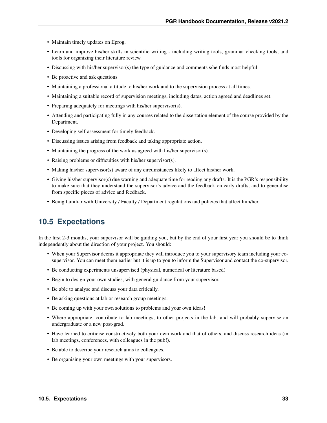- Maintain timely updates on Eprog.
- Learn and improve his/her skills in scientific writing including writing tools, grammar checking tools, and tools for organizing their literature review.
- Discussing with his/her supervisor(s) the type of guidance and comments s/he finds most helpful.
- Be proactive and ask questions
- Maintaining a professional attitude to his/her work and to the supervision process at all times.
- Maintaining a suitable record of supervision meetings, including dates, action agreed and deadlines set.
- Preparing adequately for meetings with his/her supervisor(s).
- Attending and participating fully in any courses related to the dissertation element of the course provided by the Department.
- Developing self-assessment for timely feedback.
- Discussing issues arising from feedback and taking appropriate action.
- Maintaining the progress of the work as agreed with his/her supervisor(s).
- Raising problems or difficulties with his/her supervisor(s).
- Making his/her supervisor(s) aware of any circumstances likely to affect his/her work.
- Giving his/her supervisor(s) due warning and adequate time for reading any drafts. It is the PGR's responsibility to make sure that they understand the supervisor's advice and the feedback on early drafts, and to generalise from specific pieces of advice and feedback.
- Being familiar with University / Faculty / Department regulations and policies that affect him/her.

## **10.5 Expectations**

In the first 2-3 months, your supervisor will be guiding you, but by the end of your first year you should be to think independently about the direction of your project. You should:

- When your Supervisor deems it appropriate they will introduce you to your supervisory team including your cosupervisor. You can meet them earlier but it is up to you to inform the Supervisor and contact the co-supervisor.
- Be conducting experiments unsupervised (physical, numerical or literature based)
- Begin to design your own studies, with general guidance from your supervisor.
- Be able to analyse and discuss your data critically.
- Be asking questions at lab or research group meetings.
- Be coming up with your own solutions to problems and your own ideas!
- Where appropriate, contribute to lab meetings, to other projects in the lab, and will probably supervise an undergraduate or a new post-grad.
- Have learned to criticise constructively both your own work and that of others, and discuss research ideas (in lab meetings, conferences, with colleagues in the pub!).
- Be able to describe your research aims to colleagues.
- Be organising your own meetings with your supervisors.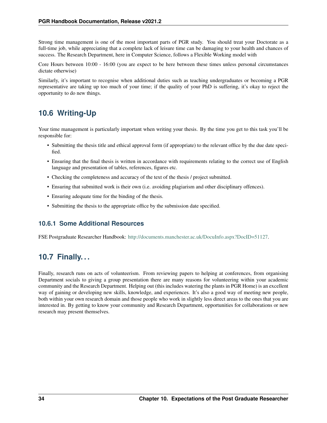Strong time management is one of the most important parts of PGR study. You should treat your Doctorate as a full-time job, while appreciating that a complete lack of leisure time can be damaging to your health and chances of success. The Research Department, here in Computer Science, follows a Flexible Working model with

Core Hours between 10:00 - 16:00 (you are expect to be here between these times unless personal circumstances dictate otherwise)

Similarly, it's important to recognise when additional duties such as teaching undergraduates or becoming a PGR representative are taking up too much of your time; if the quality of your PhD is suffering, it's okay to reject the opportunity to do new things.

# **10.6 Writing-Up**

Your time management is particularly important when writing your thesis. By the time you get to this task you'll be responsible for:

- Submitting the thesis title and ethical approval form (if appropriate) to the relevant office by the due date specified.
- Ensuring that the final thesis is written in accordance with requirements relating to the correct use of English language and presentation of tables, references, figures etc.
- Checking the completeness and accuracy of the text of the thesis / project submitted.
- Ensuring that submitted work is their own (i.e. avoiding plagiarism and other disciplinary offences).
- Ensuring adequate time for the binding of the thesis.
- Submitting the thesis to the appropriate office by the submission date specified.

### **10.6.1 Some Additional Resources**

FSE Postgraduate Researcher Handbook: [http://documents.manchester.ac.uk/DocuInfo.aspx?DocID=51127.](http://documents.manchester.ac.uk/DocuInfo.aspx?DocID=51127)

# **10.7 Finally. . .**

Finally, research runs on acts of volunteerism. From reviewing papers to helping at conferences, from organising Department socials to giving a group presentation there are many reasons for volunteering within your academic community and the Research Department. Helping out (this includes watering the plants in PGR Home) is an excellent way of gaining or developing new skills, knowledge, and experiences. It's also a good way of meeting new people, both within your own research domain and those people who work in slightly less direct areas to the ones that you are interested in. By getting to know your community and Research Department, opportunities for collaborations or new research may present themselves.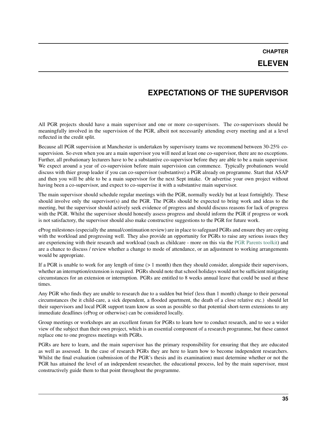## **ELEVEN**

## **EXPECTATIONS OF THE SUPERVISOR**

All PGR projects should have a main supervisor and one or more co-supervisors. The co-supervisors should be meaningfully involved in the supervision of the PGR, albeit not necessarily attending every meeting and at a level reflected in the credit split.

Because all PGR supervision at Manchester is undertaken by supervisory teams we recommend between 30-25% cosupervision. So even when you are a main supervisor you will need at least one co-supervisor, there are no exceptions. Further, all probationary lecturers have to be a substantive co-supervisor before they are able to be a main supervisor. We expect around a year of co-supervision before main supervision can commence. Typically probationers would discuss with thier group leader if you can co-supervisor (substantive) a PGR already on programme. Start that ASAP and then you will be able to be a main supervisor for the next Sept intake. Or advertise your own project without having been a co-supervisor, and expect to co-supervise it with a substantive main supervisor.

The main supervisor should schedule regular meetings with the PGR, normally weekly but at least fortnightly. These should involve only the supervisor(s) and the PGR. The PGRs should be expected to bring work and ideas to the meeting, but the supervisor should actively seek evidence of progress and should discuss reasons for lack of progress with the PGR. Whilst the supervisor should honestly assess progress and should inform the PGR if progress or work is not satisfactory, the supervisor should also make constructive suggestions to the PGR for future work.

eProg milestones (especially the annual/continuation review) are in place to safeguard PGRs and ensure they are coping with the workload and progressing well. They also provide an opportunity for PGRs to raise any serious issues they are experiencing with their research and workload (such as childcare - more on this via the [PGR Parents toolkit\)](https://documents.manchester.ac.uk/display.aspx?DocID=55092%20) and are a chance to discuss / review whether a change to mode of attendance, or an adjustment to working arrangements would be appropriate.

If a PGR is unable to work for any length of time  $(> 1 \text{ month})$  then they should consider, alongside their supervisors, whether an interruption/extension is required. PGRs should note that school holidays would not be sufficient mitigating circumstances for an extension or interruption. PGRs are entitled to 8 weeks annual leave that could be used at these times.

Any PGR who finds they are unable to research due to a sudden but brief (less than 1 month) change to their personal circumstances (be it child-care, a sick dependent, a flooded apartment, the death of a close relative etc.) should let their supervisors and local PGR support team know as soon as possible so that potential short-term extensions to any immediate deadlines (eProg or otherwise) can be considered locally.

Group meetings or workshops are an excellent forum for PGRs to learn how to conduct research, and to see a wider view of the subject than their own project, which is an essential component of a research programme, but these cannot replace one to one progress meetings with PGRs.

PGRs are here to learn, and the main supervisor has the primary responsibility for ensuring that they are educated as well as assessed. In the case of research PGRs they are here to learn how to become independent researchers. Whilst the final evaluation (submission of the PGR's thesis and its examination) must determine whether or not the PGR has attained the level of an independent researcher, the educational process, led by the main supervisor, must constructively guide them to that point throughout the programme.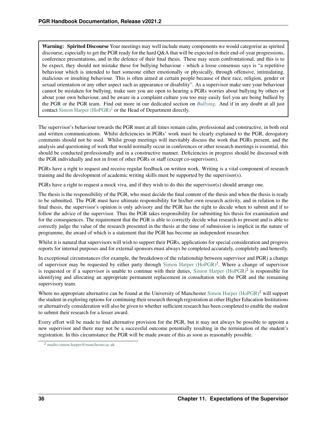Warning: Spirited Discourse Your meetings may well include many components we would categorise as spirited discourse, especially to get the PGR ready for the hard Q&A that will be expected in their end-of-year progressions, conference presentations, and in the defence of their final thesis. These may seem confrontational, and this is to be expect, they should not mistake these for bullying behaviour - which a loose consensus says is "a repetitive behaviour which is intended to hurt someone either emotionally or physically, through offensive, intimidating, malicious or insulting behaviour. This is often aimed at certain people because of their race, religion, gender or sexual orientation or any other aspect such as appearance or disability". As a supervisor make sure your behaviour cannot be mistaken for bullying, make sure you are open to hearing a PGRs worries about bullying by others or about your own behaviour, and be aware in a complaint culture you too may easily feel you are being bullied by the PGR or the PGR team. Find out more in our dedicated section on *[Bullying](#page-111-0)*. And if in any doubt at all just contact Simon Harper  $(HoPGR)^2$  $(HoPGR)^2$  or the Head of Department directly.

The supervisor's behaviour towards the PGR must at all times remain calm, professional and constructive, in both oral and written communications. Whilst deficiencies in PGRs' work must be clearly explained to the PGR, derogatory comments should not be used. Whilst group meetings will inevitably discuss the work that PGRs present, and the analysis and questioning of work that would normally occur in conferences or other research meetings is essential, this should be conducted professionally and in a constructive manner. Deficiencies in progress should be discussed with the PGR individually and not in front of other PGRs or staff (except co-supervisors).

PGRs have a right to request and receive regular feedback on written work. Writing is a vital component of research training and the development of academic writing skills must be supported by the supervisor(s).

PGRs have a right to request a mock viva, and if they wish to do this the supervisor(s) should arrange one.

The thesis is the responsibility of the PGR, who must decide the final content of the thesis and when the thesis is ready to be submitted. The PGR must have ultimate responsibility for his/her own research activity, and in relation to the final thesis, the supervisor's opinion is only advisory and the PGR has the right to decide when to submit and if to follow the advice of the supervisor. Thus the PGR takes responsibility for submitting his thesis for examination and for the consequences. The requirement that the PGR is able to correctly decide what research to present and is able to correctly judge the value of the research presented in the thesis at the time of submission is implicit in the nature of programme, the award of which is a statement that the PGR has become an independent researcher.

Whilst it is natural that supervisors will wish to support their PGRs, applications for special consideration and progress reports for internal purposes and for external sponsors must always be completed accurately, completely and honestly.

In exceptional circumstances (for example, the breakdown of the relationship between supervisor and PGR) a change of supervisor may be requested by either party through [Simon Harper \(HoPGR\)](mailto:simon.harper@manchester.ac.uk)<sup>2</sup>. Where a change of supervisor is requested or if a supervisor is unable to continue with their duties, Simon Harper  $(HoPGR)^2$  is responsible for identifying and allocating an appropriate permanent replacement in consultation with the PGR and the remaining supervisory team.

Where no appropriate alternative can be found at the University of Manchester [Simon Harper \(HoPGR\)](mailto:simon.harper@manchester.ac.uk)<sup>2</sup> will support the student in exploring options for continuing their research through registration at other Higher Education Institutions or alternatively consideration will also be given to whether sufficient research has been completed to enable the student to submit their research for a lesser award.

Every effort will be made to find alternative provision for the PGR, but it may not always be possible to appoint a new supervisor and there may not be a successful outcome potentially resulting in the termination of the student's registration. In this circumstance the PGR will be made aware of this as soon as reasonably possible.

<span id="page-39-0"></span><sup>2</sup> <mailto:simon.harper@manchester.ac.uk>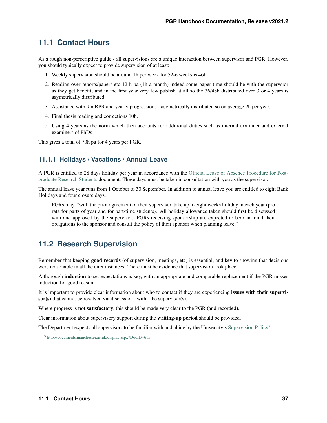## **11.1 Contact Hours**

As a rough non-perscriptive guide - all supervisions are a unique interaction between supervisor and PGR. However, you should typically expect to provide supervision of at least:

- 1. Weekly supervision should be around 1h per week for 52-6 weeks is 46h.
- 2. Reading over reports/papers etc 12 h pa (1h a month) indeed some paper time should be with the supervsior as they get benefit; and in the first year very few publish at all so the 36/48h distributed over 3 or 4 years is asymetrically distributed.
- 3. Assistance with 9m RPR and yearly progressions asymetrically distributed so on average 2h per year.
- 4. Final thesis reading and corrections 10h.
- 5. Using 4 years as the norm which then accounts for additional duties such as internal examiner and external examiners of PhDs

This gives a total of 70h pa for 4 years per PGR.

### **11.1.1 Holidays / Vacations / Annual Leave**

A PGR is entitled to 28 days holiday per year in accordance with the [Official Leave of Absence Procedure for Post](https://documents.manchester.ac.uk/display.aspx?DocID=39958)[graduate Research Students](https://documents.manchester.ac.uk/display.aspx?DocID=39958) document. These days must be taken in consultation with you as the supervisor.

The annual leave year runs from 1 October to 30 September. In addition to annual leave you are entitled to eight Bank Holidays and four closure days.

PGRs may, "with the prior agreement of their supervisor, take up to eight weeks holiday in each year (pro rata for parts of year and for part-time students). All holiday allowance taken should first be discussed with and approved by the supervisor. PGRs receiving sponsorship are expected to bear in mind their obligations to the sponsor and consult the policy of their sponsor when planning leave."

## **11.2 Research Supervision**

Remember that keeping good records (of supervision, meetings, etc) is essential, and key to showing that decisions were reasonable in all the circumstances. There must be evidence that supervision took place.

A thorough induction to set expectations is key, with an appropriate and comparable replacement if the PGR misses induction for good reason.

It is important to provide clear information about who to contact if they are experiencing issues with their supervisor(s) that cannot be resolved via discussion \_with\_ the supervisor(s).

Where progress is **not satisfactory**, this should be made very clear to the PGR (and recorded).

Clear information about supervisory support during the writing-up period should be provided.

The Department expects all supervisors to be familiar with and abide by the University's [Supervision Policy](http://documents.manchester.ac.uk/display.aspx?DocID=615)<sup>[3](#page-40-0)</sup>.

<span id="page-40-0"></span><sup>3</sup> <http://documents.manchester.ac.uk/display.aspx?DocID=615>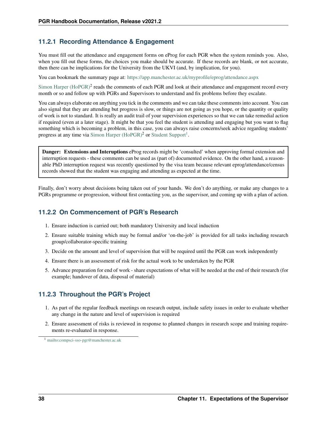## **11.2.1 Recording Attendance & Engagement**

You must fill out the attendance and engagement forms on eProg for each PGR when the system reminds you. Also, when you fill out these forms, the choices you make should be accurate. If these records are blank, or not accurate, then there can be implications for the University from the UKVI (and, by implication, for you).

You can bookmark the summary page at: <https://app.manchester.ac.uk/myprofile/eprog/attendance.aspx>

Simon Harper  $(HoPGR)^2$  reads the comments of each PGR and look at their attendance and engagement record every month or so and follow up with PGRs and Supervisors to understand and fix problems before they escalate.

You can always elaborate on anything you tick in the comments and we can take these comments into account. You can also signal that they are attending but progress is slow, or things are not going as you hope, or the quantity or quality of work is not to standard. It is really an audit trail of your supervision experiences so that we can take remedial action if required (even at a later stage). It might be that you feel the student is attending and engaging but you want to flag something which is becoming a problem, in this case, you can always raise concerns/seek advice regarding students' progress at any time via [Simon Harper \(HoPGR\)](mailto:simon.harper@manchester.ac.uk)<sup>2</sup> or [Student Support](mailto:compsci-sso-pgr@manchester.ac.uk)<sup>[1](#page-41-0)</sup>.

Danger: Extensions and Interuptions eProg records might be 'consulted' when approving formal extension and interruption requests - these comments can be used as (part of) documented evidence. On the other hand, a reasonable PhD interruption request was recently questioned by the visa team because relevant eprog/attendance/census records showed that the student was engaging and attending as expected at the time.

Finally, don't worry about decisions being taken out of your hands. We don't do anything, or make any changes to a PGRs programme or progression, without first contacting you, as the supervisor, and coming up with a plan of action.

### **11.2.2 On Commencement of PGR's Research**

- 1. Ensure induction is carried out; both mandatory University and local induction
- 2. Ensure suitable training which may be formal and/or 'on-the-job' is provided for all tasks including research group/collaborator-specific training
- 3. Decide on the amount and level of supervision that will be required until the PGR can work independently
- 4. Ensure there is an assessment of risk for the actual work to be undertaken by the PGR
- 5. Advance preparation for end of work share expectations of what will be needed at the end of their research (for example; handover of data, disposal of material)

### **11.2.3 Throughout the PGR's Project**

- 1. As part of the regular feedback meetings on research output, include safety issues in order to evaluate whether any change in the nature and level of supervision is required
- 2. Ensure assessment of risks is reviewed in response to planned changes in research scope and training requirements re-evaluated in response.

<span id="page-41-0"></span><sup>1</sup> <mailto:compsci-sso-pgr@manchester.ac.uk>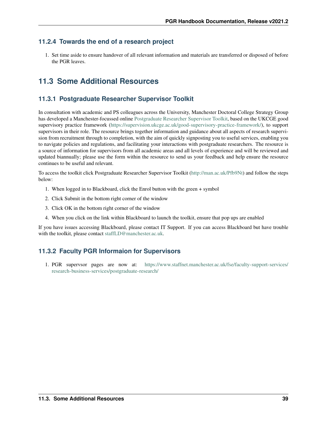### **11.2.4 Towards the end of a research project**

1. Set time aside to ensure handover of all relevant information and materials are transferred or disposed of before the PGR leaves.

# **11.3 Some Additional Resources**

### **11.3.1 Postgraduate Researcher Supervisor Toolkit**

In consultation with academic and PS colleagues across the University, Manchester Doctoral College Strategy Group has developed a Manchester-focussed online [Postgraduate Researcher Supervisor Toolkit,](http://man.ac.uk/Pfb9Nt) based on the UKCGE good supervisory practice framework [\(https://supervision.ukcge.ac.uk/good-supervisory-practice-framework/\)](https://supervision.ukcge.ac.uk/good-supervisory-practice-framework/), to support supervisors in their role. The resource brings together information and guidance about all aspects of research supervision from recruitment through to completion, with the aim of quickly signposting you to useful services, enabling you to navigate policies and regulations, and facilitating your interactions with postgraduate researchers. The resource is a source of information for supervisors from all academic areas and all levels of experience and will be reviewed and updated biannually; please use the form within the resource to send us your feedback and help ensure the resource continues to be useful and relevant.

To access the toolkit click Postgraduate Researcher Supervisor Toolkit [\(http://man.ac.uk/Pfb9Nt\)](http://man.ac.uk/Pfb9Nt) and follow the steps below:

- 1. When logged in to Blackboard, click the Enrol button with the green + symbol
- 2. Click Submit in the bottom right corner of the window
- 3. Click OK in the bottom right corner of the window
- 4. When you click on the link within Blackboard to launch the toolkit, ensure that pop ups are enabled

If you have issues accessing Blackboard, please contact IT Support. If you can access Blackboard but have trouble with the toolkit, please contact [staffLD@manchester.ac.uk.](mailto:staffLD@manchester.ac.uk)

## **11.3.2 Faculty PGR Informaion for Supervisors**

1. PGR supervsor pages are now at: [https://www.staffnet.manchester.ac.uk/fse/faculty-support-services/](https://www.staffnet.manchester.ac.uk/fse/faculty-support-services/research-business-services/postgraduate-research/) [research-business-services/postgraduate-research/](https://www.staffnet.manchester.ac.uk/fse/faculty-support-services/research-business-services/postgraduate-research/)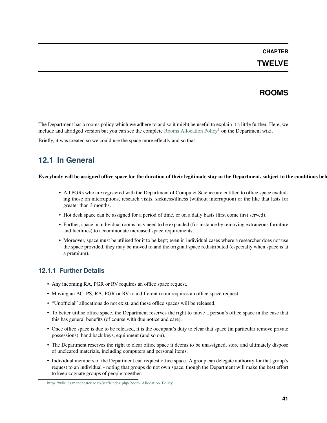### **TWELVE**

## **ROOMS**

The Department has a rooms policy which we adhere to and so it might be useful to explain it a little further. Here, we include and abridged version but you can see the complete [Rooms Allocation Policy](https://wiki.cs.manchester.ac.uk/staff/index.php/Room_Allocation_Policy)<sup>[1](#page-44-0)</sup> on the Department wiki.

Briefly, it was created so we could use the space more effectly and so that

## **12.1 In General**

#### Everybody will be assigned office space for the duration of their legitimate stay in the Department, subject to the conditions below.

- All PGRs who are registered with the Department of Computer Science are entitled to office space excluding those on interruptions, research visits, sickness/illness (without interruption) or the like that lasts for greater than 3 months.
- Hot desk space can be assigned for a period of time, or on a daily basis (first come first served).
- Further, space in individual rooms may need to be expanded (for instance by removing extraneous furniture and facilities) to accommodate increased space requirements
- Moreover, space must be utilised for it to be kept; even in individual cases where a researcher does not use the space provided, they may be moved to and the original space redistributed (especially when space is at a premium).

#### **12.1.1 Further Details**

- Any incoming RA, PGR or RV requires an office space request.
- Moving an AC, PS, RA, PGR or RV to a different room requires an office space request.
- "Unofficial" allocations do not exist, and these office spaces will be released.
- To better utilise office space, the Department reserves the right to move a person's office space in the case that this has general benefits (of course with due notice and care).
- Once office space is due to be released, it is the occupant's duty to clear that space (in particular remove private possessions), hand back keys, equipment (and so on).
- The Department reserves the right to clear office space it deems to be unassigned, store and ultimately dispose of uncleared materials, including computers and personal items.
- Individual members of the Department can request office space. A group can delegate authority for that group's request to an individual - noting that groups do not own space, though the Department will make the best effort to keep cognate groups of people together.

<span id="page-44-0"></span><sup>1</sup> [https://wiki.cs.manchester.ac.uk/staff/index.php/Room\\_Allocation\\_Policy](https://wiki.cs.manchester.ac.uk/staff/index.php/Room_Allocation_Policy)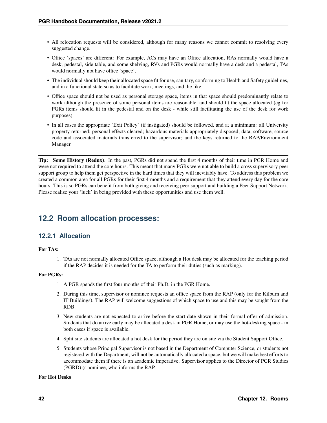- All relocation requests will be considered, although for many reasons we cannot commit to resolving every suggested change.
- Office 'spaces' are different: For example, ACs may have an Office allocation, RAs normally would have a desk, pedestal, side table, and some shelving, RVs and PGRs would normally have a desk and a pedestal, TAs would normally not have office 'space'.
- The individual should keep their allocated space fit for use, sanitary, conforming to Health and Safety guidelines, and in a functional state so as to facilitate work, meetings, and the like.
- Office space should not be used as personal storage space, items in that space should predominantly relate to work although the presence of some personal items are reasonable, and should fit the space allocated (eg for PGRs items should fit in the pedestal and on the desk - while still facilitating the use of the desk for work purposes).
- In all cases the appropriate 'Exit Policy' (if instigated) should be followed, and at a minimum: all University property returned; personal effects cleared; hazardous materials appropriately disposed; data, software, source code and associated materials transferred to the supervisor; and the keys returned to the RAP/Environment Manager.

Tip: Some History (Redux). In the past, PGRs did not spend the first 4 months of their time in PGR Home and were not required to attend the core hours. This meant that many PGRs were not able to build a cross supervisory peer support group to help them get perspective in the hard times that they will inevitably have. To address this problem we created a common area for all PGRs for their first 4 months and a requirement that they attend every day for the core hours. This is so PGRs can benefit from both giving and receiving peer support and building a Peer Support Network. Please realise your 'luck' in being provided with these opportunities and use them well.

## **12.2 Room allocation processes:**

### **12.2.1 Allocation**

#### For TAs:

1. TAs are not normally allocated Office space, although a Hot desk may be allocated for the teaching period if the RAP decides it is needed for the TA to perform their duties (such as marking).

#### For PGRs:

- 1. A PGR spends the first four months of their Ph.D. in the PGR Home.
- 2. During this time, supervisor or nominee requests an office space from the RAP (only for the Kilburn and IT Buildings). The RAP will welcome suggestions of which space to use and this may be sought from the RDB.
- 3. New students are not expected to arrive before the start date shown in their formal offer of admission. Students that do arrive early may be allocated a desk in PGR Home, or may use the hot-desking space - in both cases if space is available.
- 4. Split site students are allocated a hot desk for the period they are on site via the Student Support Office.
- 5. Students whose Principal Supervisor is not based in the Department of Computer Science, or students not registered with the Department, will not be automatically allocated a space, but we will make best efforts to accommodate them if there is an academic imperative. Supervisor applies to the Director of PGR Studies (PGRD) (r nominee, who informs the RAP.

#### For Hot Desks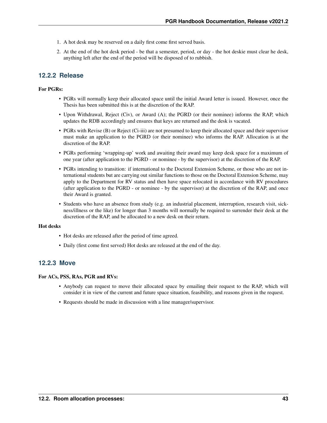- 1. A hot desk may be reserved on a daily first come first served basis.
- 2. At the end of the hot desk period be that a semester, period, or day the hot deskie must clear he desk, anything left after the end of the period will be disposed of to rubbish.

### **12.2.2 Release**

#### For PGRs:

- PGRs will normally keep their allocated space until the initial Award letter is issued. However, once the Thesis has been submitted this is at the discretion of the RAP.
- Upon Withdrawal, Reject (Civ), or Award (A); the PGRD (or their nominee) informs the RAP, which updates the RDB accordingly and ensures that keys are returned and the desk is vacated.
- PGRs with Revise (B) or Reject (Ci-iii) are not presumed to keep their allocated space and their supervisor must make an application to the PGRD (or their nominee) who informs the RAP. Allocation is at the discretion of the RAP.
- PGRs performing 'wrapping-up' work and awaiting their award may keep desk space for a maximum of one year (after application to the PGRD - or nominee - by the supervisor) at the discretion of the RAP.
- PGRs intending to transition: if international to the Doctoral Extension Scheme, or those who are not international students but are carrying out similar functions to those on the Doctoral Extension Scheme, may apply to the Department for RV status and then have space relocated in accordance with RV procedures (after application to the PGRD - or nominee - by the supervisor) at the discretion of the RAP, and once their Award is granted.
- Students who have an absence from study (e.g. an industrial placement, interruption, research visit, sickness/illness or the like) for longer than 3 months will normally be required to surrender their desk at the discretion of the RAP, and be allocated to a new desk on their return.

#### Hot desks

- Hot desks are released after the period of time agreed.
- Daily (first come first served) Hot desks are released at the end of the day.

#### **12.2.3 Move**

#### For ACs, PSS, RAs, PGR and RVs:

- Anybody can request to move their allocated space by emailing their request to the RAP, which will consider it in view of the current and future space situation, feasibility, and reasons given in the request.
- Requests should be made in discussion with a line manager/supervisor.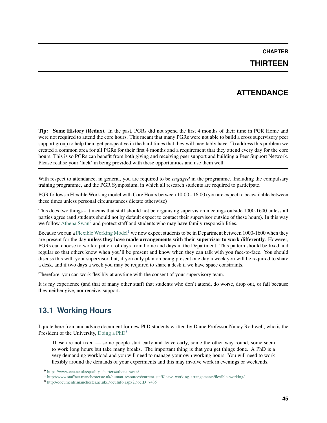## **THIRTEEN**

## **ATTENDANCE**

Tip: Some History (Redux). In the past, PGRs did not spend the first 4 months of their time in PGR Home and were not required to attend the core hours. This meant that many PGRs were not able to build a cross supervisory peer support group to help them get perspective in the hard times that they will inevitably have. To address this problem we created a common area for all PGRs for their first 4 months and a requirement that they attend every day for the core hours. This is so PGRs can benefit from both giving and receiving peer support and building a Peer Support Network. Please realise your 'luck' in being provided with these opportunities and use them well.

With respect to attendance, in general, you are required to be *engaged* in the programme. Including the compulsary training programme, and the PGR Symposium, in which all research students are required to participate.

PGR follows a Flexible Working model with Core Hours between 10:00 - 16:00 (you are expect to be available between these times unless personal circumstances dictate otherwise)

This does two things - it means that staff should not be organising supervision meetings outside 1000-1600 unless all parties agree (and students should not by default expect to contact their supervisor outside of these hours). In this way we follow [Athena Swan](https://www.ecu.ac.uk/equality-charters/athena-swan/)<sup>[9](#page-48-0)</sup> and protect staff and students who may have family responsibilities.

Because we run a [Flexible Working Model](http://www.staffnet.manchester.ac.uk/human-resources/current-staff/leave-working-arrangements/flexible-working/)<sup>[1](#page-48-1)</sup> we now expect students to be in Department between 1000-1600 when they are present for the day unless they have made arrangements with their supervisor to work differently. However, PGRs can choose to work a pattern of days from home and days in the Department. This pattern should be fixed and regular so that others know when you'll be present and know when they can talk with you face-to-face. You should discuss this with your supervisor, but, if you only plan on being present one day a week you will be required to share a desk, and if two days a week you may be required to share a desk if we have space constraints.

Therefore, you can work flexibly at anytime with the consent of your supervisory team.

It is my experience (and that of many other staff) that students who don't attend, do worse, drop out, or fail because they neither give, nor receive, support.

## **13.1 Working Hours**

I quote here from and advice document for new PhD students written by Dame Professor Nancy Rothwell, who is the President of the University, [Doing a PhD](http://documents.manchester.ac.uk/DocuInfo.aspx?DocID=7435)<sup>[8](#page-48-2)</sup>

These are not fixed — some people start early and leave early, some the other way round, some seem to work long hours but take many breaks. The important thing is that you get things done. A PhD is a very demanding workload and you will need to manage your own working hours. You will need to work flexibly around the demands of your experiments and this may involve work in evenings or weekends.

<span id="page-48-0"></span><sup>9</sup> <https://www.ecu.ac.uk/equality-charters/athena-swan/>

<span id="page-48-1"></span><sup>1</sup> <http://www.staffnet.manchester.ac.uk/human-resources/current-staff/leave-working-arrangements/flexible-working/>

<span id="page-48-2"></span><sup>8</sup> <http://documents.manchester.ac.uk/DocuInfo.aspx?DocID=7435>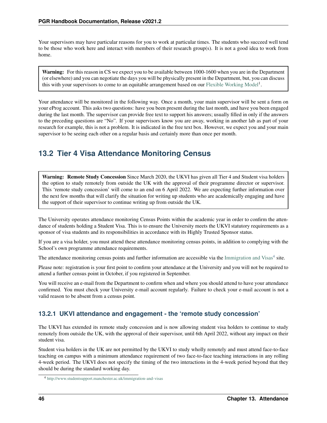Your supervisors may have particular reasons for you to work at particular times. The students who succeed well tend to be those who work here and interact with members of their research group(s). It is not a good idea to work from home.

Warning: For this reason in CS we expect you to be available between 1000-1600 when you are in the Department (or elsewhere) and you can negotiate the days you will be physically present in the Department, but, you can discuss this with your supervisors to come to an equitable arrangement based on our [Flexible Working Model](http://www.staffnet.manchester.ac.uk/human-resources/current-staff/leave-working-arrangements/flexible-working/)<sup>1</sup>.

Your attendance will be monitored in the following way. Once a month, your main supervisor will be sent a form on your eProg account. This asks two questions: have you been present during the last month, and have you been engaged during the last month. The supervisor can provide free text to support his answers; usually filled in only if the answers to the preceding questions are "No". If your supervisors know you are away, working in another lab as part of your research for example, this is not a problem. It is indicated in the free text box. However, we expect you and your main supervisor to be seeing each other on a regular basis and certainly more than once per month.

# **13.2 Tier 4 Visa Attendance Monitoring Census**

Warning: Remote Study Concession Since March 2020, the UKVI has given all Tier 4 and Student visa holders the option to study remotely from outside the UK with the approval of their programme director or supervisor. This 'remote study concession' will come to an end on 6 April 2022. We are expecting further information over the next few months that will clarify the situation for writing up students who are academically engaging and have the support of their supervisor to continue writing up from outside the UK.

The University operates attendance monitoring Census Points within the academic year in order to confirm the attendance of students holding a Student Visa. This is to ensure the University meets the UKVI statutory requirements as a sponsor of visa students and its responsibilities in accordance with its Highly Trusted Sponsor status.

If you are a visa holder, you must attend these attendance monitoring census points, in addition to complying with the School's own programme attendance requirements.

The attendance monitoring census points and further information are accessible via the [Immigration and Visas](http://www.studentsupport.manchester.ac.uk/immigration-and-visas) $4$  site.

Please note: registration is your first point to confirm your attendance at the University and you will not be required to attend a further census point in October, if you registered in September.

You will receive an e-mail from the Department to confirm when and where you should attend to have your attendance confirmed. You must check your University e-mail account regularly. Failure to check your e-mail account is not a valid reason to be absent from a census point.

## **13.2.1 UKVI attendance and engagement - the 'remote study concession'**

The UKVI has extended its remote study concession and is now allowing student visa holders to continue to study remotely from outside the UK, with the approval of their supervisor, until 6th April 2022, without any impact on their student visa.

Student visa holders in the UK are not permitted by the UKVI to study wholly remotely and must attend face-to-face teaching on campus with a minimum attendance requirement of two face-to-face teaching interactions in any rolling 4-week period. The UKVI does not specify the timing of the two interactions in the 4-week period beyond that they should be during the standard working day.

<span id="page-49-0"></span><sup>4</sup> <http://www.studentsupport.manchester.ac.uk/immigration-and-visas>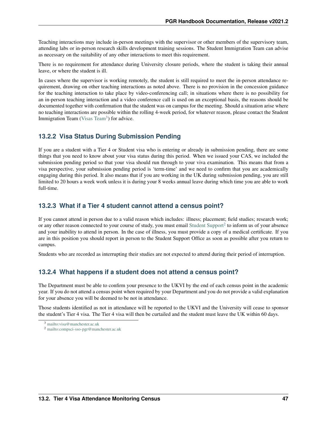Teaching interactions may include in-person meetings with the supervisor or other members of the supervisory team, attending labs or in-person research skills development training sessions. The Student Immigration Team can advise as necessary on the suitability of any other interactions to meet this requirement.

There is no requirement for attendance during University closure periods, where the student is taking their annual leave, or where the student is ill.

In cases where the supervisor is working remotely, the student is still required to meet the in-person attendance requirement, drawing on other teaching interactions as noted above. There is no provision in the concession guidance for the teaching interaction to take place by video-conferencing call; in situations where there is no possibility for an in-person teaching interaction and a video conference call is used on an exceptional basis, the reasons should be documented together with confirmation that the student was on campus for the meeting. Should a situation arise where no teaching interactions are possible within the rolling 4-week period, for whatever reason, please contact the Student Immigration Team [\(Visas Team](mailto:visa@manchester.ac.uk)<sup>[3](#page-50-0)</sup>) for advice.

### **13.2.2 Visa Status During Submission Pending**

If you are a student with a Tier 4 or Student visa who is entering or already in submission pending, there are some things that you need to know about your visa status during this period. When we issued your CAS, we included the submission pending period so that your visa should run through to your viva examination. This means that from a visa perspective, your submission pending period is 'term-time' and we need to confirm that you are academically engaging during this period. It also means that if you are working in the UK during submission pending, you are still limited to 20 hours a week work unless it is during your 8 weeks annual leave during which time you are able to work full-time.

### **13.2.3 What if a Tier 4 student cannot attend a census point?**

If you cannot attend in person due to a valid reason which includes: illness; placement; field studies; research work; or any other reason connected to your course of study, you must email [Student Support](mailto:compsci-sso-pgr@manchester.ac.uk)<sup>[2](#page-50-1)</sup> to inform us of your absence and your inability to attend in person. In the case of illness, you must provide a copy of a medical certificate. If you are in this position you should report in person to the Student Support Office as soon as possible after you return to campus.

Students who are recorded as interrupting their studies are not expected to attend during their period of interruption.

## **13.2.4 What happens if a student does not attend a census point?**

The Department must be able to confirm your presence to the UKVI by the end of each census point in the academic year. If you do not attend a census point when required by your Department and you do not provide a valid explanation for your absence you will be deemed to be not in attendance.

Those students identified as not in attendance will be reported to the UKVI and the University will cease to sponsor the student's Tier 4 visa. The Tier 4 visa will then be curtailed and the student must leave the UK within 60 days.

<span id="page-50-0"></span><sup>3</sup> <mailto:visa@manchester.ac.uk>

<span id="page-50-1"></span><sup>2</sup> <mailto:compsci-sso-pgr@manchester.ac.uk>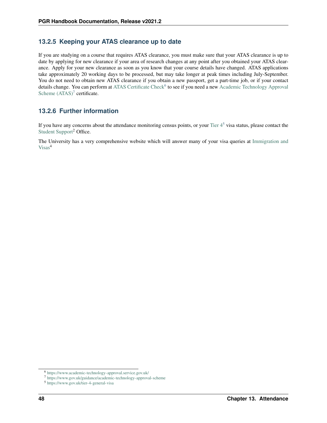### **13.2.5 Keeping your ATAS clearance up to date**

If you are studying on a course that requires ATAS clearance, you must make sure that your ATAS clearance is up to date by applying for new clearance if your area of research changes at any point after you obtained your ATAS clearance. Apply for your new clearance as soon as you know that your course details have changed. ATAS applications take approximately 20 working days to be processed, but may take longer at peak times including July-September. You do not need to obtain new ATAS clearance if you obtain a new passport, get a part-time job, or if your contact details change. You can perform at [ATAS Certificate Check](https://www.academic-technology-approval.service.gov.uk/)<sup>[6](#page-51-0)</sup> to see if you need a new [Academic Technology Approval](https://www.gov.uk/guidance/academic-technology-approval-scheme) Scheme  $(ATAS)^7$  $(ATAS)^7$  certificate.

### **13.2.6 Further information**

If you have any concerns about the attendance monitoring census points, or your Tier  $4<sup>5</sup>$  $4<sup>5</sup>$  $4<sup>5</sup>$  visa status, please contact the [Student Support](mailto:compsci-sso-pgr@manchester.ac.uk)<sup>2</sup> Office.

The University has a very comprehensive website which will answer many of your visa queries at [Immigration and](http://www.studentsupport.manchester.ac.uk/immigration-and-visas) [Visas](http://www.studentsupport.manchester.ac.uk/immigration-and-visas)<sup>4</sup>

<span id="page-51-0"></span><sup>6</sup> <https://www.academic-technology-approval.service.gov.uk/>

<span id="page-51-1"></span><sup>7</sup> <https://www.gov.uk/guidance/academic-technology-approval-scheme>

<span id="page-51-2"></span><sup>5</sup> <https://www.gov.uk/tier-4-general-visa>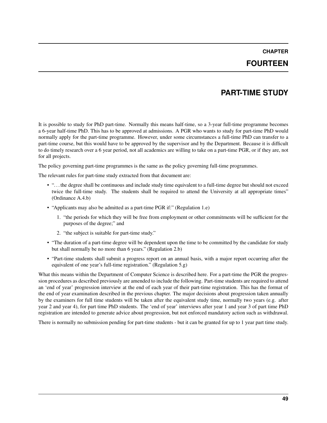## **CHAPTER FOURTEEN**

## **PART-TIME STUDY**

It is possible to study for PhD part-time. Normally this means half-time, so a 3-year full-time programme becomes a 6-year half-time PhD. This has to be approved at admissions. A PGR who wants to study for part-time PhD would normally apply for the part-time programme. However, under some circumstances a full-time PhD can transfer to a part-time course, but this would have to be approved by the supervisor and by the Department. Because it is difficult to do timely research over a 6 year period, not all academics are willing to take on a part-time PGR, or if they are, not for all projects.

The policy governing part-time programmes is the same as the policy governing full-time programmes.

The relevant rules for part-time study extracted from that document are:

- ". . . the degree shall be continuous and include study time equivalent to a full-time degree but should not exceed twice the full-time study. The students shall be required to attend the University at all appropriate times" (Ordinance A.4.b)
- "Applicants may also be admitted as a part-time PGR if:" (Regulation 1.e)
	- 1. "the periods for which they will be free from employment or other commitments will be sufficient for the purposes of the degree;" and
	- 2. "the subject is suitable for part-time study."
- "The duration of a part-time degree will be dependent upon the time to be committed by the candidate for study but shall normally be no more than 6 years." (Regulation 2.b)
- "Part-time students shall submit a progress report on an annual basis, with a major report occurring after the equivalent of one year's full-time registration." (Regulation 5.g)

What this means within the Department of Computer Science is described here. For a part-time the PGR the progression procedures as described previously are amended to include the following. Part-time students are required to attend an 'end of year' progression interview at the end of each year of their part-time registration. This has the format of the end of year examination described in the previous chapter. The major decisions about progression taken annually by the examiners for full time students will be taken after the equivalent study time, normally two years (e.g. after year 2 and year 4), for part time PhD students. The 'end of year' interviews after year 1 and year 3 of part time PhD registration are intended to generate advice about progression, but not enforced mandatory action such as withdrawal.

There is normally no submission pending for part-time students - but it can be granted for up to 1 year part time study.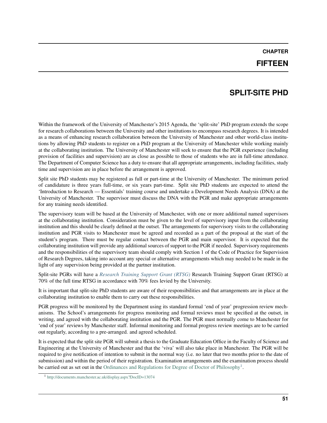### **FIFTEEN**

## **SPLIT-SITE PHD**

Within the framework of the University of Manchester's 2015 Agenda, the 'split-site' PhD program extends the scope for research collaborations between the University and other institutions to encompass research degrees. It is intended as a means of enhancing research collaboration between the University of Manchester and other world-class institutions by allowing PhD students to register on a PhD program at the University of Manchester while working mainly at the collaborating institution. The University of Manchester will seek to ensure that the PGR experience (including provision of facilities and supervision) are as close as possible to those of students who are in full-time attendance. The Department of Computer Science has a duty to ensure that all appropriate arrangements, including facilities, study time and supervision are in place before the arrangement is approved.

Split site PhD students may be registered as full or part-time at the University of Manchester. The minimum period of candidature is three years full-time, or six years part-time. Split site PhD students are expected to attend the 'Introduction to Research — Essentials' training course and undertake a Development Needs Analysis (DNA) at the University of Manchester. The supervisor must discuss the DNA with the PGR and make appropriate arrangements for any training needs identified.

The supervisory team will be based at the University of Manchester, with one or more additional named supervisors at the collaborating institution. Consideration must be given to the level of supervisory input from the collaborating institution and this should be clearly defined at the outset. The arrangements for supervisory visits to the collaborating institution and PGR visits to Manchester must be agreed and recorded as a part of the proposal at the start of the student's program. There must be regular contact between the PGR and main supervisor. It is expected that the collaborating institution will provide any additional sources of support to the PGR if needed. Supervisory requirements and the responsibilities of the supervisory team should comply with Section 1 of the Code of Practice for Supervision of Research Degrees, taking into account any special or alternative arrangements which may needed to be made in the light of any supervision being provided at the partner institution.

Split-site PGRs will have a *[Research Training Support Grant \(RTSG\)](#page-62-0)* Research Training Support Grant (RTSG) at 70% of the full time RTSG in accordance with 70% fees levied by the University.

It is important that split-site PhD students are aware of their responsibilities and that arrangements are in place at the collaborating institution to enable them to carry out these responsibilities.

PGR progress will be monitored by the Department using its standard formal 'end of year' progression review mechanisms. The School's arrangements for progress monitoring and formal reviews must be specified at the outset, in writing, and agreed with the collaborating institution and the PGR. The PGR must normally come to Manchester for 'end of year' reviews by Manchester staff. Informal monitoring and formal progress review meetings are to be carried out regularly, according to a pre-arranged. and agreed scheduled.

It is expected that the split site PGR will submit a thesis to the Graduate Education Office in the Faculty of Science and Engineering at the University of Manchester and that the 'viva' will also take place in Manchester. The PGR will be required to give notification of intention to submit in the normal way (i.e. no later that two months prior to the date of submission) and within the period of their registration. Examination arrangements and the examination process should be carried out as set out in the [Ordinances and Regulations for Degree of Doctor of Philosophy](http://documents.manchester.ac.uk/display.aspx?DocID=13074)<sup>[1](#page-54-0)</sup>.

<span id="page-54-0"></span><sup>1</sup> <http://documents.manchester.ac.uk/display.aspx?DocID=13074>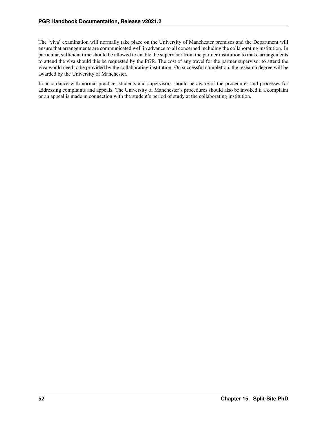The 'viva' examination will normally take place on the University of Manchester premises and the Department will ensure that arrangements are communicated well in advance to all concerned including the collaborating institution. In particular, sufficient time should be allowed to enable the supervisor from the partner institution to make arrangements to attend the viva should this be requested by the PGR. The cost of any travel for the partner supervisor to attend the viva would need to be provided by the collaborating institution. On successful completion, the research degree will be awarded by the University of Manchester.

In accordance with normal practice, students and supervisors should be aware of the procedures and processes for addressing complaints and appeals. The University of Manchester's procedures should also be invoked if a complaint or an appeal is made in connection with the student's period of study at the collaborating institution.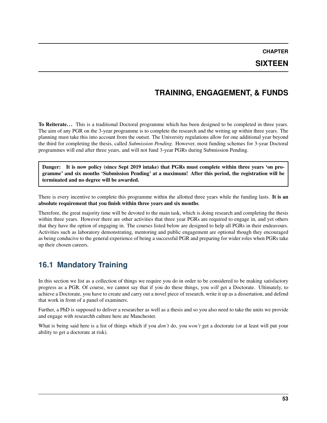## **SIXTEEN**

## **TRAINING, ENGAGEMENT, & FUNDS**

To Reiterate... This is a traditional Doctoral programme which has been designed to be completed in three years. The aim of any PGR on the 3-year programme is to complete the research and the writing up within three years. The planning must take this into account from the outset. The University regulations allow for one additional year beyond the third for completing the thesis, called *Submission Pending*. However, most funding schemes for 3-year Doctoral programmes will end after three years, and will not fund 3-year PGRs during Submission Pending.

Danger: It is now policy (since Sept 2019 intake) that PGRs must complete within three years 'on programme' and six months 'Submission Pending' at a maximum! After this period, the registration will be terminated and no degree will be awarded.

There is every incentive to complete this programme within the allotted three years while the funding lasts. It is an absolute requirement that you finish within three years and six months.

Therefore, the great majority time will be devoted to the main task, which is doing research and completing the thesis within three years. However there are other activities that three year PGRs are required to engage in, and yet others that they have the option of engaging in. The courses listed below are designed to help all PGRs in their endeavours. Activities such as laboratory demonstrating, mentoring and public engagement are optional though they encouraged as being conducive to the general experience of being a successful PGR and preparing for wider roles when PGRs take up their chosen careers.

## **16.1 Mandatory Training**

In this section we list as a collection of things we require you do in order to be considered to be making satisfactory progress as a PGR. Of course, we cannot say that if you do these things, you *will* get a Doctorate. Ultimately, to achieve a Doctorate, you have to create and carry out a novel piece of research, write it up as a dissertation, and defend that work in front of a panel of examiners.

Further, a PhD is supposed to deliver a researcher as well as a thesis and so you also need to take the units we provide and engage with researchh culture here ate Manchester.

What is being said here is a list of things which if you *don't* do, you *won't* get a doctorate (or at least will put your ability to get a doctorate at risk).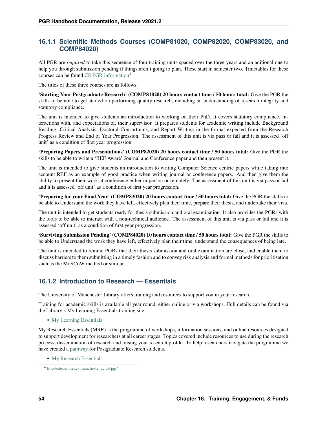### **16.1.1 Scientific Methods Courses (COMP81020, COMP82020, COMP83020, and COMP84020)**

All PGR are *required* to take this sequence of four training units spaced over the three years and an aditional one to help you through submission pending if things aren't going to plan. These start in semester two. Timetables for these courses can be found [CS PGR information](http://studentnet.cs.manchester.ac.uk/pgr/)[4](#page-57-0)

The titles of these three courses are as follows:

'Starting Your Postgraduate Research' (COMP81020) 20 hours contact time / 50 hours total: Give the PGR the skills to be able to get started on performing quality research, including an understanding of research integrity and statutory compliance.

The unit is intended to give students an introduction to working on their PhD. It covers statutory compliance, interactions with, and expectations of, their supervisor. It prepares students for academic writing include Background Reading, Critical Analysis, Doctoral Consortiums, and Report Writing in the format expected from the Research Progress Review and End of Year Progression. The assessment of this unit is via pass or fail and it is assessed 'off unit' as a condition of first year progression.

'Preparing Papers and Presentations' (COMP82020) 20 hours contact time / 50 hours total: Give the PGR the skills to be able to write a 'REF Aware' Journal and Conference paper and then present it.

The unit is intended to give students an introduction to writing Computer Science centric papers while taking into account REF as an example of good practice when writing journal or conference papers. And then give them the ability to present their work at conference either in person or remotely. The assessment of this unit is via pass or fail and it is assessed 'off unit' as a condition of first year progression.

'Preparing for your Final Year' (COMP83020) 20 hours contact time / 50 hours total: Give the PGR the skills to be able to Understand the work they have left, effectively plan their time, prepare their thesis, and undertake their viva.

The unit is intended to get students ready for thesis submission and oral examination. It also provides the PGRs with the tools to be able to interact with a non-technical audience. The assessment of this unit is via pass or fail and it is assessed 'off unit' as a condition of first year progression.

'Surviving Submission Pending' (COMP84020) 10 hours contact time / 50 hours total: Give the PGR the skills to be able to Understand the work they have left, effectively plan their time, understand the consequences of being late.

The unit is intended to remind PGRs that their thesis submission and oral examination are close, and enable them to discuss barriers to them submitting in a timely fashion and to convey risk analysis and formal methods for prioritisation such as the MoSCoW method or similar.

## **16.1.2 Introduction to Research — Essentials**

The University of Manchester Library offers training and resources to support you in your research.

Training for academic skills is available all year round, either online or via workshops. Full details can be found via the Library's My Learning Essentials training site:

• [My Learning Essentials](http://www.library.manchester.ac.uk/using-the-library/students/training-and-skills-support/my-learning-essentials/)

My Research Essentials (MRE) is the programme of workshops, information sessions, and online resources designed to support development for researchers at all career stages. Topics covered include resources to use during the research process, dissemination of research and raising your research profile. To help researchers navigate the programme we have created a [pathway](https://www.library.manchester.ac.uk/using-the-library/staff/research/my-research-essentials/drop-ins/) for Postgraduate Research students.

• [My Research Essentials](https://www.library.manchester.ac.uk/using-the-library/staff/research/my-research-essentials/)

<span id="page-57-0"></span><sup>4</sup> <http://studentnet.cs.manchester.ac.uk/pgr/>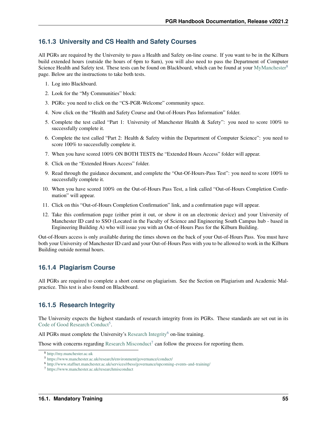### **16.1.3 University and CS Health and Safety Courses**

All PGRs are required by the University to pass a Health and Safety on-line course. If you want to be in the Kilburn build extended hours (outside the hours of 6pm to 8am), you will also need to pass the Department of Computer Science Health and Safety test. These tests can be found on Blackboard, which can be found at your [MyManchester](http://my.manchester.ac.uk)<sup>[8](#page-58-0)</sup> page. Below are the instructions to take both tests.

- 1. Log into Blackboard.
- 2. Look for the "My Communities" block:
- 3. PGRs: you need to click on the "CS-PGR-Welcome" community space.
- 4. Now click on the "Health and Safety Course and Out-of-Hours Pass Information" folder.
- 5. Complete the test called "Part 1: University of Manchester Health & Safety": you need to score 100% to successfully complete it.
- 6. Complete the test called "Part 2: Health & Safety within the Department of Computer Science": you need to score 100% to successfully complete it.
- 7. When you have scored 100% ON BOTH TESTS the "Extended Hours Access" folder will appear.
- 8. Click on the "Extended Hours Access" folder.
- 9. Read through the guidance document, and complete the "Out-Of-Hours-Pass Test": you need to score 100% to successfully complete it.
- 10. When you have scored 100% on the Out-of-Hours Pass Test, a link called "Out-of-Hours Completion Confirmation" will appear.
- 11. Click on this "Out-of-Hours Completion Confirmation" link, and a confirmation page will appear.
- 12. Take this confirmation page (either print it out, or show it on an electronic device) and your University of Manchester ID card to SSO (Located in the Faculty of Science and Engineering South Campus hub - based in Engineering Building A) who will issue you with an Out-of-Hours Pass for the Kilburn Building.

Out-of-Hours access is only available during the times shown on the back of your Out-of-Hours Pass. You must have both your University of Manchester ID card and your Out-of-Hours Pass with you to be allowed to work in the Kilburn Building outside normal hours.

### **16.1.4 Plagiarism Course**

All PGRs are required to complete a short course on plagiarism. See the Section on Plagiarism and Academic Malpractice. This test is also found on Blackboard.

### **16.1.5 Research Integrity**

The University expects the highest standards of research integrity from its PGRs. These standards are set out in its [Code of Good Research Conduct](https://www.manchester.ac.uk/research/environment/governance/conduct/)<sup>[5](#page-58-1)</sup>.

All PGRs must complete the University's [Research Integrity](http://www.staffnet.manchester.ac.uk/services/rbess/governance/upcoming-events-and-training/)<sup>[6](#page-58-2)</sup> on-line training.

Those with concerns regarding [Research Misconduct](https://www.manchester.ac.uk/researchmisconduct)<sup>[7](#page-58-3)</sup> can follow the process for reporting them.

<span id="page-58-0"></span><sup>8</sup> <http://my.manchester.ac.uk>

<span id="page-58-1"></span><sup>5</sup> <https://www.manchester.ac.uk/research/environment/governance/conduct/>

<span id="page-58-2"></span><sup>6</sup> <http://www.staffnet.manchester.ac.uk/services/rbess/governance/upcoming-events-and-training/>

<span id="page-58-3"></span><sup>7</sup> <https://www.manchester.ac.uk/researchmisconduct>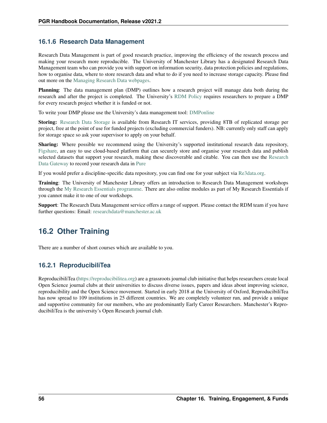## **16.1.6 Research Data Management**

Research Data Management is part of good research practice, improving the efficiency of the research process and making your research more reproducible. The University of Manchester Library has a designated Research Data Management team who can provide you with support on information security, data protection policies and regulations, how to organise data, where to store research data and what to do if you need to increase storage capacity. Please find out more on the [Managing Research Data webpages.](https://www.library.manchester.ac.uk/using-the-library/staff/research/research-data-management/)

Planning: The data management plan (DMP) outlines how a research project will manage data both during the research and after the project is completed. The University's [RDM Policy](https://www.library.manchester.ac.uk/using-the-library/staff/research/research-data-management/policies/) requires researchers to prepare a DMP for every research project whether it is funded or not.

To write your DMP please use the University's data management tool: [DMPonline](https://dmponline.manchester.ac.uk/)

Storing: [Research Data Storage](https://www.library.manchester.ac.uk/using-the-library/staff/research/research-data-management/working/storage/) is available from Research IT services, providing 8TB of replicated storage per project, free at the point of use for funded projects (excluding commercial funders). NB: currently only staff can apply for storage space so ask your supervisor to apply on your behalf.

Sharing: Where possible we recommend using the University's supported institutional research data repository, [Figshare,](https://figshare.manchester.ac.uk/) an easy to use cloud-based platform that can securely store and organise your research data and publish selected datasets that support your research, making these discoverable and citable. You can then use the [Research](https://www.library.manchester.ac.uk/using-the-library/staff/research/research-data-management/sharing/recording-data/) [Data Gateway](https://www.library.manchester.ac.uk/using-the-library/staff/research/research-data-management/sharing/recording-data/) to record your research data in [Pure](https://www.staffnet.manchester.ac.uk/pure/pgrs/)

If you would prefer a discipline-specific data repository, you can find one for your subject via [Re3data.org.](https://www.re3data.org/)

Training: The University of Manchester Library offers an introduction to Research Data Management workshops through the [My Research Essentials programme.](http://www.library.manchester.ac.uk/using-the-library/staff/research/my-research-essentials/) There are also online modules as part of My Research Essentials if you cannot make it to one of our workshops.

Support: The Research Data Management service offers a range of support. Please contact the RDM team if you have further questions: Email: [researchdata@manchester.ac.uk](mailto:researchdata@manchester.ac.uk)

# **16.2 Other Training**

There are a number of short courses which are available to you.

## **16.2.1 ReproducibiliTea**

ReproducibiliTea [\(https://reproducibilitea.org\)](https://reproducibilitea.org) are a grassroots journal club initiative that helps researchers create local Open Science journal clubs at their universities to discuss diverse issues, papers and ideas about improving science, reproducibility and the Open Science movement. Started in early 2018 at the University of Oxford, ReproducibiliTea has now spread to 109 institutions in 25 different countries. We are completely volunteer run, and provide a unique and supportive community for our members, who are predominantly Early Career Researchers. Manchester's ReproducibiliTea is the university's Open Research journal club.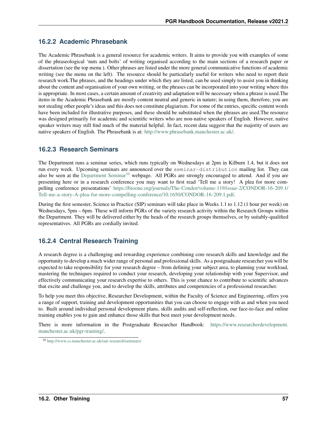## **16.2.2 Academic Phrasebank**

The Academic Phrasebank is a general resource for academic writers. It aims to provide you with examples of some of the phraseological 'nuts and bolts' of writing organised according to the main sections of a research paper or dissertation (see the top menu ). Other phrases are listed under the more general communicative functions of academic writing (see the menu on the left). The resource should be particularly useful for writers who need to report their research work.The phrases, and the headings under which they are listed, can be used simply to assist you in thinking about the content and organisation of your own writing, or the phrases can be incorporated into your writing where this is appropriate. In most cases, a certain amount of creativity and adaptation will be necessary when a phrase is used.The items in the Academic Phrasebank are mostly content neutral and generic in nature; in using them, therefore, you are not stealing other people's ideas and this does not constitute plagiarism. For some of the entries, specific content words have been included for illustrative purposes, and these should be substituted when the phrases are used.The resource was designed primarily for academic and scientific writers who are non-native speakers of English. However, native speaker writers may still find much of the material helpful. In fact, recent data suggest that the majority of users are native speakers of English. The Phrasebank is at: [http://www.phrasebank.manchester.ac.uk/.](http://www.phrasebank.manchester.ac.uk/)

## **16.2.3 Research Seminars**

The Department runs a seminar series, which runs typically on Wednesdays at 2pm in Kilburn 1.4, but it does not run every week. Upcoming seminars are announced over the seminar-distribution mailing list. They can also be seen at the [Department Seminar](http://www.cs.manchester.ac.uk/our-research/seminars/)<sup>[10](#page-60-0)</sup> webpage. All PGRs are strongly encouraged to attend. And if you are presenting here or in a research conference you may want to first read 'Tell me a story! A plea for more compelling conference presentations' [https://bioone.org/journals/The-Condor/volume-119/issue-2/CONDOR-16-209.1/](https://bioone.org/journals/The-Condor/volume-119/issue-2/CONDOR-16-209.1/Tell-me-a-story-A-plea-for-more-compelling-conference/10.1650/CONDOR-16-209.1.pdf) [Tell-me-a-story-A-plea-for-more-compelling-conference/10.1650/CONDOR-16-209.1.pdf.](https://bioone.org/journals/The-Condor/volume-119/issue-2/CONDOR-16-209.1/Tell-me-a-story-A-plea-for-more-compelling-conference/10.1650/CONDOR-16-209.1.pdf)

During the first semester, Science in Practice (SIP) seminars will take place in Weeks 1.1 to 1.12 (1 hour per week) on Wednesdays, 5pm – 6pm. These will inform PGRs of the variety research activity within the Research Groups within the Department. They will be delivered either by the heads of the research groups themselves, or by suitably-qualified representatives. All PGRs are cordially invited.

## **16.2.4 Central Research Training**

A research degree is a challenging and rewarding experience combining core research skills and knowledge and the opportunity to develop a much wider range of personal and professional skills. As a postgraduate researcher you will be expected to take responsibility for your research degree – from defining your subject area, to planning your workload, mastering the techniques required to conduct your research, developing your relationship with your Supervisor, and effectively communicating your research expertise to others. This is your chance to contribute to scientific advances that excite and challenge you, and to develop the skills, attributes and competencies of a professional researcher.

To help you meet this objective, Researcher Development, within the Faculty of Science and Engineering, offers you a range of support, training and development opportunities that you can choose to engage with as and when you need to. Built around individual personal development plans, skills audits and self-reflection, our face-to-face and online training enables you to gain and enhance those skills that best meet your development needs.

There is more information in the Postgraduate Researcher Handbook: [https://www.researcherdevelopment.](https://www.researcherdevelopment.manchester.ac.uk/pgr-training/) [manchester.ac.uk/pgr-training/.](https://www.researcherdevelopment.manchester.ac.uk/pgr-training/)

<span id="page-60-0"></span><sup>10</sup> <http://www.cs.manchester.ac.uk/our-research/seminars/>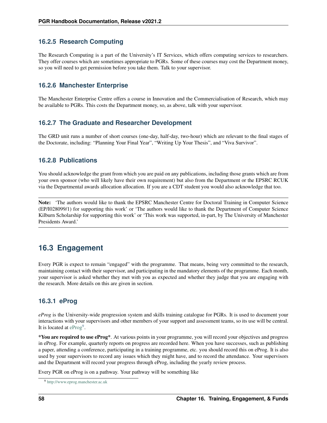## **16.2.5 Research Computing**

The Research Computing is a part of the University's IT Services, which offers computing services to researchers. They offer courses which are sometimes appropriate to PGRs. Some of these courses may cost the Department money, so you will need to get permission before you take them. Talk to your supervisor.

### **16.2.6 Manchester Enterprise**

The Manchester Enterprise Centre offers a course in Innovation and the Commercialisation of Research, which may be available to PGRs. This costs the Department money, so, as above, talk with your supervisor.

### **16.2.7 The Graduate and Researcher Development**

The GRD unit runs a number of short courses (one-day, half-day, two-hour) which are relevant to the final stages of the Doctorate, including: "Planning Your Final Year", "Writing Up Your Thesis", and "Viva Survivor".

### **16.2.8 Publications**

You should acknowledge the grant from which you are paid on any publications, including those grants which are from your own sponsor (who will likely have their own requirement) but also from the Department or the EPSRC RCUK via the Departmental awards allocation allocation. If you are a CDT student you would also acknowledge that too.

Note: 'The authors would like to thank the EPSRC Manchester Centre for Doctoral Training in Computer Science (EP/I028099/1) for supporting this work' or 'The authors would like to thank the Department of Computer Science Kilburn Scholarship for supporting this work' or 'This work was supported, in-part, by The University of Manchester Presidents Award.'

## **16.3 Engagement**

Every PGR is expect to remain "engaged" with the programme. That means, being very committed to the research, maintaining contact with their supervisor, and participating in the mandatory elements of the programme. Each month, your supervisor is asked whether they met with you as expected and whether they judge that you are engaging with the research. More details on this are given in section.

## **16.3.1 eProg**

*eProg* is the University-wide progression system and skills training catalogue for PGRs. It is used to document your interactions with your supervisors and other members of your support and assessment teams, so its use will be central. It is located at  $eProg^9$  $eProg^9$  $eProg^9$ .

\*You are required to use eProg\*. At various points in your programme, you will record your objectives and progress in eProg. For example, quarterly reports on progress are recorded here. When you have successes, such as publishing a paper, attending a conference, participating in a training programme, etc. you should record this on eProg. It is also used by your supervisors to record any issues which they might have, and to record the attendance. Your supervisors and the Department will record your progress through eProg, including the yearly review process.

Every PGR on eProg is on a pathway. Your pathway will be something like

<span id="page-61-0"></span><sup>9</sup> <http://www.eprog.manchester.ac.uk>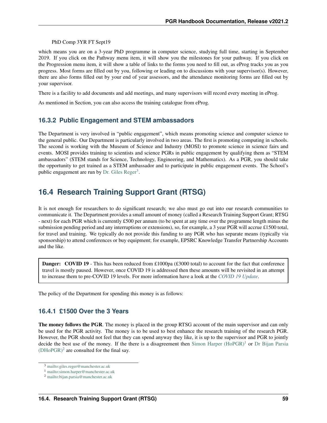PhD Comp 3YR FT Sept19

which means you are on a 3-year PhD programme in computer science, studying full time, starting in September 2019. If you click on the Pathway menu item, it will show you the milestones for your pathway. If you click on the Progression menu item, it will show a table of links to the forms you need to fill out, as eProg tracks you as you progress. Most forms are filled out by you, following or leading on to discussions with your supervisor(s). However, there are also forms filled out by your end of year assessors, and the attendance monitoring forms are filled out by your supervisor.

There is a facility to add documents and add meetings, and many supervisors will record every meeting in eProg.

As mentioned in Section, you can also access the training catalogue from eProg.

## **16.3.2 Public Engagement and STEM ambassadors**

The Department is very involved in "public engagement", which means promoting science and computer science to the general public. Our Department is particularly involved in two areas. The first is promoting computing in schools. The second is working with the Museum of Science and Industry (MOSI) to promote science in science fairs and events. MOSI provides training to scientists and science PGRs in public engagement by qualifying them as "STEM ambassadors" (STEM stands for Science, Technology, Engineering, and Mathematics). As a PGR, you should take the opportunity to get trained as a STEM ambassador and to participate in public engagement events. The School's public engagement are run by [Dr. Giles Reger](mailto:giles.reger@manchester.ac.uk)<sup>[3](#page-62-1)</sup>.

# <span id="page-62-0"></span>**16.4 Research Training Support Grant (RTSG)**

It is not enough for researchers to do significant research; we also must go out into our research communities to communicate it. The Department provides a small amount of money (called a Research Training Support Grant; RTSG - next) for each PGR which is currently £500 per annum (to be spent at any time over the programme length minus the submission pending period and any interruptions or extensions), so, for example, a 3 year PGR will accrue £1500 total, for travel and training. We typically do not provide this funding to any PGR who has separate means (typically via sponsorship) to attend conferences or buy equipment; for example, EPSRC Knowledge Transfer Partnership Accounts and the like.

Danger: COVID 19 - This has been reduced from £1000pa (£3000 total) to account for the fact that conference travel is mostly paused. However, once COVID 19 is addressed then these amounts will be revisited in an attempt to increase them to pre-COVID 19 levels. For more information have a look at the *[COVID 19 Update](#page-22-0)*.

The policy of the Department for spending this money is as follows:

### **16.4.1 £1500 Over the 3 Years**

The money follows the PGR. The money is placed in the group RTSG account of the main supervisor and can only be used for the PGR activity. The money is to be used to best enhance the research training of the research PGR. However, the PGR should not feel that they can spend anyway they like, it is up to the supervisor and PGR to jointly decide the best use of the money. If the there is a disagreement then Simon Harper  $(HoPGR)^1$  $(HoPGR)^1$  or [Dr Bijan Parsia](mailto:bijan.parsia@manchester.ac.uk)  $(DHoPGR)^2$  $(DHoPGR)^2$  $(DHoPGR)^2$  are consulted for the final say.

<span id="page-62-1"></span><sup>3</sup> <mailto:giles.reger@manchester.ac.uk>

<span id="page-62-2"></span><sup>1</sup> <mailto:simon.harper@manchester.ac.uk>

<span id="page-62-3"></span><sup>2</sup> <mailto:bijan.parsia@manchester.ac.uk>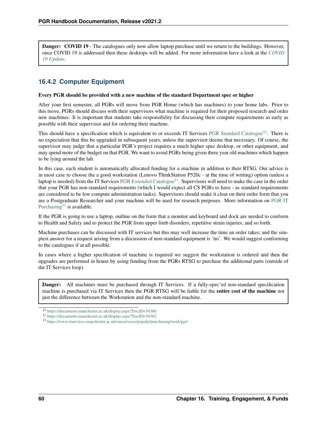**Danger: COVID 19** - The catalogues only now allow laptop purchase until we return to the buildings. However, once COVID 19 is addressed then these desktops will be added. For more information have a look at the *[COVID](#page-22-0) [19 Update](#page-22-0)*.

## **16.4.2 Computer Equipment**

#### Every PGR should be provided with a new machine of the standard Department spec or higher

After your first semester, all PGRs will move from PGR Home (which has machines) to your home labs. Prior to this move, PGRs should discuss with their supervisors what machine is required for their proposed research and order new machines. It is important that students take responsibility for discussing their compute requirements as early as possible with their supervisor and for ordering their machine.

This should have a specification which is equivalent to or exceeds IT Services [PGR Standard Catalogue](https://documents.manchester.ac.uk/display.aspx?DocID=54360)<sup>[12](#page-63-0)</sup>. There is no expectation that this be upgraded in subsequent years, unless the supervisor deems that necessary. Of course, the supervisor may judge that a particular PGR's project requires a much higher spec desktop, or other equipment, and may spend more of the budget on that PGR. We want to avoid PGRs being given three year old machines which happen to be lying around the lab.

In this case, each student is automatically allocated funding for a machine in addition to their RTSG. Our advice is in most case to choose the a good workstation (Lenovo ThinkStation P520c - at the time of writing) option (unless a laptop is needed) from the IT Services [PGR Extended Catalogue](https://documents.manchester.ac.uk/display.aspx?DocID=54362)<sup>[11](#page-63-1)</sup>. Supervisors will need to make the case in the order that your PGR has non-standard requirements (which I would expect all CS PGRs to have - as standard requirements are considered to be low compute administration tasks). Supervisors should make it clear on their order form that you are a Postgraduate Researcher and your machine will be used for research purposes. More information on [PGR IT](https://www.itservices.manchester.ac.uk/ourservices/popular/purchasing/work/pgr/) [Purchasing](https://www.itservices.manchester.ac.uk/ourservices/popular/purchasing/work/pgr/)<sup>[13](#page-63-2)</sup> is available.

If the PGR is going to use a laptop, outline on the form that a monitor and keyboard and dock are needed to conform to Health and Safety and to protect the PGR from upper limb disorders, repetitive strain injuries, and so forth.

Machine purchases can be discussed with IT services but this may well increase the time an order takes; and the simplest answer for a request arising from a discussion of non-standard equipment is 'no'. We would suggest conforming to the catalogues if at all possible.

In cases where a higher specification of machine is required we suggest the workstation is ordered and then the upgrades are performed in house by using funding from the PGRs RTSG to purchase the additional parts (outside of the IT Services loop).

Danger: All machines must be purchased through IT Services. If a fully-spec'ed non-standard specification machine is purchased via IT Services then the PGR RTSG will be liable for the entire cost of the machine not just the difference between the Workstation and the non-standard machine.

<span id="page-63-0"></span><sup>12</sup> <https://documents.manchester.ac.uk/display.aspx?DocID=54360>

<span id="page-63-1"></span><sup>11</sup> <https://documents.manchester.ac.uk/display.aspx?DocID=54362>

<span id="page-63-2"></span><sup>13</sup> <https://www.itservices.manchester.ac.uk/ourservices/popular/purchasing/work/pgr/>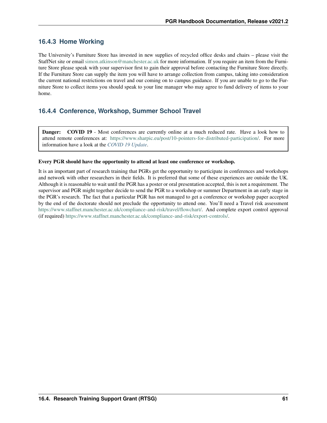## **16.4.3 Home Working**

The University's Furniture Store has invested in new supplies of recycled office desks and chairs – please visit the StaffNet site or email [simon.atkinson@manchester.ac.uk](mailto:simon.atkinson@manchester.ac.uk) for more information. If you require an item from the Furniture Store please speak with your supervisor first to gain their approval before contacting the Furniture Store directly. If the Furniture Store can supply the item you will have to arrange collection from campus, taking into consideration the current national restrictions on travel and our coming on to campus guidance. If you are unable to go to the Furniture Store to collect items you should speak to your line manager who may agree to fund delivery of items to your home.

## **16.4.4 Conference, Workshop, Summer School Travel**

Danger: COVID 19 - Most conferences are currently online at a much reduced rate. Have a look how to attend remote conferences at: [https://www.sharpic.eu/post/10-pointers-for-distributed-participation/.](https://www.sharpic.eu/post/10-pointers-for-distributed-participation/) For more information have a look at the *[COVID 19 Update](#page-22-0)*.

#### Every PGR should have the opportunity to attend at least one conference or workshop.

It is an important part of research training that PGRs get the opportunity to participate in conferences and workshops and network with other researchers in their fields. It is preferred that some of these experiences are outside the UK. Although it is reasonable to wait until the PGR has a poster or oral presentation accepted, this is not a requirement. The supervisor and PGR might together decide to send the PGR to a workshop or summer Department in an early stage in the PGR's research. The fact that a particular PGR has not managed to get a conference or workshop paper accepted by the end of the doctorate should not preclude the opportunity to attend one. You'll need a Travel risk assessment [https://www.staffnet.manchester.ac.uk/compliance-and-risk/travel/flowchart/.](https://www.staffnet.manchester.ac.uk/compliance-and-risk/travel/flowchart/) And complete export control approval (if required) [https://www.staffnet.manchester.ac.uk/compliance-and-risk/export-controls/.](https://www.staffnet.manchester.ac.uk/compliance-and-risk/export-controls/)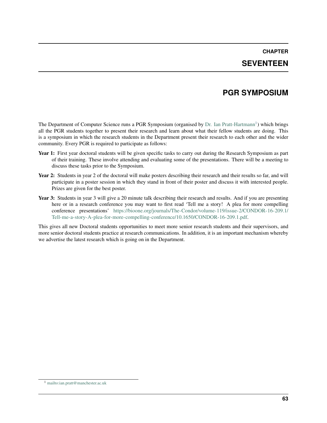## **CHAPTER SEVENTEEN**

## **PGR SYMPOSIUM**

The Department of Computer Science runs a PGR Symposium (organised by [Dr. Ian Pratt-Hartmann](mailto:ian.pratt@manchester.ac.uk)<sup>[1](#page-66-0)</sup>) which brings all the PGR students together to present their research and learn about what their fellow students are doing. This is a symposium in which the research students in the Department present their research to each other and the wider community. Every PGR is required to participate as follows:

- Year 1: First year doctoral students will be given specific tasks to carry out during the Research Symposium as part of their training. These involve attending and evaluating some of the presentations. There will be a meeting to discuss these tasks prior to the Symposium.
- Year 2: Students in year 2 of the doctoral will make posters describing their research and their results so far, and will participate in a poster session in which they stand in front of their poster and discuss it with interested people. Prizes are given for the best poster.
- Year 3: Students in year 3 will give a 20 minute talk describing their research and results. And if you are presenting here or in a research conference you may want to first read 'Tell me a story! A plea for more compelling conference presentations' [https://bioone.org/journals/The-Condor/volume-119/issue-2/CONDOR-16-209.1/](https://bioone.org/journals/The-Condor/volume-119/issue-2/CONDOR-16-209.1/Tell-me-a-story-A-plea-for-more-compelling-conference/10.1650/CONDOR-16-209.1.pdf) [Tell-me-a-story-A-plea-for-more-compelling-conference/10.1650/CONDOR-16-209.1.pdf.](https://bioone.org/journals/The-Condor/volume-119/issue-2/CONDOR-16-209.1/Tell-me-a-story-A-plea-for-more-compelling-conference/10.1650/CONDOR-16-209.1.pdf)

This gives all new Doctoral students opportunities to meet more senior research students and their supervisors, and more senior doctoral students practice at research communications. In addition, it is an important mechanism whereby we advertise the latest research which is going on in the Department.

<span id="page-66-0"></span><sup>1</sup> <mailto:ian.pratt@manchester.ac.uk>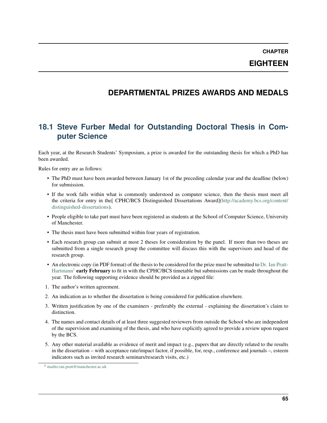**EIGHTEEN**

## **DEPARTMENTAL PRIZES AWARDS AND MEDALS**

# **18.1 Steve Furber Medal for Outstanding Doctoral Thesis in Computer Science**

Each year, at the Research Students' Symposium, a prize is awarded for the outstanding thesis for which a PhD has been awarded.

Rules for entry are as follows:

- The PhD must have been awarded between January 1st of the preceding calendar year and the deadline (below) for submission.
- If the work falls within what is commonly understood as computer science, then the thesis must meet all the criteria for entry in the[ CPHC/BCS Distinguished Dissertations Award][\(http://academy.bcs.org/content/](http://academy.bcs.org/content/distinguished-dissertations) [distinguished-dissertations\)](http://academy.bcs.org/content/distinguished-dissertations).
- People eligible to take part must have been registered as students at the School of Computer Science, University of Manchester.
- The thesis must have been submitted within four years of registration.
- Each research group can submit at most 2 theses for consideration by the panel. If more than two theses are submitted from a single research group the committee will discuss this with the supervisors and head of the research group.
- An electronic copy (in PDF format) of the thesis to be considered for the prize must be submitted to [Dr. Ian Pratt-](mailto:ian.pratt@manchester.ac.uk)[Hartmann](mailto:ian.pratt@manchester.ac.uk)<sup>[1](#page-68-0)</sup> early February to fit in with the CPHC/BCS timetable but submissions can be made throughout the year. The following supporting evidence should be provided as a zipped file:
- 1. The author's written agreement.
- 2. An indication as to whether the dissertation is being considered for publication elsewhere.
- 3. Written justification by one of the examiners preferably the external explaining the dissertation's claim to distinction.
- 4. The names and contact details of at least three suggested reviewers from outside the School who are independent of the supervision and examining of the thesis, and who have explicitly agreed to provide a review upon request by the BCS.
- 5. Any other material available as evidence of merit and impact (e.g., papers that are directly related to the results in the dissertation – with acceptance rate/impact factor, if possible, for, resp., conference and journals –, esteem indicators such as invited research seminars/research visits, etc.)

<span id="page-68-0"></span><sup>1</sup> <mailto:ian.pratt@manchester.ac.uk>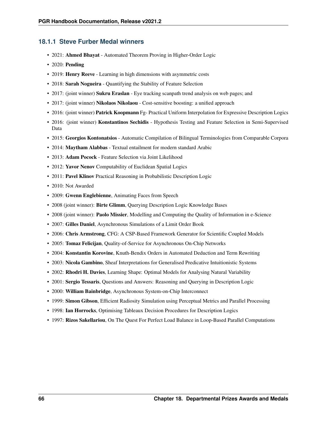#### **18.1.1 Steve Furber Medal winners**

- 2021: Ahmed Bhayat Automated Theorem Proving in Higher-Order Logic
- 2020: Pending
- 2019: Henry Reeve Learning in high dimensions with asymmetric costs
- 2018: Sarah Nogueira Quantifying the Stability of Feature Selection
- 2017: (joint winner) Sukru Eraslan Eye tracking scanpath trend analysis on web pages; and
- 2017: (joint winner) Nikolaos Nikolaou Cost-sensitive boosting: a unified approach
- 2016: (joint winner) **Patrick Koopmann** Fg- Practical Uniform Interpolation for Expressive Description Logics
- 2016: (joint winner) **Konstantinos Sechidis** Hypothesis Testing and Feature Selection in Semi-Supervised Data
- 2015: Georgios Kontonatsios Automatic Compilation of Bilingual Terminologies from Comparable Corpora
- 2014: Maytham Alabbas Textual entailment for modern standard Arabic
- 2013: Adam Pocock Feature Selection via Joint Likelihood
- 2012: Yavor Nenov Computability of Euclidean Spatial Logics
- 2011: Pavel Klinov Practical Reasoning in Probabilistic Description Logic
- 2010: Not Awarded
- 2009: Gwenn Englebienne, Animating Faces from Speech
- 2008 (joint winner): Birte Glimm, Querying Description Logic Knowledge Bases
- 2008 (joint winner): Paolo Missier, Modelling and Computing the Quality of Information in e-Science
- 2007: Gilles Daniel, Asynchronous Simulations of a Limit Order Book
- 2006: Chris Armstrong, CFG: A CSP-Based Framework Generator for Scientific Coupled Models
- 2005: Tomaz Felicijan, Quality-of-Service for Asynchronous On-Chip Networks
- 2004: Konstantin Korovine, Knuth-Bendix Orders in Automated Deduction and Term Rewriting
- 2003: Nicola Gambino, Sheaf Interpretations for Generalised Predicative Intuitionistic Systems
- 2002: Rhodri H. Davies, Learning Shape: Optimal Models for Analysing Natural Variability
- 2001: Sergio Tessaris, Questions and Answers: Reasoning and Querying in Description Logic
- 2000: William Bainbridge, Asynchronous System-on-Chip Interconnect
- 1999: Simon Gibson, Efficient Radiosity Simulation using Perceptual Metrics and Parallel Processing
- 1998: Ian Horrocks, Optimising Tableaux Decision Procedures for Description Logics
- 1997: Rizos Sakellariou, On The Quest For Perfect Load Balance in Loop-Based Parallel Computations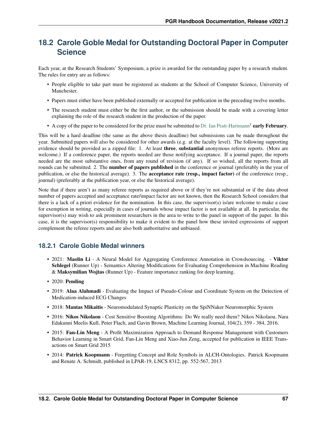# **18.2 Carole Goble Medal for Outstanding Doctoral Paper in Computer Science**

Each year, at the Research Students' Symposium, a prize is awarded for the outstanding paper by a research student. The rules for entry are as follows:

- People eligible to take part must be registered as students at the School of Computer Science, University of Manchester.
- Papers must either have been published externally or accepted for publication in the preceding twelve months.
- The research student must either be the first author, or the submission should be made with a covering letter explaining the role of the research student in the production of the paper.
- A copy of the paper to be considered for the prize must be submitted to [Dr. Ian Pratt-Hartmann](mailto:ian.pratt@manchester.ac.uk)<sup>1</sup> early February.

This will be a hard deadline (the same as the above thesis deadline) but submissions can be made throughout the year. Submitted papers will also be considered for other awards (e.g. at the faculty level). The following supporting evidence should be provided as a zipped file: 1. At least **three, substantial** anonymous referee reports. (More are welcome.) If a conference paper, the reports needed are those notifying acceptance. If a journal paper, the reports needed are the most substantive ones, from any round of revision (if any). If so wished, all the reports from all rounds can be submitted. 2. The **number of papers published** in the conference or journal (preferably in the year of publication, or else the historical average). 3. The acceptance rate (resp., impact factor) of the conference (resp., journal) (preferably at the publication year, or else the historical average).

Note that if there aren't as many referee reports as required above or if they're not substantial or if the data about number of papers accepted and acceptance rate/impact factor are not known, then the Research School considers that there is a lack of a priori evidence for the nomination. In this case, the supervisor(s) is/are welcome to make a case for exemption in writing, especially in cases of journals whose impact factor is not available at all. In particular, the supervisor(s) may wish to ask prominent researchers in the area to write to the panel in support of the paper. In this case, it is the supervisor(s) responsibility to make it evident to the panel how these invited expressions of support complement the referee reports and are also both authoritative and unbiased.

### **18.2.1 Carole Goble Medal winners**

- 2021: Maolin Li A Neural Model for Aggregating Coreference Annotation in Crowdsourcing. Viktor Schlegel (Runner Up) - Semantics Altering Modifications for Evaluating Comprehension in Machine Reading & Maksymilian Wojtas (Runner Up) - Feature importance ranking for deep learning.
- 2020: Pending
- 2019: Alaa Alahmadi Evaluating the Impact of Pseudo-Colour and Coordinate System on the Detection of Medication-induced ECG Changes
- 2018: Mantas Mikaitis Neuromodulated Synaptic Plasticity on the SpiNNaker Neuromorphic System
- 2016: Nikos Nikolaou Cost Sensitive Boosting Algorithms: Do We really need them? Nikos Nikolaou, Nara Edakunni Meelis Kull, Peter Flach, and Gavin Brown, Machine Learning Journal, 104(2), 359 - 384, 2016.
- 2015: Fan-Lin Meng A Profit Maximization Approach to Demand Response Management with Customers Behavior Learning in Smart Grid, Fan-Lin Meng and Xiao-Jun Zeng, accepted for publication in IEEE Transactions on Smart Grid 2015
- 2014: Patrick Koopmann Forgetting Concept and Role Symbols in ALCH-Ontologies. Patrick Koopmann and Renate A. Schmidt, published in LPAR-19, LNCS 8312, pp. 552-567, 2013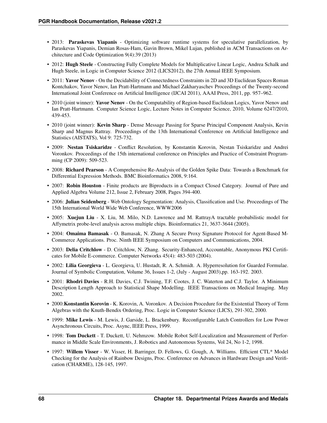- 2013: Paraskevas Yiapanis Optimizing software runtime systems for speculative parallelization, by Paraskevas Yiapanis, Demian Rosas-Ham, Gavin Brown, Mikel Lujan, published in ACM Transactions on Architecture and Code Optimization 9(4):39 (2013)
- 2012: Hugh Steele Constructing Fully Complete Models for Multiplicative Linear Logic, Andrea Schalk and Hugh Steele, in Logic in Computer Science 2012 (LICS2012), the 27th Annual IEEE Symposium.
- 2011: Yavor Nenov On the Decidability of Connectedness Constraints in 2D and 3D Euclidean Spaces Roman Kontchakov, Yavor Nenov, Ian Pratt-Hartmann and Michael Zakharyaschev Proceedings of the Twenty-second International Joint Conference on Artificial Intelligence (IJCAI 2011), AAAI Press, 2011, pp. 957–962.
- 2010 (joint winner): Yavor Nenov On the Computability of Region-based Euclidean Logics, Yavor Nenov and Ian Pratt-Hartmann. Computer Science Logic, Lecture Notes in Computer Science, 2010, Volume 6247/2010, 439-453.
- 2010 (joint winner): Kevin Sharp Dense Message Passing for Sparse Principal Component Analysis, Kevin Sharp and Magnus Rattray. Proceedings of the 13th International Conference on Artificial Intelligence and Statistics (AISTATS), Vol 9: 725-732.
- 2009: Nestan Tsiskaridze Conflict Resolution, by Konstantin Korovin, Nestan Tsiskaridze and Andrei Voronkov. Proceedings of the 15th international conference on Principles and Practice of Constraint Programming (CP 2009): 509-523.
- 2008: Richard Pearson A Comprehensive Re-Analysis of the Golden Spike Data: Towards a Benchmark for Differential Expression Methods. BMC Bioinformatics 2008, 9:164.
- 2007: Robin Houston Finite products are Biproducts in a Compact Closed Category. Journal of Pure and Applied Algebra Volume 212, Issue 2, February 2008, Pages 394-400.
- 2006: Julian Seidenberg Web Ontology Segmentation: Analysis, Classification and Use. Proceedings of The 15th International World Wide Web Conference, WWW2006
- 2005: Xuejun Liu X. Liu, M. Milo, N.D. Lawrence and M. RattrayA tractable probabilistic model for Affymetrix probe-level analysis across multiple chips. Bioinformatics 21, 3637-3644 (2005).
- 2004: Omaima Bamasak O. Bamasak, N. Zhang A Secure Proxy Signature Protocol for Agent-Based M-Commerce Applications. Proc. Ninth IEEE Symposium on Computers and Communications, 2004.
- 2003: Delia Critchlow D. Critchlow, N. Zhang. Security-Enhanced, Accountable, Anonymous PKI Certificates for Mobile E-commerce. Computer Networks 45(4): 483-503 (2004).
- 2002: Lilia Georgieva L. Georgieva, U. Hustadt, R. A. Schmidt. A. Hyperresolution for Guarded Formulae. Journal of Symbolic Computation, Volume 36, Issues 1-2, (July - August 2003),pp. 163-192. 2003.
- 2001: Rhodri Davies R.H. Davies, C.J. Twining, T.F. Cootes, J. C. Waterton and C.J. Taylor. A Minimum Description Length Approach to Statistical Shape Modelling. IEEE Transactions on Medical Imaging. May 2002.
- 2000:Konstantin Korovin K. Korovin, A. Voronkov. A Decision Procedure for the Existential Theory of Term Algebras with the Knuth-Bendix Ordering, Proc. Logic in Computer Science (LICS), 291-302, 2000.
- 1999: Mike Lewis M. Lewis, J. Garside, L. Brackenbury. Reconfigurable Latch Controllers for Low Power Asynchronous Circuits, Proc. Async, IEEE Press, 1999.
- 1998: Tom Duckett T. Duckett, U. Nehmzow. Mobile Robot Self-Localization and Measurement of Performance in Middle Scale Environments, J. Robotics and Autonomous Systems, Vol 24, No 1-2, 1998.
- 1997: Willem Visser W. Visser, H. Barringer, D. Fellows, G. Gough, A. Williams. Efficient CTL\* Model Checking for the Analysis of Rainbow Designs, Proc. Conference on Advances in Hardware Design and Verification (CHARME), 128-145, 1997.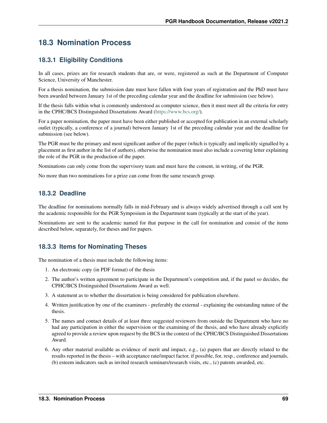# **18.3 Nomination Process**

## **18.3.1 Eligibility Conditions**

In all cases, prizes are for research students that are, or were, registered as such at the Department of Computer Science, University of Manchester.

For a thesis nomination, the submission date must have fallen with four years of registration and the PhD must have been awarded between January 1st of the preceding calendar year and the deadline for submission (see below).

If the thesis falls within what is commonly understood as computer science, then it must meet all the criteria for entry in the CPHC/BCS Distinguished Dissertations Award [\(https://www.bcs.org/\)](https://www.bcs.org/).

For a paper nomination, the paper must have been either published or accepted for publication in an external scholarly outlet (typically, a conference of a journal) between January 1st of the preceding calendar year and the deadline for submission (see below).

The PGR must be the primary and most significant author of the paper (which is typically and implicitly signalled by a placement as first author in the list of authors), otherwise the nomination must also include a covering letter explaining the role of the PGR in the production of the paper.

Nominations can only come from the supervisory team and must have the consent, in writing, of the PGR.

No more than two nominations for a prize can come from the same research group.

## **18.3.2 Deadline**

The deadline for nominations normally falls in mid-February and is always widely advertised through a call sent by the academic responsible for the PGR Symposium in the Department team (typically at the start of the year).

Nominations are sent to the academic named for that purpose in the call for nomination and consist of the items described below, separately, for theses and for papers.

## **18.3.3 Items for Nominating Theses**

The nomination of a thesis must include the following items:

- 1. An electronic copy (in PDF format) of the thesis
- 2. The author's written agreement to participate in the Department's competition and, if the panel so decides, the CPHC/BCS Distinguished Dissertations Award as well.
- 3. A statement as to whether the dissertation is being considered for publication elsewhere.
- 4. Written justification by one of the examiners preferably the external explaining the outstanding nature of the thesis.
- 5. The names and contact details of at least three suggested reviewers from outside the Department who have no had any participation in either the supervision or the examining of the thesis, and who have already explicitly agreed to provide a review upon request by the BCS in the context of the CPHC/BCS Distinguished Dissertations Award.
- 6. Any other material available as evidence of merit and impact, e.g., (a) papers that are directly related to the results reported in the thesis – with acceptance rate/impact factor, if possible, for, resp., conference and journals, (b) esteem indicators such as invited research seminars/research visits, etc., (c) patents awarded, etc.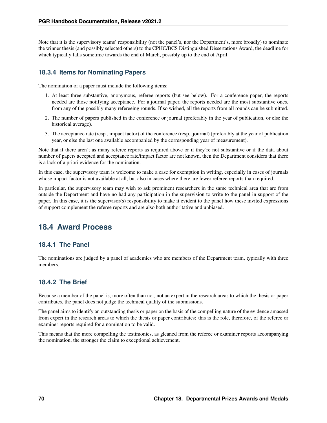Note that it is the supervisory teams' responsibility (not the panel's, nor the Department's, more broadly) to nominate the winner thesis (and possibly selected others) to the CPHC/BCS Distinguished Dissertations Award, the deadline for which typically falls sometime towards the end of March, possibly up to the end of April.

## **18.3.4 Items for Nominating Papers**

The nomination of a paper must include the following items:

- 1. At least three substantive, anonymous, referee reports (but see below). For a conference paper, the reports needed are those notifying acceptance. For a journal paper, the reports needed are the most substantive ones, from any of the possibly many refereeing rounds. If so wished, all the reports from all rounds can be submitted.
- 2. The number of papers published in the conference or journal (preferably in the year of publication, or else the historical average).
- 3. The acceptance rate (resp., impact factor) of the conference (resp., journal) (preferably at the year of publication year, or else the last one available accompanied by the corresponding year of measurement).

Note that if there aren't as many referee reports as required above or if they're not substantive or if the data about number of papers accepted and acceptance rate/impact factor are not known, then the Department considers that there is a lack of a priori evidence for the nomination.

In this case, the supervisory team is welcome to make a case for exemption in writing, especially in cases of journals whose impact factor is not available at all, but also in cases where there are fewer referee reports than required.

In particular, the supervisory team may wish to ask prominent researchers in the same technical area that are from outside the Department and have no had any participation in the supervision to write to the panel in support of the paper. In this case, it is the supervisor(s) responsibility to make it evident to the panel how these invited expressions of support complement the referee reports and are also both authoritative and unbiased.

# **18.4 Award Process**

## **18.4.1 The Panel**

The nominations are judged by a panel of academics who are members of the Department team, typically with three members.

## **18.4.2 The Brief**

Because a member of the panel is, more often than not, not an expert in the research areas to which the thesis or paper contributes, the panel does not judge the technical quality of the submissions.

The panel aims to identify an outstanding thesis or paper on the basis of the compelling nature of the evidence amassed from expert in the research areas to which the thesis or paper contributes: this is the role, therefore, of the referee or examiner reports required for a nomination to be valid.

This means that the more compelling the testimonies, as gleaned from the referee or examiner reports accompanying the nomination, the stronger the claim to exceptional achievement.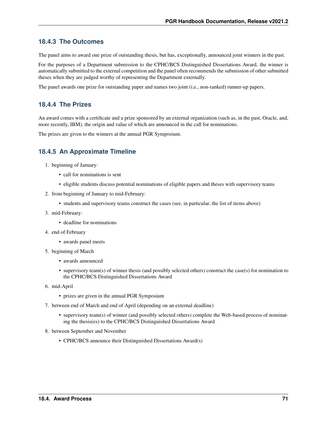## **18.4.3 The Outcomes**

The panel aims to award one prize of outstanding thesis, but has, exceptionally, announced joint winners in the past.

For the purposes of a Department submission to the CPHC/BCS Distinguished Dissertations Award, the winner is automatically submitted to the external competition and the panel often recommends the submission of other submitted theses when they are judged worthy of representing the Department externally.

The panel awards one prize for outstanding paper and names two joint (i.e., non-ranked) runner-up papers.

### **18.4.4 The Prizes**

An award comes with a certificate and a prize sponsored by an external organization (such as, in the past, Oracle, and, more recently, IBM), the origin and value of which are announced in the call for nominations.

The prizes are given to the winners at the annual PGR Symposium.

## **18.4.5 An Approximate Timeline**

- 1. beginning of January:
	- call for nominations is sent
	- eligible students discuss potential nominations of eligible papers and theses with supervisory teams
- 2. from beginning of January to mid-February:
	- students and supervisory teams construct the cases (see, in particular, the list of items above)
- 3. mid-February:
	- deadline for nominations
- 4. end of February
	- awards panel meets
- 5. beginning of March
	- awards announced
	- supervisory team(s) of winner thesis (and possibly selected others) construct the case(s) for nomination to the CPHC/BCS Distinguished Dissertations Award
- 6. mid-April
	- prizes are given in the annual PGR Symposium
- 7. between end of March and end of April (depending on an external deadline)
	- supervisory team(s) of winner (and possibly selected others) complete the Web-based process of nominating the thesis(es) to the CPHC/BCS Distinguished Dissertations Award
- 8. between September and November
	- CPHC/BCS announce their Distinguished Dissertations Award(s)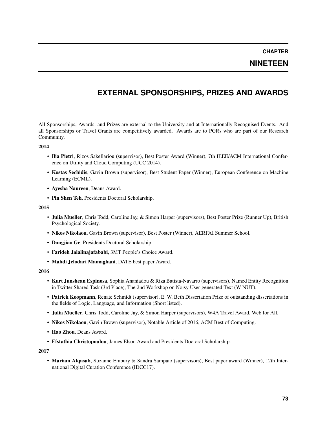**CHAPTER**

**NINETEEN**

# **EXTERNAL SPONSORSHIPS, PRIZES AND AWARDS**

All Sponsorships, Awards, and Prizes are external to the University and at Internationally Recognised Events. And all Sponsorships or Travel Grants are competitively awarded. Awards are to PGRs who are part of our Research Community.

#### 2014

- Ilia Pietri, Rizos Sakellariou (supervisor), Best Poster Award (Winner), 7th IEEE/ACM International Conference on Utility and Cloud Computing (UCC 2014).
- Kostas Sechidis, Gavin Brown (supervisor), Best Student Paper (Winner), European Conference on Machine Learning (ECML).
- Ayesha Naureen, Deans Award.
- Pin Shen Teh, Presidents Doctoral Scholarship.

#### 2015

- Julia Mueller, Chris Todd, Caroline Jay, & Simon Harper (supervisors), Best Poster Prize (Runner Up), British Psychological Society.
- Nikos Nikolaou, Gavin Brown (supervisor), Best Poster (Winner), AERFAI Summer School.
- Dongjiao Ge, Presidents Doctoral Scholarship.
- Farideh Jalalinajafababi, 3MT People's Choice Award.
- Mahdi Jelodari Mamaghani, DATE best paper Award.

#### 2016

- Kurt Junshean Espinosa, Sophia Ananiadou & Riza Batista-Navarro (supervisors), Named Entity Recognition in Twitter Shared Task (3rd Place), The 2nd Workshop on Noisy User-generated Text (W-NUT).
- Patrick Koopmann, Renate Schmidt (supervisor), E. W. Beth Dissertation Prize of outstanding dissertations in the fields of Logic, Language, and Information (Short listed).
- Julia Mueller, Chris Todd, Caroline Jay, & Simon Harper (supervisors), W4A Travel Award, Web for All.
- Nikos Nikolaou, Gavin Brown (supervisor), Notable Article of 2016, ACM Best of Computing.
- Hao Zhou, Deans Award.
- Efstathia Christopoulou, James Elson Award and Presidents Doctoral Scholarship.

2017

• Mariam Alqasab, Suzanne Embury & Sandra Sampaio (supervisors), Best paper award (Winner), 12th International Digital Curation Conference (IDCC17).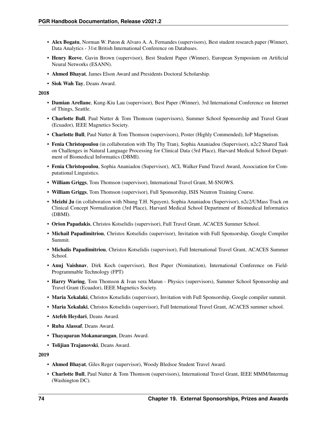- Alex Bogatu, Norman W. Paton & Alvaro A. A. Fernandes (supervisors), Best student research paper (Winner), Data Analytics - 31st British International Conference on Databases.
- Henry Reeve, Gavin Brown (supervisor), Best Student Paper (Winner), European Symposium on Artificial Neural Networks (ESANN).
- Ahmed Bhayat, James Elson Award and Presidents Doctoral Scholarship.
- Siok Wah Tay, Deans Award.

#### 2018

- Damian Arellane, Kung-Kiu Lau (supervisor), Best Paper (Winner), 3rd International Conference on Internet of Things, Seattle.
- Charlotte Bull, Paul Nutter & Tom Thomson (supervisors), Summer School Sponsorship and Travel Grant (Ecuador), IEEE Magnetics Society.
- Charlotte Bull, Paul Nutter & Tom Thomson (supervisors), Poster (Highly Commended), IoP Magnetism.
- Fenia Christopoulou (in collaboration with Thy Thy Tran), Sophia Ananiadou (Supervisor), n2c2 Shared Task on Challenges in Natural Language Processing for Clinical Data (3rd Place), Harvard Medical School Department of Biomedical Informatics (DBMI).
- Fenia Christopoulou, Sophia Ananiadou (Supervisor), ACL Walker Fund Travel Award, Association for Computational Linguistics.
- William Griggs, Tom Thomson (supervisor), International Travel Grant, M-SNOWS.
- William Griggs, Tom Thomson (supervisor), Full Sponsorship, ISIS Neutron Training Course.
- Meizhi Ju (in collaboration with Nhung T.H. Nguyen), Sophia Ananiadou (Supervisor), n2c2/UMass Track on Clinical Concept Normalization (3rd Place), Harvard Medical School Department of Biomedical Informatics (DBMI).
- Orion Papadakis, Christos Kotselidis (supervisor), Full Travel Grant, ACACES Summer School.
- Michail Papadimitriou, Christos Kotselidis (supervisor), Invitation with Full Sponsorship, Google Compiler Summit.
- Michalis Papadimitriou, Christos Kotselidis (supervisor), Full International Travel Grant, ACACES Summer School.
- Anuj Vaishnav, Dirk Koch (supervisor), Best Paper (Nomination), International Conference on Field-Programmable Technology (FPT)
- Harry Waring, Tom Thomson & Ivan vera Marun Physics (supervisors), Summer School Sponsorship and Travel Grant (Ecuador), IEEE Magnetics Society.
- Maria Xekalaki, Christos Kotselidis (supervisor), Invitation with Full Sponsorship, Google compiler summit.
- Maria Xekalaki, Christos Kotselidis (supervisor), Full International Travel Grant, ACACES summer school.
- Atefeh Heydari, Deans Award.
- Ruba Alassaf, Deans Award.
- Thayaparan Mokanarangan, Deans Award.
- Tolijian Trajanovski, Deans Award.

2019

- Ahmed Bhayat, Giles Reger (supervisor), Woody Bledsoe Student Travel Award.
- Charlotte Bull, Paul Nutter & Tom Thomson (supervisors), International Travel Grant, IEEE MMM/Intermag (Washington DC).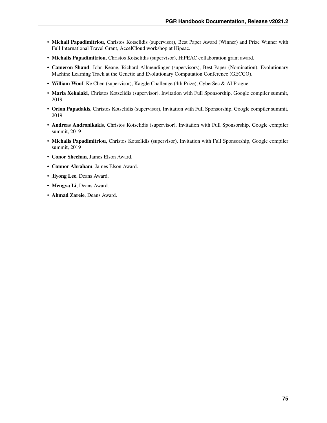- Michail Papadimitriou, Christos Kotselidis (supervisor), Best Paper Award (Winner) and Prize Winner with Full International Travel Grant, AccelCloud workshop at Hipeac.
- Michalis Papadimitriou, Christos Kotselidis (supervisor), HiPEAC collaboration grant award.
- Cameron Shand, John Keane, Richard Allmendinger (supervisors), Best Paper (Nomination), Evolutionary Machine Learning Track at the Genetic and Evolutionary Computation Conference (GECCO).
- William Woof, Ke Chen (supervisor), Kaggle Challenge (4th Prize), CyberSec & AI Prague.
- Maria Xekalaki, Christos Kotselidis (supervisor), Invitation with Full Sponsorship, Google compiler summit, 2019
- Orion Papadakis, Christos Kotselidis (supervisor), Invitation with Full Sponsorship, Google compiler summit, 2019
- Andreas Andronikakis, Christos Kotselidis (supervisor), Invitation with Full Sponsorship, Google compiler summit, 2019
- Michalis Papadimitriou, Christos Kotselidis (supervisor), Invitation with Full Sponsorship, Google compiler summit, 2019
- Conor Sheehan, James Elson Award.
- Connor Abraham, James Elson Award.
- Jiyong Lee, Deans Award.
- Mengya Li, Deans Award.
- Ahmad Zareie, Deans Award.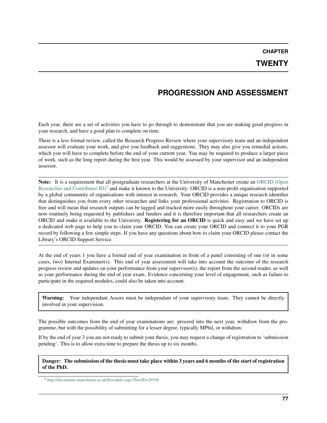**CHAPTER**

## **TWENTY**

## **PROGRESSION AND ASSESSMENT**

Each year, there are a set of activities you have to go through to demonstrate that you are making good progress in your research, and have a good plan to complete on time.

There is a less formal review, called the Research Progress Review where your supervisory team and an independent assessor will evaluate your work, and give you feedback and suggestions. They may also give you remedial actions, which you will have to complete before the end of your current year. You may be required to produce a larger piece of work, such as the long report during the first year. This would be assessed by your supervisor and an independent assessor.

Note: It is a requirement that all postgraduate researchers at the University of Manchester create an [ORCID \(Open](http://documents.manchester.ac.uk/DocuInfo.aspx?DocID=29356) Researcher and Contributor ID $)^3$  $)^3$  and make it known to the University. ORCID is a non-profit organisation supported by a global community of organisations with interest in research. Your ORCID provides a unique research identifier that distinguishes you from every other researcher and links your professional activities. Registration to ORCID is free and will mean that research outputs can be tagged and tracked more easily throughout your career. ORCIDs are now routinely being requested by publishers and funders and it is therefore important that all researchers create an ORCID and make it available to the University. Registering for an ORCID is quick and easy and we have set up a dedicated web page to help you to claim your ORCID. You can create your ORCID and connect it to your PGR record by following a few simple steps. If you have any questions about how to claim your ORCID please contact the Library's ORCID Support Service.

At the end of years 1 you have a formal end of year examination in front of a panel consisting of one (or in some cases, two) Internal Examiner(s). This end of year assessment will take into account the outcome of the research progress review and updates on your performance from your supervisor(s), the report from the second reader, as well as your performance during the end of year exam. Evidence concerning your level of engagement, such as failure to participate in the required modules, could also be taken into account.

Warning: Your independant Assors must be independant of your supervisory team. They cannot be directly involved in your supervision.

The possible outcomes from the end of year examinations are: proceed into the next year, withdraw from the programme, but with the possibility of submitting for a lesser degree, typically MPhil, or withdraw.

If by the end of year 3 you are not ready to submit your thesis, you may request a change of registration to 'submission pending'. This is to allow extra time to prepare the thesis up to six months.

Danger: The submission of the thesis must take place within 3 years and 6 months of the start of registration of the PhD.

<span id="page-80-0"></span><sup>3</sup> <http://documents.manchester.ac.uk/DocuInfo.aspx?DocID=29356>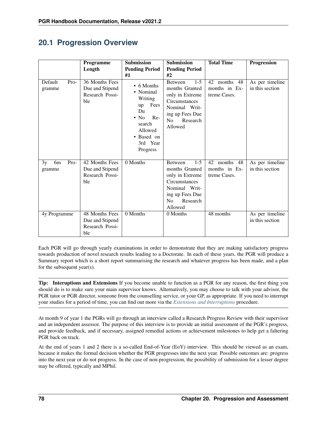## **20.1 Progression Overview**

|                                        | <b>Programme</b>                                            | <b>Submission</b>                                                                                                                                | <b>Submission</b>                                                                                                                                            | <b>Total Time</b>                                | Progression                        |
|----------------------------------------|-------------------------------------------------------------|--------------------------------------------------------------------------------------------------------------------------------------------------|--------------------------------------------------------------------------------------------------------------------------------------------------------------|--------------------------------------------------|------------------------------------|
|                                        | Length                                                      | <b>Pending Period</b>                                                                                                                            | <b>Pending Period</b>                                                                                                                                        |                                                  |                                    |
|                                        |                                                             | #1                                                                                                                                               | #2                                                                                                                                                           |                                                  |                                    |
| Default<br>Pro-<br>gramme              | 36 Months Fees<br>Due and Stipend<br>Research Possi-<br>ble | $\bullet$ 6 Months<br>• Nominal<br>Writing<br>Fees<br>up<br>Du<br>$\cdot$ No<br>$Re-$<br>search<br>Allowed<br>• Based on<br>3rd Year<br>Progress | $1 - 5$<br><b>Between</b><br>months Granted<br>only in Extreme<br>Circumstances<br>Nominal Writ-<br>ing up Fees Due<br>N <sub>o</sub><br>Research<br>Allowed | 42 months 48<br>months in Ex-<br>treme Cases.    | As per timeline<br>in this section |
| Pro-<br>3y<br>6 <sub>m</sub><br>gramme | 42 Months Fees<br>Due and Stipend<br>Research Possi-<br>ble | 0 Months                                                                                                                                         | $1 - 5$<br><b>Between</b><br>months Granted<br>only in Extreme<br>Circumstances<br>Nominal Writ-<br>ing up Fees Due<br>N <sub>o</sub><br>Research<br>Allowed | months 48<br>42<br>months in Ex-<br>treme Cases. | As per timeline<br>in this section |
| 4y Programme                           | 48 Months Fees<br>Due and Stipend<br>Research Possi-<br>ble | 0 Months                                                                                                                                         | 0 Months                                                                                                                                                     | 48 months                                        | As per timeline<br>in this section |

Each PGR will go through yearly examinations in order to demonstrate that they are making satisfactory progress towards production of novel research results leading to a Doctorate. In each of these years, the PGR will produce a Summary report which is a short report summarising the research and whatever progress has been made, and a plan for the subsequent year(s).

Tip: Interuptions and Extensions If you become unable to function as a PGR for any reason, the first thing you should do is to make sure your main supervisor knows. Alternatively, you may choose to talk with your advisor, the PGR tutor or PGR director, someone from the counselling service, or your GP, as appropriate. If you need to interrupt your studies for a period of time, you can find out more via the *[Extensions and Interruptions](#page-114-0)* procedure.

At month 9 of year 1 the PGRs will go through an interview called a Research Progress Review with their supervisor and an independent assessor. The purpose of this interview is to provide an initial assessment of the PGR's progress, and provide feedback, and if necessary, assigned remedial actions or achievement milestones to help get a faltering PGR back on track.

At the end of years 1 and 2 there is a so-called End-of-Year (EoY) interview. This should be viewed as an exam, because it makes the formal decision whether the PGR progresses into the next year. Possible outcomes are: progress into the next year or do not progress. In the case of non-progression, the possibility of submission for a lesser degree may be offered, typically and MPhil.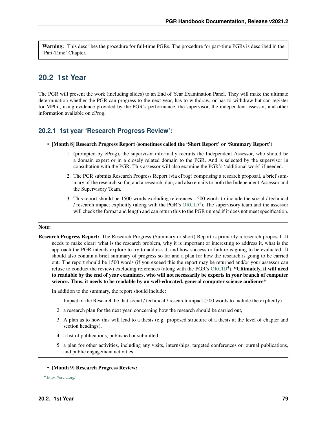Warning: This describes the procedure for full-time PGRs. The procedure for part-time PGRs is described in the 'Part-Time' Chapter.

## **20.2 1st Year**

The PGR will present the work (including slides) to an End of Year Examination Panel. They will make the ultimate determination whether the PGR can progress to the next year, has to withdraw, or has to withdraw but can register for MPhil, using evidence provided by the PGR's performance, the supervisor, the independent assessor, and other information available on eProg.

### **20.2.1 1st year 'Research Progress Review':**

- [Month 8] Research Progress Report (sometimes called the 'Short Report' or 'Summary Report')
	- 1. (prompted by eProg), the supervisor informally recruits the Independent Assessor, who should be a domain expert or in a closely related domain to the PGR. And is selected by the supervisor in consultation with the PGR. This assessor will also examine the PGR's 'additional work' if needed.
	- 2. The PGR submits Research Progress Report (via eProg) comprising a research proposal, a brief summary of the research so far, and a research plan, and also emails to both the Independent Assessor and the Supervisory Team.
	- 3. This report should be 1500 words excluding references 500 words to include the social / technical / research impact explicitly (along with the PGR's  $ORCID<sup>4</sup>$  $ORCID<sup>4</sup>$  $ORCID<sup>4</sup>$  $ORCID<sup>4</sup>$ ). The supervisory team and the assessor will check the format and length and can return this to the PGR unread if it does not meet specification.

#### Note:

Research Progress Report: The Research Progress (Summary or short) Report is primarily a research proposal. It needs to make clear: what is the research problem, why it is important or interesting to address it, what is the approach the PGR intends explore to try to address it, and how success or failure is going to be evaluated. It should also contain a brief summary of progress so far and a plan for how the research is going to be carried out. The report should be 1500 words (if you exceed this the report may be returned and/or your assessor can refuse to conduct the review) excluding references (along with the PGR's [ORCID](https://orcid.org/)<sup>4</sup>). \*Ultimately, it will need to readable by the end of year examiners, who will not necessarily be experts in your branch of computer science. Thus, it needs to be readable by an well-educated, general computer science audience\*

In addition to the summary, the report should include:

- 1. Impact of the Research be that social / technical / research impact (500 words to include the explicitly)
- 2. a research plan for the next year, concerning how the research should be carried out,
- 3. A plan as to how this will lead to a thesis (e.g. proposed structure of a thesis at the level of chapter and section headings),
- 4. a list of publications, published or submitted,
- 5. a plan for other activities, including any visits, internships, targeted conferences or journal publications, and public engagement activities.

#### • [Month 9] Research Progress Review:

<span id="page-82-0"></span><sup>4</sup> <https://orcid.org/>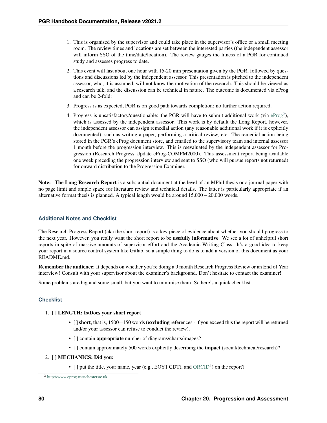- 1. This is organised by the supervisor and could take place in the supervisor's office or a small meeting room. The review times and locations are set between the interested parties (the independent assessor will inform SSO of the time/date/location). The review gauges the fitness of a PGR for continued study and assesses progress to date.
- 2. This event will last about one hour with 15-20 min presentation given by the PGR, followed by questions and discussions led by the independent assessor. This presentation is pitched to the independent assessor, who, it is assumed, will not know the motivation of the research. This should be viewed as a research talk, and the discussion can be technical in nature. The outcome is documented via eProg and can be 2-fold:
- 3. Progress is as expected, PGR is on good path towards completion: no further action required.
- 4. Progress is unsatisfactory/questionable: the PGR will have to submit additional work (via  $eProj$ ), which is assessed by the independent assessor. This work is by default the Long Report, however, the independent assessor can assign remedial action (any reasonable additional work if it is explicitly documented), such as writing a paper, performing a critical review, etc. The remedial action being stored in the PGR's eProg document store, and emailed to the supervisory team and internal assessor 1 month before the progression interview. This is reevaluated by the independent assessor for Progression (Research Progress Update eProg-COMPM2000). This assessment report being available one week preceding the progression interview and sent to SSO (who will pursue reports not returned) for onward distribution to the Progression Examiner.

Note: The Long Research Report is a substantial document at the level of an MPhil thesis or a journal paper with no page limit and ample space for literature review and technical details. The latter is particularly appropriate if an alternative format thesis is planned. A typical length would be around  $15,000 - 20,000$  words.

### **Additional Notes and Checklist**

The Research Progress Report (aka the short report) is a key piece of evidence about whether you should progress to the next year. However, you really want the short report to be **usefully informative**. We see a lot of unhelpful short reports in spite of massive amounts of supervisor effort and the Academic Writing Class. It's a good idea to keep your report in a source control system like Gitlab, so a simple thing to do is to add a version of this document as your README.md.

Remember the audience: It depends on whether you're doing a 9 month Research Progress Review or an End of Year interview! Consult with your supervisor about the examiner's background. Don't hesitate to contact the examiner!

Some problems are big and some small, but you want to minimise them. So here's a quick checklist.

### **Checklist**

#### 1. [ ] LENGTH: Is/Does your short report

- $\Box$  short, that is,  $1500 \pm 150$  words (excluding references if you exceed this the report will be returned and/or your assessor can refuse to conduct the review).
- [ ] contain **appropriate** number of diagrams/charts/images?
- [ ] contain approximately 500 words explicitly describing the **impact** (social/technical/research)?

#### 2. [ ] MECHANICS: Did you:

 $\bullet$  [ ] put the title, your name, year (e.g., EOY1 CDT), and [ORCID](https://orcid.org/)<sup>4</sup>) on the report?

<span id="page-83-0"></span><sup>2</sup> <http://www.eprog.manchester.ac.uk>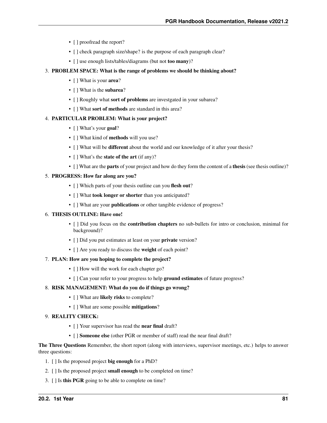- [ ] proofread the report?
- [] check paragraph size/shape? is the purpose of each paragraph clear?
- [ ] use enough lists/tables/diagrams (but not **too many**)?

#### 3. PROBLEM SPACE: What is the range of problems we should be thinking about?

- [ ] What is your **area**?
- [ ] What is the **subarea**?
- [ ] Roughly what sort of problems are investgated in your subarea?
- [ ] What sort of methods are standard in this area?

#### 4. PARTICULAR PROBLEM: What is your project?

- [ ] What's your **goal**?
- [ ] What kind of **methods** will you use?
- [ ] What will be **different** about the world and our knowledge of it after your thesis?
- [ ] What's the **state of the art** (if any)?
- [ ] What are the **parts** of your project and how do they form the content of a **thesis** (see thesis outline)?

#### 5. PROGRESS: How far along are you?

- [ ] Which parts of your thesis outline can you flesh out?
- [ ] What took longer or shorter than you anticipated?
- [] What are your **publications** or other tangible evidence of progress?

#### 6. THESIS OUTLINE: Have one!

- [ ] Did you focus on the **contribution chapters** no sub-bullets for intro or conclusion, minimal for background)?
- [ ] Did you put estimates at least on your **private** version?
- [ ] Are you ready to discuss the weight of each point?

#### 7. PLAN: How are you hoping to complete the project?

- [ ] How will the work for each chapter go?
- [] Can your refer to your progress to help ground estimates of future progress?

#### 8. RISK MANAGEMENT: What do you do if things go wrong?

- [ ] What are likely risks to complete?
- [ ] What are some possible **mitigations**?

#### 9. REALITY CHECK:

- [ ] Your supervisor has read the near final draft?
- [ ] **Someone else** (other PGR or member of staff) read the near final draft?

#### The Three Questions Remember, the short report (along with interviews, supervisor meetings, etc.) helps to answer three questions:

- 1. [ ] Is the proposed project big enough for a PhD?
- 2. [ ] Is the proposed project small enough to be completed on time?
- 3. [ ] Is this PGR going to be able to complete on time?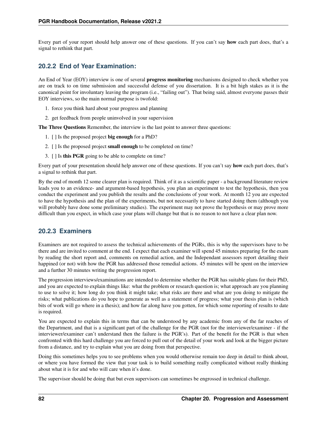Every part of your report should help answer one of these questions. If you can't say **how** each part does, that's a signal to rethink that part.

## **20.2.2 End of Year Examination:**

An End of Year (EOY) interview is one of several progress monitoring mechanisms designed to check whether you are on track to on time submission and successful defense of you dissertation. It is a bit high stakes as it is the canonical point for involuntary leaving the program (i.e., "failing out"). That being said, almost everyone passes their EOY interviews, so the main normal purpose is twofold:

- 1. force you think hard about your progress and planning
- 2. get feedback from people uninvolved in your supervision

The Three Questions Remember, the interview is the last point to answer three questions:

- 1. [ ] Is the proposed project big enough for a PhD?
- 2. [ ] Is the proposed project small enough to be completed on time?
- 3. [ ] Is this PGR going to be able to complete on time?

Every part of your presentation should help answer one of these questions. If you can't say **how** each part does, that's a signal to rethink that part.

By the end of month 12 some clearer plan is required. Think of it as a scientific paper - a background literature review leads you to an evidence- and argument-based hypothesis, you plan an experiment to test the hypothesis, then you conduct the experiment and you publish the results and the conclusions of your work. At month 12 you are expected to have the hypothesis and the plan of the experiments, but not necessarily to have started doing them (although you will probably have done some preliminary studies). The experiment may not prove the hypothesis or may prove more difficult than you expect, in which case your plans will change but that is no reason to not have a clear plan now.

## **20.2.3 Examiners**

Examiners are not required to assess the technical achievements of the PGRs, this is why the supervisors have to be there and are invited to comment at the end. I expect that each examiner will spend 45 minutes preparing for the exam by reading the short report and, comments on remedial action, and the Independant assessors report detailing their happined (or not) with how the PGR has addressed those remedial actions. 45 minutes will be spent on the interview and a further 30 minutes writing the progression report.

The progression interviews/examinations are intended to determine whether the PGR has suitable plans for their PhD, and you are expected to explain things like: what the problem or research question is; what approach are you planning to use to solve it; how long do you think it might take; what risks are there and what are you doing to mitigate the risks; what publications do you hope to generate as well as a statement of progress; what your thesis plan is (which bits of work will go where in a thesis); and how far along have you gotten, for which some reporting of results to date is required.

You are expected to explain this in terms that can be understood by any academic from any of the far reaches of the Department, and that is a significant part of the challenge for the PGR (not for the interviewer/examiner - if the interviewer/examiner can't understand then the failure is the PGR's). Part of the benefit for the PGR is that when confronted with this hard challenge you are forced to pull out of the detail of your work and look at the bigger picture from a distance, and try to explain what you are doing from that perspective.

Doing this sometimes helps you to see problems when you would otherwise remain too deep in detail to think about, or where you have formed the view that your task is to build something really complicated without really thinking about what it is for and who will care when it's done.

The supervisor should be doing that but even supervisors can sometimes be engrossed in technical challenge.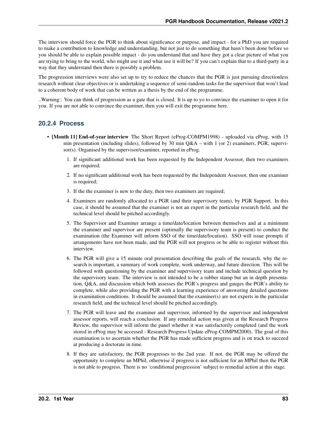The interview should force the PGR to think about significance or purpose, and impact - for a PhD you are required to make a contribution to knowledge and understanding, but not just to do something that hasn't been done before so you should be able to explain possible impact - do you understand that and have they got a clear picture of what you are trying to bring to the world, who might use it and what use it will be? If you can't explain that to a third-party in a way that they understand then there is possibly a problem.

The progression interviews were also set up to try to reduce the chances that the PGR is just pursuing directionless research without clear objectives or is undertaking a sequence of semi-random tasks for the supervisor that won't lead to a coherent body of work that can be written as a thesis by the end of the programme.

..Warning:: You can think of progression as a gate that is closed. It is up to yo to convince the examiner to open it for you. If you are not able to convince the examiner, then you will exit the programme here.

## **20.2.4 Process**

- [Month 11] End-of-year interview The Short Report (eProg-COMPM1998) uploaded via eProg, with 15 min presentation (including slides), followed by 30 min  $Q&A$  – with 1 (or 2) examiners, PGR, supervisor(s). Organised by the supervisor/examiner, reported in eProg.
	- 1. If significant additional work has been requested by the Independent Assessor, then two examiners are required;
	- 2. If no significant additional work has been requested by the Independent Assessor, then one examiner is required;
	- 3. If the the examiner is new to the duty, then two examiners are required;
	- 4. Examiners are randomly allocated to a PGR (and their supervisory team), by PGR Support. In this case, it should be assumed that the examiner is not an expert in the particular research field, and the technical level should be pitched accordingly.
	- 5. The Supervisor and Examiner arrange a time/date/location between themselves and at a minimum the examiner and supervisor are present (optimally the supervisory team is present) to conduct the examination (the Examiner will inform SSO of the time/date/location). SSO will issue prompts if arrangements have not been made, and the PGR will not progress or be able to register without this interview.
	- 6. The PGR will give a 15 minute oral presentation describing the goals of the research, why the research is important, a summary of work complete, work underway, and future direction. This will be followed with questioning by the examiner and supervisory team and include technical question by the supervisory team. The interview is not intended to be a rubber stamp but an in depth presentation, Q&A, and discussion which both assesses the PGR's progress and gauges the PGR's ability to complete, while also providing the PGR with a learning experience of answering detailed questions in examination conditions. It should be assumed that the examiner(s) are not experts in the particular research field, and the technical level should be pitched accordingly.
	- 7. The PGR will leave and the examiner and supervisor, informed by the supervisor and independent assessor reports, will reach a conclusion. If any remedial action was given at the Research Progress Review, the supervisor will inform the panel whether it was satisfactorily completed (and the work stored in eProg may be accessed - Research Progress Update eProg-COMPM2000). The goal of this examination is to ascertain whether the PGR has made sufficient progress and is on track to succeed at producing a doctorate in time.
	- 8. If they are satisfactory, the PGR progresses to the 2nd year. If not, the PGR may be offered the opportunity to complete an MPhil, otherwise if progress is not sufficient for an MPhil then the PGR is not able to progress. There is no 'conditional progression' subject to remedial action at this stage.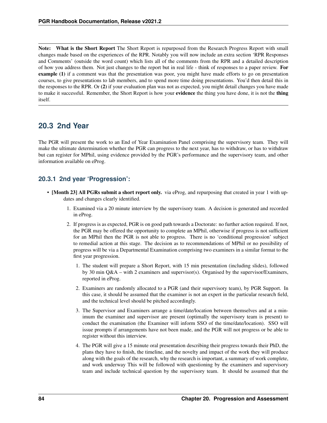Note: What is the Short Report The Short Report is repurposed from the Research Progress Report with small changes made based on the experiences of the RPR. Notably you will now include an extra section 'RPR Responses and Comments' (outside the word count) which lists all of the comments from the RPR and a detailed description of how you address them. Not just changes to the report but in real life - think of responses to a paper review. For example (1) if a comment was that the presentation was poor, you might have made efforts to go on presentation courses, to give presentations to lab members, and to spend more time doing presentations. You'd then detail this in the responses to the RPR. Or (2) if your evaluation plan was not as expected, you might detail changes you have made to make it successful. Remember, the Short Report is how your evidence the thing you have done, it is not the thing itself.

## **20.3 2nd Year**

The PGR will present the work to an End of Year Examination Panel comprising the supervisory team. They will make the ultimate determination whether the PGR can progress to the next year, has to withdraw, or has to withdraw but can register for MPhil, using evidence provided by the PGR's performance and the supervisory team, and other information available on eProg.

### **20.3.1 2nd year 'Progression':**

- [Month 23] All PGRs submit a short report only. via eProg, and repurposing that created in year 1 with updates and changes clearly identified.
	- 1. Examined via a 20 minute interview by the supervisory team. A decision is generated and recorded in eProg.
	- 2. If progress is as expected, PGR is on good path towards a Doctorate: no further action required. If not, the PGR may be offered the opportunity to complete an MPhil, otherwise if progress is not sufficient for an MPhil then the PGR is not able to progress. There is no 'conditional progression' subject to remedial action at this stage. The decision as to recommendations of MPhil or no possibility of progress will be via a Departmental Examination comprising two examiners in a similar format to the first year progression.
		- 1. The student will prepare a Short Report, with 15 min presentation (including slides), followed by 30 min Q&A – with 2 examiners and supervisor(s). Organised by the supervisor/Examiners, reported in eProg.
		- 2. Examiners are randomly allocated to a PGR (and their supervisory team), by PGR Support. In this case, it should be assumed that the examiner is not an expert in the particular research field, and the technical level should be pitched accordingly.
		- 3. The Supervisor and Examiners arrange a time/date/location between themselves and at a minimum the examiner and supervisor are present (optimally the supervisory team is present) to conduct the examination (the Examiner will inform SSO of the time/date/location). SSO will issue prompts if arrangements have not been made, and the PGR will not progress or be able to register without this interview.
		- 4. The PGR will give a 15 minute oral presentation describing their progress towards their PhD, the plans they have to finish, the timeline, and the novelty and impact of the work they will produce along with the goals of the research, why the research is important, a summary of work complete, and work underway This will be followed with questioning by the examiners and supervisory team and include technical question by the supervisory team. It should be assumed that the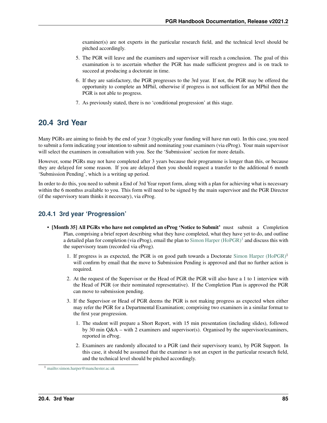examiner(s) are not experts in the particular research field, and the technical level should be pitched accordingly.

- 5. The PGR will leave and the examiners and supervisor will reach a conclusion. The goal of this examination is to ascertain whether the PGR has made sufficient progress and is on track to succeed at producing a doctorate in time.
- 6. If they are satisfactory, the PGR progresses to the 3rd year. If not, the PGR may be offered the opportunity to complete an MPhil, otherwise if progress is not sufficient for an MPhil then the PGR is not able to progress.
- 7. As previously stated, there is no 'conditional progression' at this stage.

## **20.4 3rd Year**

Many PGRs are aiming to finish by the end of year 3 (typically your funding will have run out). In this case, you need to submit a form indicating your intention to submit and nominating your examiners (via eProg). Your main supervisor will select the examiners in consultation with you. See the 'Submission' section for more details.

However, some PGRs may not have completed after 3 years because their programme is longer than this, or because they are delayed for some reason. If you are delayed then you should request a transfer to the additional 6 month 'Submission Pending', which is a writing up period.

In order to do this, you need to submit a End of 3rd Year report form, along with a plan for achieving what is necessary within the 6 monthss available to you. This form will need to be signed by the main supervisor and the PGR Director (if the supervisory team thinks it necessary), via eProg.

## **20.4.1 3rd year 'Progression'**

- [Month 35] All PGRs who have not completed an eProg 'Notice to Submit' must submit a Completion Plan, comprising a brief report describing what they have completed, what they have yet to do, and outline a detailed plan for completion (via eProg), email the plan to [Simon Harper \(HoPGR\)](mailto:simon.harper@manchester.ac.uk)<sup>[1](#page-88-0)</sup> and discuss this with the supervisory team (recorded via eProg).
	- 1. If progress is as expected, the PGR is on good path towards a Doctorate Simon Harper  $(HoPGR)^1$ will confirm by email that the move to Submission Pending is approved and that no further action is required.
	- 2. At the request of the Supervisor or the Head of PGR the PGR will also have a 1 to 1 interview with the Head of PGR (or their nominated representative). If the Completion Plan is approved the PGR can move to submission pending.
	- 3. If the Supervisor or Head of PGR deems the PGR is not making progress as expected when either may refer the PGR for a Departmental Examination; comprising two examiners in a similar format to the first year progression.
		- 1. The student will prepare a Short Report, with 15 min presentation (including slides), followed by 30 min Q&A – with 2 examiners and supervisor(s). Organised by the supervisor/examiners, reported in eProg.
		- 2. Examiners are randomly allocated to a PGR (and their supervisory team), by PGR Support. In this case, it should be assumed that the examiner is not an expert in the particular research field, and the technical level should be pitched accordingly.

<span id="page-88-0"></span><sup>1</sup> <mailto:simon.harper@manchester.ac.uk>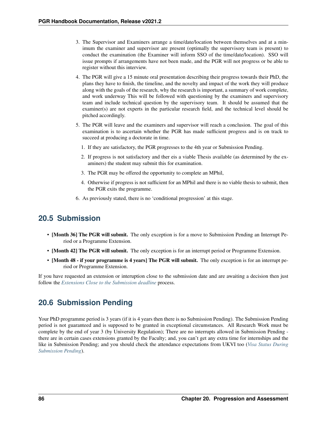- 3. The Supervisor and Examiners arrange a time/date/location between themselves and at a minimum the examiner and supervisor are present (optimally the supervisory team is present) to conduct the examination (the Examiner will inform SSO of the time/date/location). SSO will issue prompts if arrangements have not been made, and the PGR will not progress or be able to register without this interview.
- 4. The PGR will give a 15 minute oral presentation describing their progress towards their PhD, the plans they have to finish, the timeline, and the novelty and impact of the work they will produce along with the goals of the research, why the research is important, a summary of work complete, and work underway This will be followed with questioning by the examiners and supervisory team and include technical question by the supervisory team. It should be assumed that the examiner(s) are not experts in the particular research field, and the technical level should be pitched accordingly.
- 5. The PGR will leave and the examiners and supervisor will reach a conclusion. The goal of this examination is to ascertain whether the PGR has made sufficient progress and is on track to succeed at producing a doctorate in time.
	- 1. If they are satisfactory, the PGR progresses to the 4th year or Submission Pending.
	- 2. If progress is not satisfactory and ther eis a viable Thesis available (as determined by the examiners) the student may submit this for examination.
	- 3. The PGR may be offered the opportunity to complete an MPhil,
	- 4. Otherwise if progress is not sufficient for an MPhil and there is no viable thesis to submit, then the PGR exits the programme.
- 6. As previously stated, there is no 'conditional progression' at this stage.

## **20.5 Submission**

- [Month 36] The PGR will submit. The only exception is for a move to Submission Pending an Interrupt Period or a Programme Extension.
- [Month 42] The PGR will submit. The only exception is for an interrupt period or Programme Extension.
- [Month 48 if your programme is 4 years] The PGR will submit. The only exception is for an interrupt period or Programme Extension.

If you have requested an extension or interuption close to the submission date and are awaiting a decision then just follow the *[Extensions Close to the Submission deadline](#page-115-0)* process.

## **20.6 Submission Pending**

Your PhD programme period is 3 years (if it is 4 years then there is no Submission Pending). The Submission Pending period is not guaranteed and is supposed to be granted in exceptional circumstances. All Research Work must be complete by the end of year 3 (by University Regulation); There are no interrupts allowed in Submission Pending there are in certain cases extensions granted by the Faculty; and, you can't get any extra time for internships and the like in Submission Pending; and you should check the attendance expectations from UKVI too (*[Visa Status During](#page-50-0) [Submission Pending](#page-50-0)*).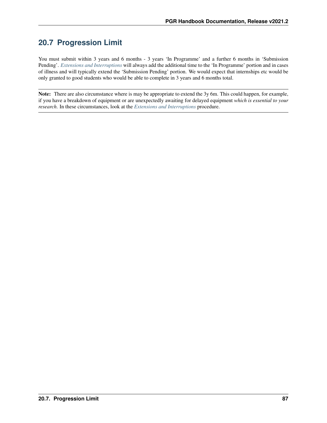# **20.7 Progression Limit**

You must submit within 3 years and 6 months - 3 years 'In Programme' and a further 6 months in 'Submission Pending'. *[Extensions and Interruptions](#page-114-0)* will always add the additional time to the 'In Programme' portion and in cases of illness and will typically extend the 'Submission Pending' portion. We would expect that internships etc would be only granted to good students who would be able to complete in 3 years and 6 months total.

Note: There are also circumstance where is may be appropriate to extend the 3y 6m. This could happen, for example, if you have a breakdown of equipment or are unexpectedly awaiting for delayed equipment *which is essential to your research*. In these circumstances, look at the *[Extensions and Interruptions](#page-114-0)* procedure.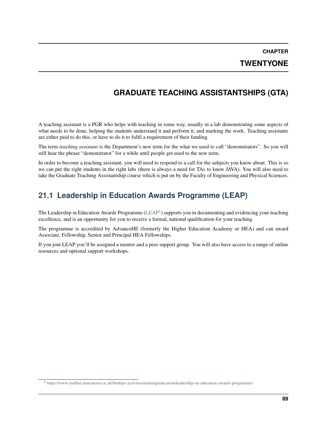**CHAPTER**

## **TWENTYONE**

## **GRADUATE TEACHING ASSISTANTSHIPS (GTA)**

A teaching assistant is a PGR who helps with teaching in some way, usually in a lab demonstrating some aspects of what needs to be done, helping the students understand it and perform it, and marking the work. Teaching assistants are either paid to do this, or have to do it to fulfil a requirement of their funding.

The term *teaching assistant* is the Department's new term for the what we used to call "demonstrators". So you will still hear the phrase "demonstrator" for a while until people get used to the new term.

In order to become a teaching assistant, you will need to respond to a call for the subjects you know about. This is so we can put the right students in the right labs (there is always a need for TAs to know JAVA). You will also need to take the Graduate Teaching Assistantship course which is put on by the Faculty of Engineering and Physical Sciences.

# **21.1 Leadership in Education Awards Programme (LEAP)**

The Leadership in Education Awards Programme [\(LEAP](https://www.staffnet.manchester.ac.uk/bmh/ps-activities/training/education/leadership-in-education-awards-programme/)<sup>[1](#page-92-0)</sup>) supports you in documenting and evidencing your teaching excellence, and is an opportunity for you to receive a formal, national qualification for your teaching.

The programme is accredited by AdvanceHE (formerly the Higher Education Academy or HEA) and can award Associate, Fellowship, Senior and Principal HEA Fellowships.

If you join LEAP you'll be assigned a mentor and a peer support group. You will also have access to a range of online resources and optional support workshops.

<span id="page-92-0"></span><sup>1</sup> <https://www.staffnet.manchester.ac.uk/bmh/ps-activities/training/education/leadership-in-education-awards-programme/>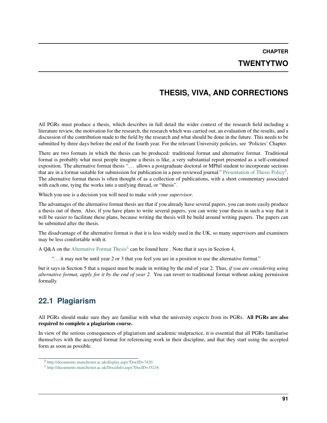**CHAPTER TWENTYTWO**

# **THESIS, VIVA, AND CORRECTIONS**

All PGRs must produce a thesis, which describes in full detail the wider context of the research field including a literature review, the motivation for the research, the research which was carried out, an evaluation of the results, and a discussion of the contribution made to the field by the research and what should be done in the future. This needs to be submitted by three days before the end of the fourth year. For the relevant University policies, see 'Policies' Chapter.

There are two formats in which the thesis can be produced: traditional format and alternative format. Traditional format is probably what most people imagine a thesis is like, a very substantial report presented as a self-contained exposition. The alternative format thesis "... allows a postgraduate doctoral or MPhil student to incorporate sections that are in a format suitable for submission for publication in a peer-reviewed journal." [Presentation of Thesis Policy](http://documents.manchester.ac.uk/display.aspx?DocID=7420)<sup>[2](#page-94-0)</sup>. The alternative format thesis is often thought of as a collection of publications, with a short commentary associated with each one, tying the works into a unifying thread, or "thesis".

Which you use is a decision you will need to make *with your supervisor*.

The advantages of the alternative format thesis are that if you already have several papers, you can more easily produce a thesis out of them. Also, if you have plans to write several papers, you can write your thesis in such a way that it will be easier to facilitate these plans, because writing the thesis will be build around writing papers. The papers can be submitted after the thesis.

The disadvantage of the alternative format is that it is less widely used in the UK, so many supervisors and examiners may be less comfortable with it.

A Q&A on the [Alternative Format Thesis](http://documents.manchester.ac.uk/DocuInfo.aspx?DocID=15216)<sup>[1](#page-94-1)</sup> can be found here. Note that it says in Section 4,

". . . it may not be until year 2 or 3 that you feel you are in a position to use the alternative format."

but it says in Section 5 that a request must be made in writing by the end of year 2. Thus, *if you are considering using alternative format, apply for it by the end of year 2*. You can revert to traditional format without asking permission formally.

# **22.1 Plagiarism**

All PGRs should make sure they are familiar with what the university expects from its PGRs. All PGRs are also required to complete a plagiarism course.

In view of the serious consequences of plagiarism and academic malpractice, it is essential that all PGRs familiarise themselves with the accepted format for referencing work in their discipline, and that they start using the accepted form as soon as possible.

<span id="page-94-0"></span><sup>2</sup> <http://documents.manchester.ac.uk/display.aspx?DocID=7420>

<span id="page-94-1"></span><sup>1</sup> <http://documents.manchester.ac.uk/DocuInfo.aspx?DocID=15216>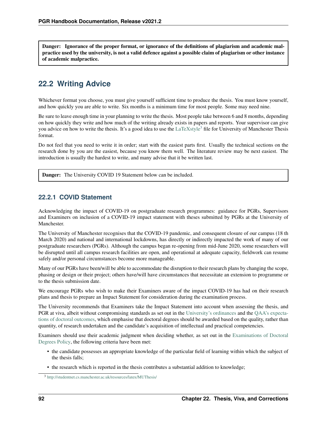Danger: Ignorance of the proper format, or ignorance of the definitions of plagiarism and academic malpractice used by the university, is not a valid defence against a possible claim of plagiarism or other instance of academic malpractice.

## **22.2 Writing Advice**

Whichever format you choose, you must give yourself sufficient time to produce the thesis. You must know yourself, and how quickly you are able to write. Six months is a minimum time for most people. Some may need nine.

Be sure to leave enough time in your planning to write the thesis. Most people take between 6 and 8 months, depending on how quickly they write and how much of the writing already exists in papers and reports. Your supervisor can give you advice on how to write the thesis. It's a good idea to use the  $LaTeXs$ tyle<sup>[3](#page-95-0)</sup> file for University of Manchester Thesis format.

Do not feel that you need to write it in order; start with the easiest parts first. Usually the technical sections on the research done by you are the easiest, because you know them well. The literature review may be next easiest. The introduction is usually the hardest to write, and many advise that it be written last.

Danger: The University COVID 19 Statement below can be included.

### **22.2.1 COVID Statement**

Acknowledging the impact of COVID-19 on postgraduate research programmes: guidance for PGRs, Supervisors and Examiners on inclusion of a COVID-19 impact statement with theses submitted by PGRs at the University of Manchester.

The University of Manchester recognises that the COVID-19 pandemic, and consequent closure of our campus (18 th March 2020) and national and international lockdowns, has directly or indirectly impacted the work of many of our postgraduate researchers (PGRs). Although the campus began re-opening from mid-June 2020, some researchers will be disrupted until all campus research facilities are open, and operational at adequate capacity, fieldwork can resume safely and/or personal circumstances become more manageable.

Many of our PGRs have been/will be able to accommodate the disruption to their research plans by changing the scope, phasing or design or their project; others have/will have circumstances that necessitate an extension to programme or to the thesis submission date.

We encourage PGRs who wish to make their Examiners aware of the impact COVID-19 has had on their research plans and thesis to prepare an Impact Statement for consideration during the examination process.

The University recommends that Examiners take the Impact Statement into account when assessing the thesis, and PGR at viva, albeit without compromising standards as set out in the [University's ordinances](https://www.staffnet.manchester.ac.uk/rbe/rdrd/ordinancesandregulations/) and the [QAA's expecta](https://www.qaa.ac.uk/docs/qaa/quality-code/doctoral-degree-characteristics-statement-2020.pdf?sfvrsn=a3c5ca81_14)[tions of doctoral outcomes,](https://www.qaa.ac.uk/docs/qaa/quality-code/doctoral-degree-characteristics-statement-2020.pdf?sfvrsn=a3c5ca81_14) which emphasise that doctoral degrees should be awarded based on the quality, rather than quantity, of research undertaken and the candidate's acquisition of intellectual and practical competencies.

Examiners should use their academic judgment when deciding whether, as set out in the [Examinations of Doctoral](http://documents.manchester.ac.uk/display.aspx?DocID=7445) [Degrees Policy,](http://documents.manchester.ac.uk/display.aspx?DocID=7445) the following criteria have been met:

- the candidate possesses an appropriate knowledge of the particular field of learning within which the subject of the thesis falls;
- the research which is reported in the thesis contributes a substantial addition to knowledge;

<span id="page-95-0"></span><sup>3</sup> <http://studentnet.cs.manchester.ac.uk/resources/latex/MUThesis/>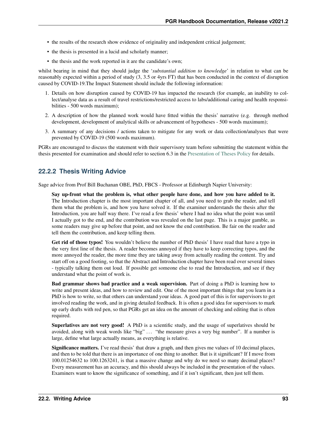- the results of the research show evidence of originality and independent critical judgement;
- the thesis is presented in a lucid and scholarly manner;
- the thesis and the work reported in it are the candidate's own;

whilst bearing in mind that they should judge the '*substantial addition to knowledge*' in relation to what can be reasonably expected within a period of study (3, 3.5 or 4yrs FT) that has been conducted in the context of disruption caused by COVID-19.The Impact Statement should include the following information:

- 1. Details on how disruption caused by COVID-19 has impacted the research (for example, an inability to collect/analyse data as a result of travel restrictions/restricted access to labs/additional caring and health responsibilities - 500 words maximum);
- 2. A description of how the planned work would have fitted within the thesis' narrative (e.g. through method development, development of analytical skills or advancement of hypotheses - 500 words maximum);
- 3. A summary of any decisions / actions taken to mitigate for any work or data collection/analyses that were prevented by COVID-19 (500 words maximum).

PGRs are encouraged to discuss the statement with their supervisory team before submitting the statement within the thesis presented for examination and should refer to section 6.3 in the [Presentation of Theses Policy](http://documents.manchester.ac.uk/display.aspx?DocID=7420) for details.

### **22.2.2 Thesis Writing Advice**

Sage advice from Prof Bill Buchanan OBE, PhD, FBCS - Professor at Edinburgh Napier University:

Say up-front what the problem is, what other people have done, and how you have added to it. The Introduction chapter is the most important chapter of all, and you need to grab the reader, and tell them what the problem is, and how you have solved it. If the examiner understands the thesis after the Introduction, you are half way there. I've read a few thesis' where I had no idea what the point was until I actually got to the end, and the contribution was revealed on the last page. This is a major gamble, as some readers may give up before that point, and not know the end contribution. Be fair on the reader and tell them the contribution, and keep telling them.

Get rid of those typos! You wouldn't believe the number of PhD thesis' I have read that have a typo in the very first line of the thesis. A reader becomes annoyed if they have to keep correcting typos, and the more annoyed the reader, the more time they are taking away from actually reading the content. Try and start off on a good footing, so that the Abstract and Introduction chapter have been read over several times - typically talking them out loud. If possible get someone else to read the Introduction, and see if they understand what the point of work is.

Bad grammar shows bad practice and a weak supervision. Part of doing a PhD is learning how to write and present ideas, and how to review and edit. One of the most important things that you learn in a PhD is how to write, so that others can understand your ideas. A good part of this is for supervisors to get involved reading the work, and in giving detailed feedback. It is often a good idea for supervisors to mark up early drafts with red pen, so that PGRs get an idea on the amount of checking and editing that is often required.

Superlatives are not very good! A PhD is a scientific study, and the usage of superlatives should be avoided, along with weak words like "big" ... "the measure gives a very big number". If a number is large, define what large actually means, as everything is relative.

Significance matters. I've read thesis' that draw a graph, and then gives me values of 10 decimal places, and then to be told that there is an importance of one thing to another. But is it significant? If I move from 100.01254632 to 100.1263241, is that a massive change and why do we need so many decimal places? Every measurement has an accuracy, and this should always be included in the presentation of the values. Examiners want to know the significance of something, and if it isn't significant, then just tell them.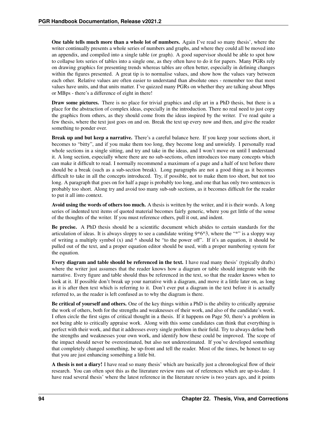One table tells much more than a whole lot of numbers. Again I've read so many thesis', where the writer continually presents a whole series of numbers and graphs, and where they could all be moved into an appendix, and compiled into a single table (or graph). A good supervisor should be able to spot how to collapse lots series of tables into a single one, as they often have to do it for papers. Many PGRs rely on drawing graphics for presenting trends whereas tables are often better, especially in defining changes within the figures presented. A great tip is to normalise values, and show how the values vary between each other. Relative values are often easier to understand than absolute ones - remember too that most values have units, and that units matter. I've quizzed many PGRs on whether they are talking about Mbps or MBps - there's a difference of eight in there!

Draw some pictures. There is no place for trivial graphics and clip art in a PhD thesis, but there is a place for the abstraction of complex ideas, especially in the introduction. There no real need to just copy the graphics from others, as they should come from the ideas inspired by the writer. I've read quite a few thesis, where the text just goes on and on. Break the text up every now and then, and give the reader something to ponder over.

Break up and but keep a narrative. There's a careful balance here. If you keep your sections short, it becomes to "bitty", and if you make them too long, they become long and unwieldy. I personally read whole sections in a single sitting, and try and take in the ideas, and I won't move on until I understand it. A long section, especially where there are no sub-sections, often introduces too many concepts which can make it difficult to read. I normally recommend a maximum of a page and a half of text before there should be a break (such as a sub-section break). Long paragraphs are not a good thing as it becomes difficult to take in all the concepts introduced. Try, if possible, not to make them too short, but not too long. A paragraph that goes on for half a page is probably too long, and one that has only two sentences is probably too short. Along try and avoid too many sub-sub sections, as it becomes difficult for the reader to put it all into context.

Avoid using the words of others too much. A thesis is written by the writer, and it is their words. A long series of indented text items of quoted material becomes fairly generic, where you get little of the sense of the thoughts of the writer. If you must reference others, pull it out, and indent.

Be precise. A PhD thesis should be a scientific document which abides to certain standards for the articulation of ideas. It is always sloppy to see a candidate writing 9\*6^3, where the "\*" is a sloppy way of writing a multiply symbol (x) and  $\land$  should be "to the power off". If it's an equation, it should be pulled out of the text, and a proper equation editor should be used, with a proper numbering system for the equation.

Every diagram and table should be referenced in the text. I have read many thesis' (typically drafts) where the writer just assumes that the reader knows how a diagram or table should integrate with the narrative. Every figure and table should thus be referenced in the text, so that the reader knows when to look at it. If possible don't break up your narrative with a diagram, and move it a little later on, as long as it is after then text which is referring to it. Don't ever put a diagram in the text before it is actually referred to, as the reader is left confused as to why the diagram is there.

Be critical of yourself and others. One of the key things within a PhD is the ability to critically appraise the work of others, both for the strengths and weaknesses of their work, and also of the candidate's work. I often circle the first signs of critical thought in a thesis. If it happens on Page 50, there's a problem in not being able to critically appraise work. Along with this some candidates can think that everything is perfect with their work, and that it addresses every single problem in their field. Try to always define both the strengths and weaknesses your own work, and identify how these could be improved. The scope of the impact should never be overestimated, but also not underestimated. If you've developed something that completely changed something, be up-front and tell the reader. Most of the times, be honest to say that you are just enhancing something a little bit.

A thesis is not a diary! I have read so many thesis' which are basically just a chronological flow of their research. You can often spot this as the literature review runs out of references which are up-to-date. I have read several thesis' where the latest reference in the literature review is two years ago, and it points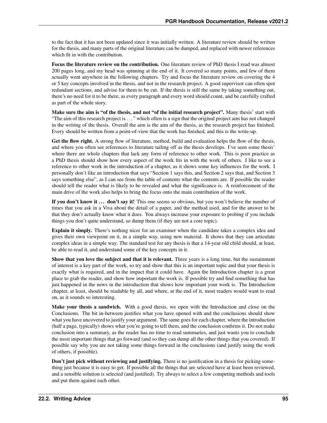to the fact that it has not been updated since it was initially written. A literature review should be written for the thesis, and many parts of the original literature can be dumped, and replaced with newer references which fit in with the contribution.

Focus the literature review on the contribution. One literature review of PhD thesis I read was almost 200 pages long, and my head was spinning at the end of it. It covered so many points, and few of them actually went anywhere in the following chapters. Try and focus the literature review on covering the 4 or 5 key concepts involved in the thesis, and not in the research project. A good supervisor can often spot redundant sections, and advise for them to be cut. If the thesis is still the same by taking something out, there's no need for it to be there, as every paragraph and every word should count, and be carefully crafted as part of the whole story.

Make sure the aim is "of the thesis, and not "of the initial research project". Many thesis' start with "The aim of this research project is . . . " which often is a sign that the original project aim has not changed in the writing of the thesis. Overall the aim is the aim of the thesis, as the research project has finished. Every should be written from a point-of-view that the work has finished, and this is the write-up.

Get the flow right. A strong flow of literature, method, build and evaluation helps the flow of the thesis, and where you often see references to literature tailing off as the thesis develops. I've seen some thesis' where there are whole chapters that lack any form of reference to other work. This is poor practice as a PhD thesis should show how every aspect of the work fits in with the work of others. I like to see a reference to other work in the introduction of a chapter, as it shows some key influences for the work. I personally don't like an introduction that says "Section 1 says this, and Section 2 says that, and Section 3 says something else", as I can see from the table of contents what the contents are. If possible the reader should tell the reader what is likely to be revealed and what the significance is. A reinforcement of the main drive of the work also helps to bring the focus onto the main contribution of the work.

If you don't know it ... don't say it! This one seems so obvious, but you won't believe the number of times that you ask in a Viva about the detail of a paper, and the method used, and for the answer to be that they don't actually know what it does. You always increase your exposure to probing if you include things you don't quite understand, so dump them (if they are not a core topic).

Explain it simply. There's nothing nicer for an examiner when the candidate takes a complex idea and gives their own viewpoint on it, in a simple way, using new material. It shows that they can articulate complex ideas in a simple way. The standard test for any thesis is that a 14-year old child should, at least, be able to read it, and understand some of the key concepts in it.

Show that you love the subject and that it is relevant. Three years is a long time, but the sustainment of interest is a key part of the work, so try and show that this is an important topic and that your thesis is exactly what is required, and in the impact that it could have. Again the Introduction chapter is a great place to grab the reader, and show how important the work is. If possible try and find something that has just happened in the news in the introduction that shows how important your work is. The Introduction chapter, at least, should be readable by all, and where, at the end of it, most readers would want to read on, as it sounds so interesting.

Make your thesis a sandwich. With a good thesis, we open with the Introduction and close on the Conclusions. The bit in-between justifies what you have opened with and the conclusions should show what you have uncovered to justify your argument. The same goes for each chapter, where the introduction (half a page, typically) shows what you're going to tell them, and the conclusion confirms it. Do not make conclusion into a summary, as the reader has no time to read summaries, and just wants you to conclude the most important things that go forward (and so they can dump all the other things that you covered). If possible say why you are not taking some things forward in the conclusions (and justify using the work of others, if possible).

Don't just pick without reviewing and justifying. There is no justification in a thesis for picking something just because it is easy to get. If possible all the things that are selected have at least been reviewed, and a sensible solution is selected (and justified). Try always to select a few competing methods and tools and put them against each other.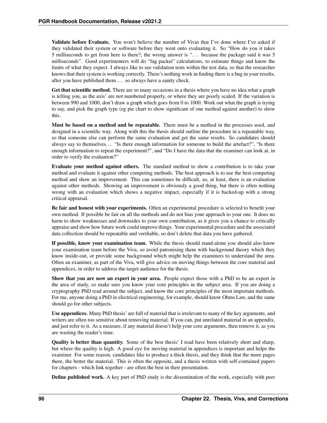Validate before Evaluate. You won't believe the number of Vivas that I've done where I've asked if they validated their system or software before they went onto evaluating it. So "How do you it takes 5 milliseconds to get from here to there?, the wrong answer is "... because the package said it was 5 milliseconds". Good experimenters will do "fag packet" calculations, to estimate things and know the limits of what they expect. I always like to see validation tests within the test data, so that the researcher knows that their system is working correctly. There's nothing work in finding there is a bug in your results, after you have published them . . . so always have a sanity check.

Get that scientific method. There are so many occasions in a thesis where you have no idea what a graph is telling you, as the axis' are not numbered properly, or where they are poorly scaled. If the variation is between 990 and 1000, don't draw a graph which goes from 0 to 1000. Work out what the graph is trying to say, and pick the graph type (eg pie chart to show significant of one method against another) to show this.

Must be based on a method and be repeatable. There must be a method in the processes used, and designed in a scientific way. Along with this the thesis should outline the procedure in a repeatable way, so that someone else can perform the same evaluation and get the same results. So candidates should always say to themselves... "Is there enough information for someone to build the artefact?", "Is there enough information to repeat the experiment?", and "Do I have the data that the examiner can look at, in order to verify the evaluation?"

Evaluate your method against others. The standard method to show a contribution is to take your method and evaluate it against other competing methods. The best approach is to use the best competing method and show an improvement. This can sometimes be difficult, so, at least, there is an evaluation against other methods. Showing an improvement is obviously a good thing, but there is often nothing wrong with an evaluation which shows a negative impact, especially if it is backed-up with a strong critical appraisal.

Be fair and honest with your experiments. Often an experimental procedure is selected to benefit your own method. If possible be fair on all the methods and do not bias your approach to your one. It does no harm to show weaknesses and downsides to your own contribution, as it gives you a chance to critically appraise and show how future work could improve things. Your experimental procedure and the associated data collection should be repeatable and verifiable, so don't delete that data you have gathered.

If possible, know your examination team. While the thesis should stand-alone you should also know your examination team before the Viva, so avoid patronising them with background theory which they know inside-out, or provide some background which might help the examiners to understand the area. Often an examiner, as part of the Viva, will give advice on moving things between the core material and appendices, in order to address the target audience for the thesis.

Show that you are now an expert in your area. People expect those with a PhD to be an expert in the area of study, so make sure you know your core principles in the subject area. If you are doing a cryptography PhD read around the subject, and know the core principles of the most important methods. For me, anyone doing a PhD in electrical engineering, for example, should know Ohms Law, and the same should go for other subjects.

Use appendices. Many PhD thesis' are full of material that is irrelevant to many of the key arguments, and writers are often too sensitive about removing material. If you can, put unrelated material in an appendix, and just refer to it. As a measure, if any material doesn't help your core arguments, then remove it, as you are wasting the reader's time.

Quality is better than quantity. Some of the best thesis' I read have been relatively short and sharp, but where the quality is high. A good eye for moving material in appendices is important and helps the examiner. For some reason, candidates like to produce a thick thesis, and they think that the more pages there, the better the material. This is often the opposite, and a thesis written with self-contained papers for chapters - which link together - are often the best in their presentation.

Define published work. A key part of PhD study is the dissemination of the work, especially with peer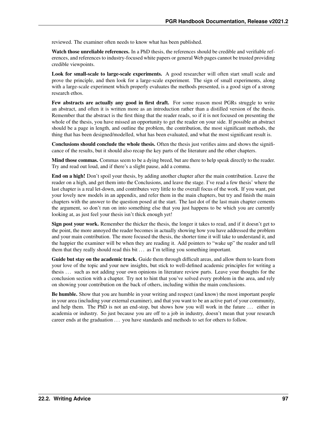reviewed. The examiner often needs to know what has been published.

Watch those unreliable references. In a PhD thesis, the references should be credible and verifiable references, and references to industry-focused white papers or general Web pages cannot be trusted providing credible viewpoints.

Look for small-scale to large-scale experiments. A good researcher will often start small scale and prove the principle, and then look for a large-scale experiment. The sign of small experiments, along with a large-scale experiment which properly evaluates the methods presented, is a good sign of a strong research ethos.

Few abstracts are actually any good in first draft. For some reason most PGRs struggle to write an abstract, and often it is written more as an introduction rather than a distilled version of the thesis. Remember that the abstract is the first thing that the reader reads, so if it is not focused on presenting the whole of the thesis, you have missed an opportunity to get the reader on your side. If possible an abstract should be a page in length, and outline the problem, the contribution, the most significant methods, the thing that has been designed/modelled, what has been evaluated, and what the most significant result is.

Conclusions should conclude the whole thesis. Often the thesis just verifies aims and shows the significance of the results, but it should also recap the key parts of the literature and the other chapters.

Mind those commas. Commas seem to be a dying breed, but are there to help speak directly to the reader. Try and read out loud, and if there's a slight pause, add a comma.

End on a high! Don't spoil your thesis, by adding another chapter after the main contribution. Leave the reader on a high, and get them into the Conclusions, and leave the stage. I've read a few thesis' where the last chapter is a real let-down, and contributes very little to the overall focus of the work. If you want, put your lovely new models in an appendix, and refer them in the main chapters, but try and finish the main chapters with the answer to the question posed at the start. The last dot of the last main chapter cements the argument, so don't run on into something else that you just happens to be which you are currently looking at, as just feel your thesis isn't thick enough yet!

Sign post your work. Remember the thicker the thesis, the longer it takes to read, and if it doesn't get to the point, the more annoyed the reader becomes in actually showing how you have addressed the problem and your main contribution. The more focused the thesis, the shorter time it will take to understand it, and the happier the examiner will be when they are reading it. Add pointers to "wake up" the reader and tell them that they really should read this bit ... as I'm telling you something important.

Guide but stay on the academic track. Guide them through difficult areas, and allow them to learn from your love of the topic and your new insights, but stick to well-defined academic principles for writing a thesis . . . such as not adding your own opinions in literature review parts. Leave your thoughts for the conclusion section with a chapter. Try not to hint that you've solved every problem in the area, and rely on showing your contribution on the back of others, including within the main conclusions.

Be humble. Show that you are humble in your writing and respect (and know) the most important people in your area (including your external examiner), and that you want to be an active part of your community, and help them. The PhD is not an end-stop, but shows how you will work in the future ... either in academia or industry. So just because you are off to a job in industry, doesn't mean that your research career ends at the graduation . . . you have standards and methods to set for others to follow.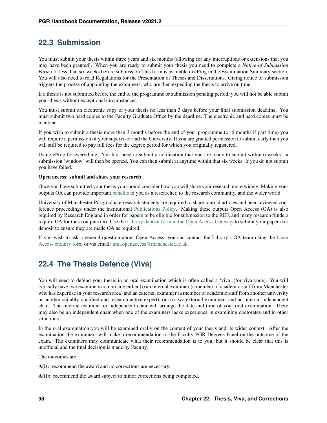## **22.3 Submission**

You must submit your thesis within three years and six months (allowing for any interruptions or extensions that you may have been granted). When you are ready to submit your thesis you need to complete a *Notice of Submission Form* not less than six weeks before submission. This form is available in eProg in the Examination Summary section. You will also need to read Regulations for the Presentation of Theses and Dissertations. Giving notice of submission triggers the process of appointing the examiners, who are then expecting the thesis to arrive on time.

If a thesis is not submitted before the end of the programme or submission pending period, you will not be able submit your thesis without exceptional circumstances.

You must submit an electronic copy of your thesis no less than 3 days before your final submission deadline. You must submit two hard copies to the Faculty Graduate Office by the deadline. The electronic and hard copies must be identical.

If you wish to submit a thesis more than 3 months before the end of your programme (or 6 months if part time) you will require a permission of your supervisor and the University. If you are granted permission to submit early then you will still be required to pay full fees for the degree period for which you originally registered.

Using eProg for everything. You first need to submit a notification that you are ready to submit within 6 weeks - a submission 'window' will then be opened. You can then submit at anytime within that six weeks. If you do not submit you have failed.

#### Open access: submit and share your research

Once you have submitted your thesis you should consider how you will share your research more widely. Making your outputs OA can provide important [benefits](http://www.library.manchester.ac.uk/using-the-library/staff/research/open-research/access/understanding/) to you as a researcher, to the research community, and the wider world.

University of Manchester Postgraduate research students are required to share journal articles and peer-reviewed conference proceedings under the institutional [Publications Policy.](http://www.library.manchester.ac.uk/using-the-library/staff/research/open-research/access/understanding/) Making these outputs Open Access (OA) is also required by Research England in order for papers to be eligible for submission to the REF, and many research funders require OA for these outputs too. Use the [Library deposit form in the Open Access Gateway](http://www.library.manchester.ac.uk/using-the-library/staff/research/open-research/access/deposit-form/) to submit your papers for deposit to ensure they are made OA as required.

If you wish to ask a general question about Open Access, you can contact the Library's OA team using the [Open](https://www.library.manchester.ac.uk/using-the-library/staff/research/open-research/access/funding/) [Access enquiry form](https://www.library.manchester.ac.uk/using-the-library/staff/research/open-research/access/funding/) or via email: [uml.openaccess@manchester.ac.uk](mailto:uml.openaccess@manchester.ac.uk)

# **22.4 The Thesis Defence (Viva)**

You will need to defend your thesis in an oral examination which is often called a 'viva' (for viva voce). You will typically have two examiners comprising either (i) an internal examiner (a member of academic staff from Manchester who has expertise in your research area) and an external examiner (a member of academic staff from another university or another suitably-qualified and research-active expert), or (ii) two external examiners and an internal independent chair. The internal examiner or independent chair will arrange the date and time of your oral examination. There may also be an independent chair when one of the examiners lacks experience in examining doctorates and in other situations.

In the oral examination you will be examined orally on the content of your thesis and its wider context. After the examination the examiners will make a recommendation to the Faculty PGR Degrees Panel on the outcome of the exam. The examiners may communicate what their recommendation is to you, but it should be clear that this is unofficial and the final decision is made by Faculty.

The outcomes are:

A(i): recommend the award and no corrections are necessary.

A(ii): recommend the award subject to minor corrections being completed.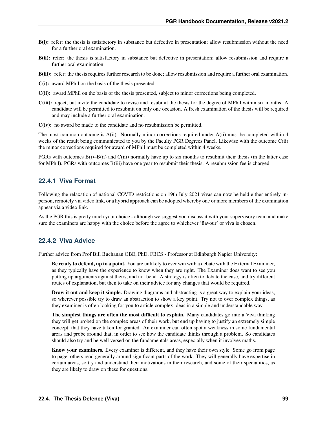- B(i): refer: the thesis is satisfactory in substance but defective in presentation; allow resubmission without the need for a further oral examination.
- B(ii): refer: the thesis is satisfactory in substance but defective in presentation; allow resubmission and require a further oral examination.
- B(iii): refer: the thesis requires further research to be done; allow resubmission and require a further oral examination.
- C(i): award MPhil on the basis of the thesis presented.
- C(ii): award MPhil on the basis of the thesis presented, subject to minor corrections being completed.
- C(iii): reject, but invite the candidate to revise and resubmit the thesis for the degree of MPhil within six months. A candidate will be permitted to resubmit on only one occasion. A fresh examination of the thesis will be required and may include a further oral examination.
- C(iv): no award be made to the candidate and no resubmission be permitted.

The most common outcome is A(ii). Normally minor corrections required under A(ii) must be completed within 4 weeks of the result being communicated to you by the Faculty PGR Degrees Panel. Likewise with the outcome C(ii) the minor corrections required for award of MPhil must be completed within 4 weeks.

PGRs with outcomes B(i)–B(ii) and C(iii) normally have up to six months to resubmit their thesis (in the latter case for MPhil). PGRs with outcomes B(iii) have one year to resubmit their thesis. A resubmission fee is charged.

### **22.4.1 Viva Format**

Following the relaxation of national COVID restrictions on 19th July 2021 vivas can now be held either entirely inperson, remotely via video link, or a hybrid approach can be adopted whereby one or more members of the examination appear via a video link.

As the PGR this is pretty much your choice - although we suggest you discuss it with your supervisory team and make sure the examiners are happy with the choice before the agree to whichever 'flavour' or viva is chosen.

### **22.4.2 Viva Advice**

Further advice from Prof Bill Buchanan OBE, PhD, FBCS - Professor at Edinburgh Napier University:

Be ready to defend, up to a point. You are unlikely to ever win with a debate with the External Examiner, as they typically have the experience to know when they are right. The Examiner does want to see you putting up arguments against theirs, and not bend. A strategy is often to debate the case, and try different routes of explanation, but then to take on their advice for any changes that would be required.

Draw it out and keep it simple. Drawing diagrams and abstracting is a great way to explain your ideas, so wherever possible try to draw an abstraction to show a key point. Try not to over complex things, as they examiner is often looking for you to article complex ideas in a simple and understandable way.

The simplest things are often the most difficult to explain. Many candidates go into a Viva thinking they will get probed on the complex areas of their work, but end up having to justify an extremely simple concept, that they have taken for granted. An examiner can often spot a weakness in some fundamental areas and probe around that, in order to see how the candidate thinks through a problem. So candidates should also try and be well versed on the fundamentals areas, especially when it involves maths.

Know your examiners. Every examiner is different, and they have their own style. Some go from page to page, others read generally around significant parts of the work. They will generally have expertise in certain areas, so try and understand their motivations in their research, and some of their specialities, as they are likely to draw on these for questions.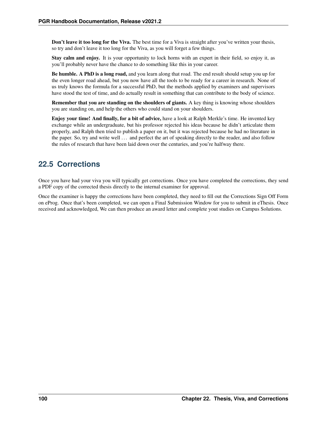Don't leave it too long for the Viva. The best time for a Viva is straight after you've written your thesis, so try and don't leave it too long for the Viva, as you will forget a few things.

Stay calm and enjoy. It is your opportunity to lock horns with an expert in their field, so enjoy it, as you'll probably never have the chance to do something like this in your career.

Be humble. A PhD is a long road, and you learn along that road. The end result should setup you up for the even longer road ahead, but you now have all the tools to be ready for a career in research. None of us truly knows the formula for a successful PhD, but the methods applied by examiners and supervisors have stood the test of time, and do actually result in something that can contribute to the body of science.

Remember that you are standing on the shoulders of giants. A key thing is knowing whose shoulders you are standing on, and help the others who could stand on your shoulders.

Enjoy your time! And finally, for a bit of advice, have a look at Ralph Merkle's time. He invented key exchange while an undergraduate, but his professor rejected his ideas because he didn't articulate them properly, and Ralph then tried to publish a paper on it, but it was rejected because he had no literature in the paper. So, try and write well . . . and perfect the art of speaking directly to the reader, and also follow the rules of research that have been laid down over the centuries, and you're halfway there.

# **22.5 Corrections**

Once you have had your viva you will typically get corrections. Once you have completed the corrections, they send a PDF copy of the corrected thesis directly to the internal examiner for approval.

Once the examiner is happy the corrections have been completed, they need to fill out the Corrections Sign Off Form on eProg. Once that's been completed, we can open a Final Submission Window for you to submit in eThesis. Once received and acknowledged, We can then produce an award letter and complete yout studies on Campus Solutions.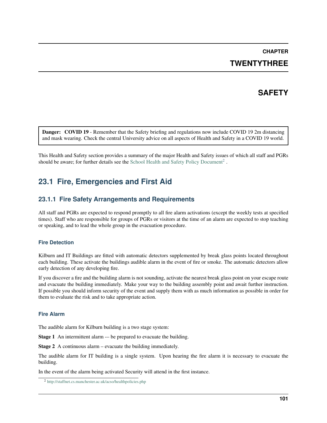# **CHAPTER**

## **TWENTYTHREE**

# **SAFETY**

Danger: COVID 19 - Remember that the Safety briefing and regulations now include COVID 19 2m distancing and mask wearing. Check the central University advice on all aspects of Health and Safety in a COVID 19 world.

This Health and Safety section provides a summary of the major Health and Safety issues of which all staff and PGRs should be aware; for further details see the [School Health and Safety Policy Document](http://staffnet.cs.manchester.ac.uk/acso/healthpolicies.php)<sup>[2](#page-104-0)</sup>.

# **23.1 Fire, Emergencies and First Aid**

## **23.1.1 Fire Safety Arrangements and Requirements**

All staff and PGRs are expected to respond promptly to all fire alarm activations (except the weekly tests at specified times). Staff who are responsible for groups of PGRs or visitors at the time of an alarm are expected to stop teaching or speaking, and to lead the whole group in the evacuation procedure.

### **Fire Detection**

Kilburn and IT Buildings are fitted with automatic detectors supplemented by break glass points located throughout each building. These activate the buildings audible alarm in the event of fire or smoke. The automatic detectors allow early detection of any developing fire.

If you discover a fire and the building alarm is not sounding, activate the nearest break glass point on your escape route and evacuate the building immediately. Make your way to the building assembly point and await further instruction. If possible you should inform security of the event and supply them with as much information as possible in order for them to evaluate the risk and to take appropriate action.

#### **Fire Alarm**

The audible alarm for Kilburn building is a two stage system:

Stage 1 An intermittent alarm -– be prepared to evacuate the building.

Stage 2 A continuous alarm – evacuate the building immediately.

The audible alarm for IT building is a single system. Upon hearing the fire alarm it is necessary to evacuate the building.

In the event of the alarm being activated Security will attend in the first instance.

<span id="page-104-0"></span><sup>2</sup> <http://staffnet.cs.manchester.ac.uk/acso/healthpolicies.php>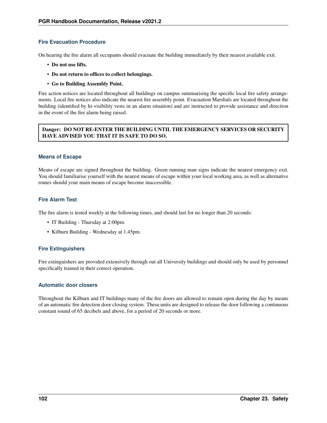### **Fire Evacuation Procedure**

On hearing the fire alarm all occupants should evacuate the building immediately by their nearest available exit.

- Do not use lifts.
- Do not return to offices to collect belongings.
- Go to Building Assembly Point.

Fire action notices are located throughout all buildings on campus summarising the specific local fire safety arrangements. Local fire notices also indicate the nearest fire assembly point. Evacuation Marshals are located throughout the building (identified by hi-visibility vests in an alarm situation) and are instructed to provide assistance and direction in the event of the fire alarm being raised.

#### Danger: DO NOT RE-ENTER THE BUILDING UNTIL THE EMERGENCY SERVICES OR SECURITY HAVE ADVISED YOU THAT IT IS SAFE TO DO SO.

#### **Means of Escape**

Means of escape are signed throughout the building. Green running man signs indicate the nearest emergency exit. You should familiarise yourself with the nearest means of escape within your local working area, as well as alternative routes should your main means of escape become inaccessible.

### **Fire Alarm Test**

The fire alarm is tested weekly at the following times, and should last for no longer than 20 seconds:

- IT Building Thursday at 2:00pm.
- Kilburn Building Wednesday at 1.45pm.

#### **Fire Extinguishers**

Fire extinguishers are provided extensively through out all University buildings and should only be used by personnel specifically trained in their correct operation.

#### **Automatic door closers**

Throughout the Kilburn and IT buildings many of the fire doors are allowed to remain open during the day by means of an automatic fire detection door closing system. These units are designed to release the door following a continuous constant sound of 65 decibels and above, for a period of 20 seconds or more.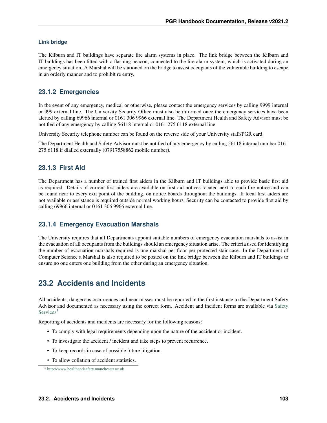#### **Link bridge**

The Kilburn and IT buildings have separate fire alarm systems in place. The link bridge between the Kilburn and IT buildings has been fitted with a flashing beacon, connected to the fire alarm system, which is activated during an emergency situation. A Marshal will be stationed on the bridge to assist occupants of the vulnerable building to escape in an orderly manner and to prohibit re entry.

## **23.1.2 Emergencies**

In the event of any emergency, medical or otherwise, please contact the emergency services by calling 9999 internal or 999 external line. The University Security Office must also be informed once the emergency services have been alerted by calling 69966 internal or 0161 306 9966 external line. The Department Health and Safety Advisor must be notified of any emergency by calling 56118 internal or 0161 275 6118 external line.

University Security telephone number can be found on the reverse side of your University staff/PGR card.

The Department Health and Safety Advisor must be notified of any emergency by calling 56118 internal number 0161 275 6118 if dialled externally (07917558862 mobile number).

## **23.1.3 First Aid**

The Department has a number of trained first aiders in the Kilburn and IT buildings able to provide basic first aid as required. Details of current first aiders are available on first aid notices located next to each fire notice and can be found near to every exit point of the building, on notice boards throughout the buildings. If local first aiders are not available or assistance is required outside normal working hours, Security can be contacted to provide first aid by calling 69966 internal or 0161 306 9966 external line.

## **23.1.4 Emergency Evacuation Marshals**

The University requires that all Departments appoint suitable numbers of emergency evacuation marshals to assist in the evacuation of all occupants from the buildings should an emergency situation arise. The criteria used for identifying the number of evacuation marshals required is one marshal per floor per protected stair case. In the Department of Computer Science a Marshal is also required to be posted on the link bridge between the Kilburn and IT buildings to ensure no one enters one building from the other during an emergency situation.

# **23.2 Accidents and Incidents**

All accidents, dangerous occurrences and near misses must be reported in the first instance to the Department Safety Advisor and documented as necessary using the correct form. Accident and incident forms are available via [Safety](http://www.healthandsafety.manchester.ac.uk) [Services](http://www.healthandsafety.manchester.ac.uk)<sup>[3](#page-106-0)</sup>

Reporting of accidents and incidents are necessary for the following reasons:

- To comply with legal requirements depending upon the nature of the accident or incident.
- To investigate the accident / incident and take steps to prevent recurrence.
- To keep records in case of possible future litigation.
- To allow collation of accident statistics.

<span id="page-106-0"></span><sup>3</sup> <http://www.healthandsafety.manchester.ac.uk>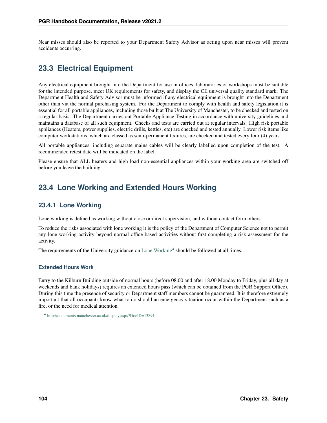Near misses should also be reported to your Department Safety Advisor as acting upon near misses will prevent accidents occurring.

# **23.3 Electrical Equipment**

Any electrical equipment brought into the Department for use in offices, laboratories or workshops must be suitable for the intended purpose, meet UK requirements for safety, and display the CE universal quality standard mark. The Department Health and Safety Advisor must be informed if any electrical equipment is brought into the Department other than via the normal purchasing system. For the Department to comply with health and safety legislation it is essential for all portable appliances, including those built at The University of Manchester, to be checked and tested on a regular basis. The Department carries out Portable Appliance Testing in accordance with university guidelines and maintains a database of all such equipment. Checks and tests are carried out at regular intervals. High risk portable appliances (Heaters, power supplies, electric drills, kettles, etc) are checked and tested annually. Lower risk items like computer workstations, which are classed as semi-permanent fixtures, are checked and tested every four (4) years.

All portable appliances, including separate mains cables will be clearly labelled upon completion of the test. A recommended retest date will be indicated on the label.

Please ensure that ALL heaters and high load non-essential appliances within your working area are switched off before you leave the building.

# **23.4 Lone Working and Extended Hours Working**

### **23.4.1 Lone Working**

Lone working is defined as working without close or direct supervision, and without contact form others.

To reduce the risks associated with lone working it is the policy of the Department of Computer Science not to permit any lone working activity beyond normal office based activities without first completing a risk assessment for the activity.

The requirements of the University guidance on [Lone Working](http://documents.manchester.ac.uk/display.aspx?DocID=13891)<sup>[4](#page-107-0)</sup> should be followed at all times.

#### **Extended Hours Work**

Entry to the Kilburn Building outside of normal hours (before 08.00 and after 18.00 Monday to Friday, plus all day at weekends and bank holidays) requires an extended hours pass (which can be obtained from the PGR Support Office). During this time the presence of security or Department staff members cannot be guaranteed. It is therefore extremely important that all occupants know what to do should an emergency situation occur within the Department such as a fire, or the need for medical attention.

<span id="page-107-0"></span><sup>4</sup> <http://documents.manchester.ac.uk/display.aspx?DocID=13891>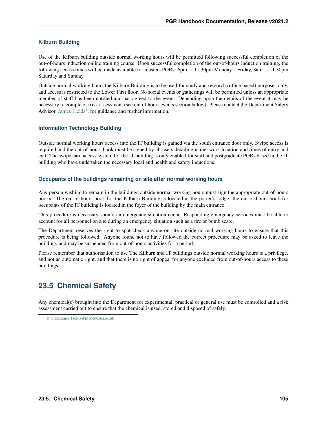#### **Kilburn Building**

Use of the Kilburn building outside normal working hours will be permitted following successful completion of the out-of-hours induction online training course. Upon successful completion of the out-of-hours induction training, the following access times will be made available for masters PGRs: 6pm –- 11.30pm Monday – Friday, 8am –- 11.30pm Saturday and Sunday.

Outside normal working hours the Kilburn Building is to be used for study and research (office based) purposes only, and access is restricted to the Lower First floor. No social events or gatherings will be permitted unless an appropriate member of staff has been notified and has agreed to the event. Depending upon the details of the event it may be necessary to complete a risk assessment (see out of hours events section below). Please contact the Department Safety Advisor, [James Fields](mailto:James.Fields@manchester.ac.uk)<sup>[1](#page-108-0)</sup>, for guidance and further information.

#### **Information Technology Building**

Outside normal working hours access into the IT building is gained via the south entrance door only. Swipe access is required and the out-of-hours book must be signed by all users detailing name, work location and times of entry and exit. The swipe card access system for the IT building is only enabled for staff and postgraduate PGRs based in the IT building who have undertaken the necessary local and health and safety inductions.

#### **Occupants of the buildings remaining on site after normal working hours**

Any person wishing to remain in the buildings outside normal working hours must sign the appropriate out-of-hours books. The out-of-hours book for the Kilburn Building is located at the porter's lodge; the-out of-hours book for occupants of the IT building is located in the foyer of the building by the main entrance.

This procedure is necessary should an emergency situation occur. Responding emergency services must be able to account for all personnel on site during an emergency situation such as a fire or bomb scare.

The Department reserves the right to spot check anyone on site outside normal working hours to ensure that this procedure is being followed. Anyone found not to have followed the correct procedure may be asked to leave the building, and may be suspended from out-of-hours activities for a period.

Please remember that authorisation to use The Kilburn and IT buildings outside normal working hours is a privilege, and not an automatic right, and that there is no right of appeal for anyone excluded from out-of-hours access to these buildings.

### **23.5 Chemical Safety**

Any chemical(s) brought into the Department for experimental, practical or general use must be controlled and a risk assessment carried out to ensure that the chemical is used, stored and disposed of safely.

<span id="page-108-0"></span><sup>1</sup> <mailto:James.Fields@manchester.ac.uk>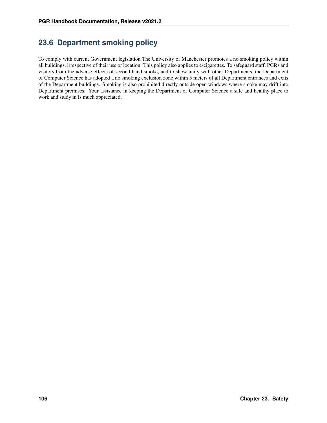## **23.6 Department smoking policy**

To comply with current Government legislation The University of Manchester promotes a no smoking policy within all buildings, irrespective of their use or location. This policy also applies to e-cigarettes. To safeguard staff, PGRs and visitors from the adverse effects of second hand smoke, and to show unity with other Departments, the Department of Computer Science has adopted a no smoking exclusion zone within 5 meters of all Department entrances and exits of the Department buildings. Smoking is also prohibited directly outside open windows where smoke may drift into Department premises. Your assistance in keeping the Department of Computer Science a safe and healthy place to work and study in is much appreciated.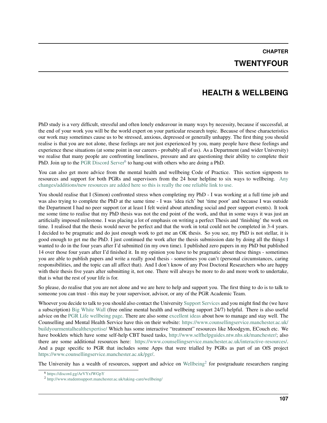**CHAPTER TWENTYFOUR**

### **HEALTH & WELLBEING**

PhD study is a very difficult, stressful and often lonely endeavour in many ways by necessity, because if successful, at the end of your work you will be the world expert on your particular research topic. Because of these characteristics our work may sometimes cause us to be stressed, anxious, depressed or generally unhappy. The first thing you should realise is that you are not alone, these feelings are not just experienced by you, many people have these feelings and experience these situations (at some point in our careers - probably all of us). As a Department (and wider University) we realise that many people are confronting loneliness, pressure and are questioning their ability to complete their PhD. Join up to the [PGR Discord Server](https://discord.gg/ArVYxfWGpY)<sup>[6](#page-110-0)</sup> to hang-out with others who are doing a PhD.

You can also get more advice from the mental health and wellbeing Code of Practice. This section signposts to resources and support for both PGRs and supervisors from the 24 hour helpline to six ways to wellbeing. [Any](https://staffnet.manchester.ac.uk/rbe/rdrd/code/#d.en.796919) [changes/additions/new resources are added here so this is really the one reliable link to use.](https://staffnet.manchester.ac.uk/rbe/rdrd/code/#d.en.796919)

You should realise that I (Simon) confronted stress when completing my PhD - I was working at a full time job and was also trying to complete the PhD at the same time - I was 'idea rich' but 'time poor' and because I was outside the Department I had no peer support (or at least I felt weird about attending social and peer support events). It took me some time to realise that my PhD thesis was not the end point of the work, and that in some ways it was just an artificially imposed milestone. I was placing a lot of emphasis on writing a perfect Thesis and 'finishing' the work on time. I realised that the thesis would never be perfect and that the work in total could not be completed in 3-4 years. I decided to be pragmatic and do just enough work to get me an OK thesis. So you see, my PhD is not stellar, it is good enough to get me the PhD. I just continued the work after the thesis submission date by doing all the things I wanted to do in the four years after I'd submitted (in my own time). I published zero papers in my PhD but published 14 over those four years after I'd finished it. In my opinion you have to be pragmatic about these things - sometimes you are able to publish papers and write a really good thesis - sometimes you can't (personal circumstances, caring responsibilities, and the topic can all affect that). And I don't know of any Post Doctoral Researchers who are happy with their thesis five years after submitting it, not one. There will always be more to do and more work to undertake, that is what the rest of your life is for.

So please, do realise that you are not alone and we are here to help and support you. The first thing to do is to talk to someone you can trust - this may be your supervisor, advisor, or any of the PGR Academic Team.

Whoever you decide to talk to you should also contact the University [Support Services](http://www.studentsupport.manchester.ac.uk/) and you might find the (we have a subscription) [Big White Wall](http://www.studentsupport.manchester.ac.uk/taking-care/big-white-wall/) (free online mental health and wellbeing support 24/7) helpful. There is also useful advice on the [PGR Life wellbeing page.](http://www.pgrlife.manchester.ac.uk/supportingyou/wellbeingandhealth-resourcesforpgrs/) There are also some [excellent ideas](https://twitter.com/ZJAyres/status/1239983524259737606) about how to manage and stay well. The Counselling and Mental Health Service have this on their website: [https://www.counsellingservice.manchester.ac.uk/](https://www.counsellingservice.manchester.ac.uk/buildyourmentalhealthexpertise/) [buildyourmentalhealthexpertise/](https://www.counsellingservice.manchester.ac.uk/buildyourmentalhealthexpertise/) Which has some interactive "treatment" resources like Moodgym, ECouch etc. We have booklets which have some self-help CBT based tasks, [http://www.selfhelpguides.ntw.nhs.uk/manchester/;](http://www.selfhelpguides.ntw.nhs.uk/manchester/) also there are some additional resources here: [https://www.counsellingservice.manchester.ac.uk/interactive-resources/.](https://www.counsellingservice.manchester.ac.uk/interactive-resources/) And a page specific to PGR that includes some Apps that were trialled by PGRs as part of an OfS project [https://www.counsellingservice.manchester.ac.uk/pgr/.](https://www.counsellingservice.manchester.ac.uk/pgr/)

The University has a wealth of resources, support and advice on [Wellbeing](http://www.studentsupport.manchester.ac.uk/taking-care/wellbeing/)<sup>[2](#page-110-1)</sup> for postgraduate researchers ranging

<span id="page-110-0"></span><sup>6</sup> <https://discord.gg/ArVYxfWGpY>

<span id="page-110-1"></span><sup>2</sup> <http://www.studentsupport.manchester.ac.uk/taking-care/wellbeing/>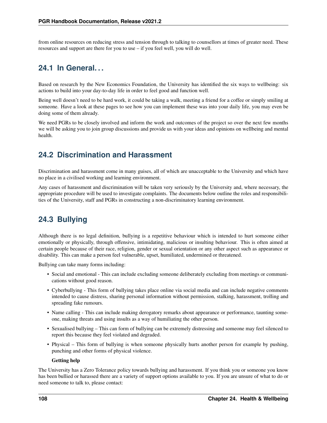from online resources on reducing stress and tension through to talking to counsellors at times of greater need. These resources and support are there for you to use – if you feel well, you will do well.

## **24.1 In General. . .**

Based on research by the New Economics Foundation, the University has identified the six ways to wellbeing: six actions to build into your day-to-day life in order to feel good and function well.

Being well doesn't need to be hard work, it could be taking a walk, meeting a friend for a coffee or simply smiling at someone. Have a look at these pages to see how you can implement these was into your daily life, you may even be doing some of them already.

We need PGRs to be closely involved and inform the work and outcomes of the project so over the next few months we will be asking you to join group discussions and provide us with your ideas and opinions on wellbeing and mental health.

### **24.2 Discrimination and Harassment**

Discrimination and harassment come in many guises, all of which are unacceptable to the University and which have no place in a civilised working and learning environment.

Any cases of harassment and discrimination will be taken very seriously by the University and, where necessary, the appropriate procedure will be used to investigate complaints. The documents below outline the roles and responsibilities of the University, staff and PGRs in constructing a non-discriminatory learning environment.

## **24.3 Bullying**

Although there is no legal definition, bullying is a repetitive behaviour which is intended to hurt someone either emotionally or physically, through offensive, intimidating, malicious or insulting behaviour. This is often aimed at certain people because of their race, religion, gender or sexual orientation or any other aspect such as appearance or disability. This can make a person feel vulnerable, upset, humiliated, undermined or threatened.

Bullying can take many forms including:

- Social and emotional This can include excluding someone deliberately excluding from meetings or communications without good reason.
- Cyberbullying This form of bullying takes place online via social media and can include negative comments intended to cause distress, sharing personal information without permission, stalking, harassment, trolling and spreading fake rumours.
- Name calling This can include making derogatory remarks about appearance or performance, taunting someone, making threats and using insults as a way of humiliating the other person.
- Sexualised bullying This can form of bullying can be extremely distressing and someone may feel silenced to report this because they feel violated and degraded.
- Physical This form of bullying is when someone physically hurts another person for example by pushing, punching and other forms of physical violence.

#### Getting help

The University has a Zero Tolerance policy towards bullying and harassment. If you think you or someone you know has been bullied or harassed there are a variety of support options available to you. If you are unsure of what to do or need someone to talk to, please contact: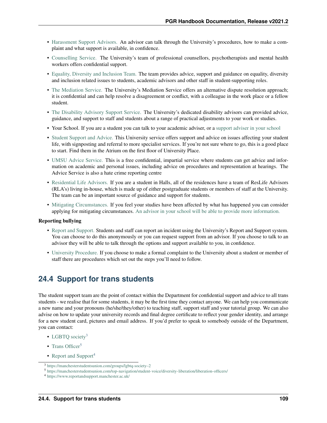- [Harassment Support Advisors.](https://www.reportandsupport.manchester.ac.uk/support/university-harassment-support-advisors) An advisor can talk through the University's procedures, how to make a complaint and what support is available, in confidence.
- [Counselling Service.](http://www.counsellingservice.manchester.ac.uk/) The University's team of professional counsellors, psychotherapists and mental health workers offers confidential support.
- [Equality, Diversity and Inclusion Team.](http://www.staffnet.manchester.ac.uk/theguide/index.htm?page=contact&id=RegSec-%3EHR-%3EEqualityDiversity) The team provides advice, support and guidance on equality, diversity and inclusion related issues to students, academic advisors and other staff in student-supporting roles.
- [The Mediation Service.](http://www.staffnet.manchester.ac.uk/equality-and-diversity/mediation/) The University's Mediation Service offers an alternative dispute resolution approach; it is confidential and can help resolve a disagreement or conflict, with a colleague in the work place or a fellow student.
- [The Disability Advisory Support Service.](http://www.dso.manchester.ac.uk/) The University's dedicated disability advisors can provided advice, guidance, and support to staff and students about a range of practical adjustments to your work or studies.
- Your School. If you are a student you can talk to your academic adviser, or a [support adviser in your school](http://documents.manchester.ac.uk/display.aspx?DocID=31406)
- [Student Support and Advice.](http://www.manchester.ac.uk/ssa) This University service offers support and advice on issues affecting your student life, with signposting and referral to more specialist services. If you're not sure where to go, this is a good place to start. Find them in the Atrium on the first floor of University Place.
- [UMSU Advice Service.](https://manchesterstudentsunion.com/adviceservice) This is a free confidential, impartial service where students can get advice and information on academic and personal issues, including advice on procedures and representation at hearings. The Advice Service is also a hate crime reporting centre
- [Residential Life Advisors.](http://www.manchester.ac.uk/reslife) If you are a student in Halls, all of the residences have a team of ResLife Advisors (RLA's) living in-house, which is made up of either postgraduate students or members of staff at the University. The team can be an important source of guidance and support for students.
- [Mitigating Circumstances.](http://documents.manchester.ac.uk/display.aspx?DocID=23886) If you feel your studies have been affected by what has happened you can consider applying for mitigating circumstances. [An advisor in your school will be able to provide more information.](http://documents.manchester.ac.uk/display.aspx?DocID=31406)

#### Reporting bullying

- [Report and Support.](https://www.reportandsupport.manchester.ac.uk/) Students and staff can report an incident using the University's Report and Support system. You can choose to do this anonymously or you can request support from an advisor. If you choose to talk to an advisor they will be able to talk through the options and support available to you, in confidence.
- [University Procedure.](https://www.reportandsupport.manchester.ac.uk/support/university-policy) If you choose to make a formal complaint to the University about a student or member of staff there are procedures which set out the steps you'll need to follow.

### **24.4 Support for trans students**

The student support team are the point of contact within the Department for confidential support and advice to all trans students - we realise that for some students, it may be the first time they contact anyone. We can help you communicate a new name and your pronouns (he/she/they/other) to teaching staff, support staff and your tutorial group. We can also advise on how to update your university records and final degree certificate to reflect your gender identity, and arrange for a new student card, pictures and email address. If you'd prefer to speak to somebody outside of the Department, you can contact:

- LGBTO society<sup>[3](#page-112-0)</sup>
- [Trans Officer](https://manchesterstudentsunion.com/top-navigation/student-voice/diversity-liberation/liberation-officers/)<sup>[5](#page-112-1)</sup>
- [Report and Support](https://www.reportandsupport.manchester.ac.uk/)<sup>[4](#page-112-2)</sup>

<span id="page-112-0"></span><sup>3</sup> [https://manchesterstudentsunion.com/groups/lgbtq-society–2](https://manchesterstudentsunion.com/groups/lgbtq-society--2)

<span id="page-112-1"></span><sup>5</sup> <https://manchesterstudentsunion.com/top-navigation/student-voice/diversity-liberation/liberation-officers/>

<span id="page-112-2"></span><sup>4</sup> <https://www.reportandsupport.manchester.ac.uk/>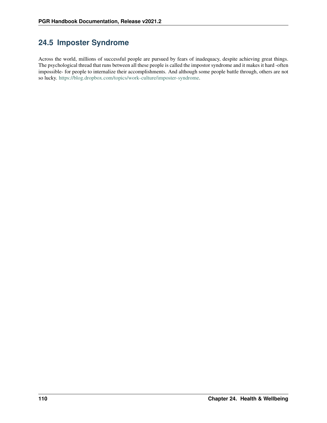## **24.5 Imposter Syndrome**

Across the world, millions of successful people are pursued by fears of inadequacy, despite achieving great things. The psychological thread that runs between all these people is called the impostor syndrome and it makes it hard -often impossible- for people to internalize their accomplishments. And although some people battle through, others are not so lucky. [https://blog.dropbox.com/topics/work-culture/imposter-syndrome.](https://blog.dropbox.com/topics/work-culture/imposter-syndrome)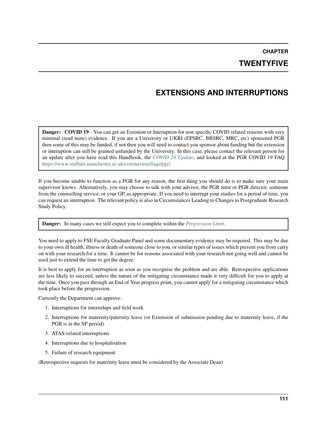**CHAPTER**

### **TWENTYFIVE**

## **EXTENSIONS AND INTERRUPTIONS**

**Danger:** COVID 19 - You can get an Extenion or Interuption for non specific COVID related reasons with very minimal (read none) evidence. If you are a University or UKRI (EPSRC, BBSRC, MRC, etc) sponsored PGR then some of this may be funded, if not then you will need to contact you sponsor about funding but the extension or interuption can still be granted unfunded by the University. In this case, please contact the relevant person for an update after you have read this Handbook, the *[COVID 19 Update](#page-22-0)*, and looked at the PGR COVID 19 FAQ [https://www.staffnet.manchester.ac.uk/coronavirus/faqs/pgr/.](https://www.staffnet.manchester.ac.uk/coronavirus/faqs/pgr/)

If you become unable to function as a PGR for any reason, the first thing you should do is to make sure your main supervisor knows. Alternatively, you may choose to talk with your advisor, the PGR tutor or PGR director, someone from the counselling service, or your GP, as appropriate. If you need to interrupt your studies for a period of time, you can request an interruption. The relevant policy is also in Circumstances Leading to Changes to Postgraduate Research Study Policy.

Danger: In many cases we still expect you to complete within the *[Progression Limit](#page-90-0)*.

You need to apply to FSE Faculty Graduate Panel and some documentary evidence may be required. This may be due to your own ill health, illness or death of someone close to you, or similar types of issues which prevent you from carry on with your research for a time. It cannot be for reasons associated with your research not going well and cannot be used just to extend the time to get the degree.

It is best to apply for an interruption as soon as you recognise the problem and are able. Retrospective applications are less likely to succeed, unless the nature of the mitigating circumstance made it very difficult for you to apply at the time. Once you pass through an End of Year progress point, you cannot apply for a mitigating circumstance which took place before the progression.

Currently the Department can approve:

- 1. Interruptions for internships and field work
- 2. Interruptions for maternity/paternity leave (or Extension of submission pending due to maternity leave, if the PGR is in the SP period)
- 3. ATAS-related interruptions
- 4. Interruptions due to hospitalisation
- 5. Failure of research equipment

(Retrospective requests for maternity leave must be considered by the Associate Dean)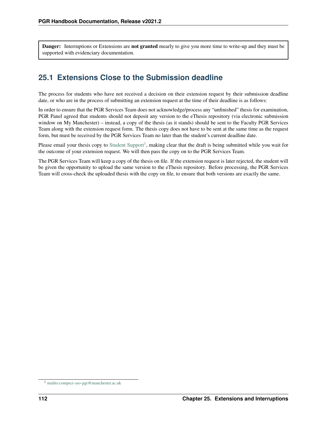Danger: Interruptions or Extensions are not granted mearly to give you more time to write-up and they must be supported with evidenciary documentation.

## **25.1 Extensions Close to the Submission deadline**

The process for students who have not received a decision on their extension request by their submission deadline date, or who are in the process of submitting an extension request at the time of their deadline is as follows:

In order to ensure that the PGR Services Team does not acknowledge/process any "unfinished" thesis for examination, PGR Panel agreed that students should not deposit any version to the eThesis repository (via electronic submission window on My Manchester) – instead, a copy of the thesis (as it stands) should be sent to the Faculty PGR Services Team along with the extension request form. The thesis copy does not have to be sent at the same time as the request form, but must be received by the PGR Services Team no later than the student's current deadline date.

Please email your thesis copy to [Student Support](mailto:compsci-sso-pgr@manchester.ac.uk)<sup>[1](#page-115-0)</sup>, making clear that the draft is being submitted while you wait for the outcome of your extension request. We will then pass the copy on to the PGR Services Team.

The PGR Services Team will keep a copy of the thesis on file. If the extension request is later rejected, the student will be given the opportunity to upload the same version to the eThesis repository. Before processing, the PGR Services Team will cross-check the uploaded thesis with the copy on file, to ensure that both versions are exactly the same.

<span id="page-115-0"></span><sup>1</sup> <mailto:compsci-sso-pgr@manchester.ac.uk>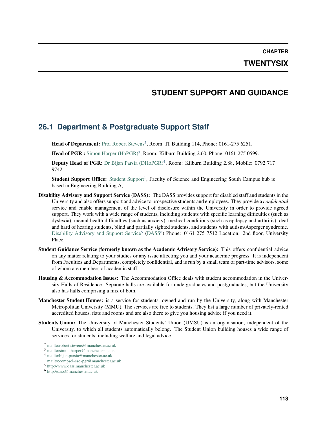**CHAPTER**

### **TWENTYSIX**

### **STUDENT SUPPORT AND GUIDANCE**

### **26.1 Department & Postgraduate Support Staff**

Head of Department: [Prof Robert Stevens](mailto:robert.stevens@manchester.ac.uk)<sup>[2](#page-116-0)</sup>, Room: IT Building 114, Phone: 0161-275 6251.

Head of PGR: Simon Harper  $(HoPGR)^3$  $(HoPGR)^3$ , Room: Kilburn Building 2.60, Phone: 0161-275 0599.

Deputy Head of PGR: [Dr Bijan Parsia \(DHoPGR\)](mailto:bijan.parsia@manchester.ac.uk)<sup>[4](#page-116-2)</sup>, Room: Kilburn Building 2.88, Mobile: 0792 717 9742.

[Student Support](mailto:compsci-sso-pgr@manchester.ac.uk) Office: Student Support<sup>[1](#page-116-3)</sup>, Faculty of Science and Engineering South Campus hub is based in Engineering Building A,

- Disability Advisory and Support Service (DASS): The DASS provides support for disabled staff and students in the University and also offers support and advice to prospective students and employees. They provide a *confidential* service and enable management of the level of disclosure within the University in order to provide agreed support. They work with a wide range of students, including students with specific learning difficulties (such as dyslexia), mental health difficulties (such as anxiety), medical conditions (such as epilepsy and arthritis), deaf and hard of hearing students, blind and partially sighted students, and students with autism/Asperger syndrome. [Disability Advisory and Support Service](http://www.dass.manchester.ac.uk)<sup>[5](#page-116-4)</sup> [\(DASS](http://dass@manchester.ac.uk)<sup>[6](#page-116-5)</sup>) Phone: 0161 275 7512 Location: 2nd floor, University Place.
- Student Guidance Service (formerly known as the Academic Advisory Service): This offers confidential advice on any matter relating to your studies or any issue affecting you and your academic progress. It is independent from Faculties and Departments, completely confidential, and is run by a small team of part-time advisors, some of whom are members of academic staff.
- Housing & Accommodation Issues: The Accommodation Office deals with student accommodation in the University Halls of Residence. Separate halls are available for undergraduates and postgraduates, but the University also has halls comprising a mix of both.
- Manchester Student Homes: is a service for students, owned and run by the University, along with Manchester Metropolitan University (MMU). The services are free to students. They list a large number of privately-rented accredited houses, flats and rooms and are also there to give you housing advice if you need it.
- Students Union: The University of Manchester Students' Union (UMSU) is an organisation, independent of the University, to which all students automatically belong. The Student Union building houses a wide range of services for students, including welfare and legal advice.

<span id="page-116-0"></span><sup>2</sup> <mailto:robert.stevens@manchester.ac.uk>

<span id="page-116-1"></span><sup>3</sup> <mailto:simon.harper@manchester.ac.uk>

<span id="page-116-2"></span><sup>4</sup> <mailto:bijan.parsia@manchester.ac.uk>

<span id="page-116-3"></span><sup>1</sup> <mailto:compsci-sso-pgr@manchester.ac.uk>

<span id="page-116-4"></span><sup>5</sup> <http://www.dass.manchester.ac.uk>

<span id="page-116-5"></span><sup>6</sup> <http://dass@manchester.ac.uk>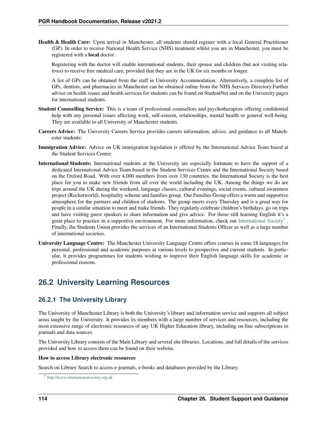Health & Health Care: Upon arrival in Manchester, all students should register with a local General Practitioner (GP). In order to receive National Health Service (NHS) treatment whilst you are in Manchester, you must be registered with a local doctor .

Registering with the doctor will enable international students, their spouse and children (but not visiting relatives) to receive free medical care, provided that they are in the UK for six months or longer.

A list of GPs can be obtained from the staff in University Accommodation. Alternatively, a complete list of GPs, dentists, and pharmacies in Manchester can be obtained online from the NHS Services Directory.Further advice on health issues and health services for students can be found on StudentNet and on the University pages for international students.

- Student Counselling Service: This is a team of professional counsellors and psychotherapists offering confidential help with any personal issues affecting work, self-esteem, relationships, mental health or general well-being. They are available to all University of Manchester students.
- Careers Advice: The University Careers Service provides careers information, advice, and guidance to all Manchester students:
- Immigration Advice: Advice on UK immigration legislation is offered by the International Advice Team based at the Student Services Centre:
- International Students: International students at the University are especially fortunate to have the support of a dedicated International Advice Team based in the Student Services Centre and the International Society based on the Oxford Road. With over 4,000 members from over 130 countries, the International Society is the best place for you to make new friends from all over the world including the UK. Among the things we do are trips around the UK during the weekend, language classes, cultural evenings, social events, cultural awareness project (Rocketworld), hospitality scheme and families group. Our Families Group offers a warm and supportive atmosphere for the partners and children of students. The group meets every Thursday and is a great way for people in a similar situation to meet and make friends. They regularly celebrate children's birthdays, go on trips and have visiting guest speakers to share information and give advice. For those still learning English it's a great place to practice in a supportive environment. For more information, check out [International Society](http://www.internationalsociety.org.uk)<sup>[7](#page-117-0)</sup>. Finally, the Students Union provides the services of an International Students Officer as well as a large number of international societies.
- University Language Centre: The Manchester University Language Centre offers courses in some 18 languages for personal, professional and academic purposes at various levels to prospective and current students. In particular, it provides programmes for students wishing to improve their English language skills for academic or professional reasons.

### **26.2 University Learning Resources**

### **26.2.1 The University Library**

The University of Manchester Library is both the University's library and information service and supports all subject areas taught by the University. It provides its members with a large number of services and resources, including the most extensive range of electronic resources of any UK Higher Education library, including on-line subscriptions to journals and data sources.

The University Library consists of the Main Library and several site libraries. Locations, and full details of the services provided and how to access them can be found on their website.

#### How to access Library electronic resources

Search on Library Search to access e-journals, e-books and databases provided by the Library.

<span id="page-117-0"></span><sup>7</sup> <http://www.internationalsociety.org.uk>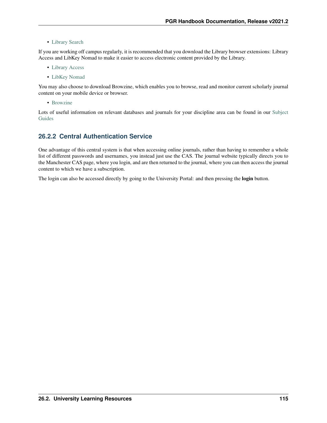• [Library Search](http://www.librarysearch.manchester.ac.uk/)

If you are working off campus regularly, it is recommended that you download the Library browser extensions: Library Access and LibKey Nomad to make it easier to access electronic content provided by the Library.

- [Library Access](https://www.library.manchester.ac.uk/search-resources/ebooks/how-to/off-campus/library-access/#d.en.574183)
- [LibKey Nomad](https://www.library.manchester.ac.uk/search-resources/ebooks/how-to/off-campus/libkey-nomad/)

You may also choose to download Browzine, which enables you to browse, read and monitor current scholarly journal content on your mobile device or browser.

• [Browzine](https://browzine.com/libraries/812/app-promotion)

Lots of useful information on relevant databases and journals for your discipline area can be found in our [Subject](http://subjects.library.manchester.ac.uk/science) [Guides](http://subjects.library.manchester.ac.uk/science)

### **26.2.2 Central Authentication Service**

One advantage of this central system is that when accessing online journals, rather than having to remember a whole list of different passwords and usernames, you instead just use the CAS. The journal website typically directs you to the Manchester CAS page, where you login, and are then returned to the journal, where you can then access the journal content to which we have a subscription.

The login can also be accessed directly by going to the University Portal: and then pressing the login button.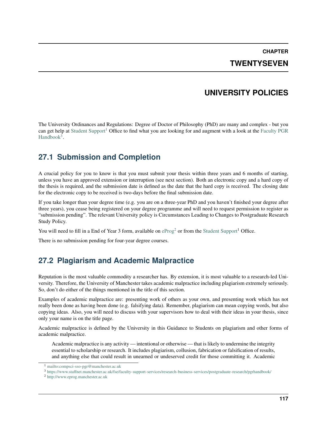**CHAPTER TWENTYSEVEN**

### **UNIVERSITY POLICIES**

<span id="page-120-3"></span>The University Ordinances and Regulations: Degree of Doctor of Philosophy (PhD) are many and complex - but you can get help at [Student Support](mailto:compsci-sso-pgr@manchester.ac.uk)<sup>[1](#page-120-0)</sup> Office to find what you are looking for and augment with a look at the [Faculty PGR](https://www.staffnet.manchester.ac.uk/fse/faculty-support-services/research-business-services/postgraduate-research/pgrhandbook/) [Handbook](https://www.staffnet.manchester.ac.uk/fse/faculty-support-services/research-business-services/postgraduate-research/pgrhandbook/)<sup>[3](#page-120-1)</sup>.

### **27.1 Submission and Completion**

A crucial policy for you to know is that you must submit your thesis within three years and 6 months of starting, unless you have an approved extension or interruption (see next section). Both an electronic copy and a hard copy of the thesis is required, and the submission date is defined as the date that the hard copy is received. The closing date for the electronic copy to be received is two-days before the final submission date.

If you take longer than your degree time (e.g. you are on a three-year PhD and you haven't finished your degree after three years), you cease being registered on your degree programme and will need to request permission to register as "submission pending". The relevant University policy is Circumstances Leading to Changes to Postgraduate Research Study Policy.

You will need to fill in a End of Year 3 form, available on  $e^{2}$  $e^{2}$  $e^{2}$  or from the [Student Support](mailto:compsci-sso-pgr@manchester.ac.uk)<sup>1</sup> Office.

There is no submission pending for four-year degree courses.

### **27.2 Plagiarism and Academic Malpractice**

Reputation is the most valuable commodity a researcher has. By extension, it is most valuable to a research-led University. Therefore, the University of Manchester takes academic malpractice including plagiarism extremely seriously. So, don't do either of the things mentioned in the title of this section.

Examples of academic malpractice are: presenting work of others as your own, and presenting work which has not really been done as having been done (e.g. falsifying data). Remember, plagiarism can mean copying words, but also copying ideas. Also, you will need to discuss with your supervisors how to deal with their ideas in your thesis, since only your name is on the title page.

Academic malpractice is defined by the University in this Guidance to Students on plagiarism and other forms of academic malpractice.

Academic malpractice is any activity — intentional or otherwise — that is likely to undermine the integrity essential to scholarship or research. It includes plagiarism, collusion, fabrication or falsification of results, and anything else that could result in unearned or undeserved credit for those committing it. Academic

<span id="page-120-0"></span><sup>1</sup> <mailto:compsci-sso-pgr@manchester.ac.uk>

<span id="page-120-1"></span><sup>3</sup> <https://www.staffnet.manchester.ac.uk/fse/faculty-support-services/research-business-services/postgraduate-research/pgrhandbook/>

<span id="page-120-2"></span><sup>2</sup> <http://www.eprog.manchester.ac.uk>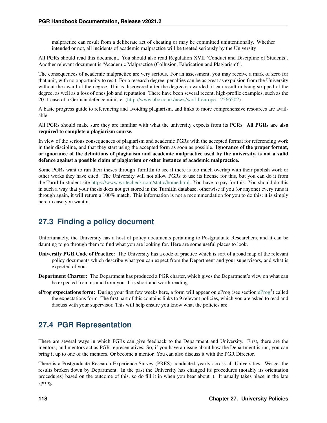malpractice can result from a deliberate act of cheating or may be committed unintentionally. Whether intended or not, all incidents of academic malpractice will be treated seriously by the University

All PGRs should read this document. You should also read Regulation XVII 'Conduct and Discipline of Students'. Another relevant document is "Academic Malpractice (Collusion, Fabrication and Plagiarism)".

The consequences of academic malpractice are very serious. For an assessment, you may receive a mark of zero for that unit, with no opportunity to resit. For a research degree, penalties can be as great as expulsion from the University without the award of the degree. If it is discovered after the degree is awarded, it can result in being stripped of the degree, as well as a loss of ones job and reputation. There have been several recent, high-profile examples, such as the 2011 case of a German defence minister [\(http://www.bbc.co.uk/news/world-europe-12566502\)](http://www.bbc.co.uk/news/world-europe-12566502).

A basic progress guide to referencing and avoiding plagiarism, and links to more comprehensive resources are available.

All PGRs should make sure they are familiar with what the university expects from its PGRs. All PGRs are also required to complete a plagiarism course.

In view of the serious consequences of plagiarism and academic PGRs with the accepted format for referencing work in their discipline, and that they start using the accepted form as soon as possible. Ignorance of the proper format, or ignorance of the definitions of plagiarism and academic malpractice used by the university, is not a valid defence against a possible claim of plagiarism or other instance of academic malpractice.

Some PGRs want to run their theses through TurnItIn to see if there is too much overlap with their publish work or other works they have cited. The University will not allow PGRs to use its license for this, but you can do it from the TurnItIn student site [https://www.writecheck.com/static/home.html.](https://www.writecheck.com/static/home.html) You have to pay for this. You should do this in such a way that your thesis does not get stored in the TurnItIn database, otherwise if you (or anyone) every runs it through again, it will return a 100% match. This information is not a recommendation for you to do this; it is simply here in case you want it.

### **27.3 Finding a policy document**

Unfortunately, the University has a host of policy documents pertaining to Postgraduate Researchers, and it can be daunting to go through them to find what you are looking for. Here are some useful places to look.

- University PGR Code of Practice: The University has a code of practice which is sort of a road map of the relevant policy documents which describe what you can expect from the Department and your supervisors, and what is expected of you.
- Department Charter: The Department has produced a PGR charter, which gives the Department's view on what can be expected from us and from you. It is short and worth reading.
- [eProg](http://www.eprog.manchester.ac.uk) expectations form: During your first few weeks here, a form will appear on eProg (see section eProg<sup>2</sup>) called the expectations form. The first part of this contains links to 9 relevant policies, which you are asked to read and discuss with your supervisor. This will help ensure you know what the policies are.

### **27.4 PGR Representation**

There are several ways in which PGRs can give feedback to the Department and University. First, there are the mentors; and mentors act as PGR representatives. So, if you have an issue about how the Department is run, you can bring it up to one of the mentors. Or become a mentor. You can also discuss it with the PGR Director.

There is a Postgraduate Research Experience Survey (PRES) conducted yearly across all Universities. We get the results broken down by Department. In the past the University has changed its procedures (notably its orientation procedures) based on the outcome of this, so do fill it in when you hear about it. It usually takes place in the late spring.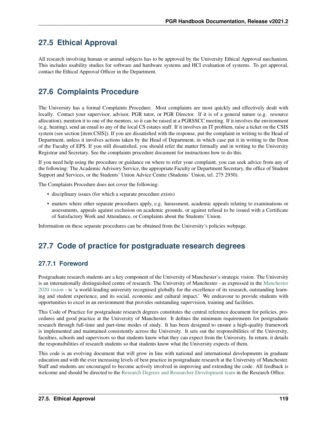## **27.5 Ethical Approval**

All research involving human or animal subjects has to be approved by the University Ethical Approval mechanism. This includes usability studies for software and hardware systems and HCI evaluation of systems. To get approval, contact the Ethical Approval Officer in the Department.

## **27.6 Complaints Procedure**

The University has a formal Complaints Procedure. Most complaints are most quickly and effectively dealt with locally. Contact your supervisor, advisor, PGR tutor, or PGR Director. If it is of a general nature (e.g. resource allocation), mention it to one of the mentors, so it can be raised at a PGRSSCC meeting. If it involves the environment (e.g. heating), send an email to any of the local CS estates staff. If it involves an IT problem, raise a ticket on the CSIS system (see section [item:CSIS]). If you are dissatisfied with the response, put the complaint in writing to the Head of Department, unless it involves actions taken by the Head of Department, in which case put it in writing to the Dean of the Faculty of EPS. If you still dissatisfied, you should refer the matter formally and in writing to the University Registrar and Secretary. See the complaints procedure document for instructions how to do this.

If you need help using the procedure or guidance on where to refer your complaint, you can seek advice from any of the following: The Academic Advisory Service, the appropriate Faculty or Department Secretary, the office of Student Support and Services, or the Students' Union Advice Centre (Students' Union, tel. 275 2930).

The Complaints Procedure does not cover the following:

- disciplinary issues (for which a separate procedure exists)
- matters where other separate procedures apply, e.g. harassment, academic appeals relating to examinations or assessments, appeals against exclusion on academic grounds, or against refusal to be issued with a Certificate of Satisfactory Work and Attendance, or Complaints about the Students' Union.

Information on these separate procedures can be obtained from the University's policies webpage.

### **27.7 Code of practice for postgraduate research degrees**

### **27.7.1 Foreword**

Postgraduate research students are a key component of the University of Manchester's strategic vision. The University is an internationally distinguished centre of research. The University of Manchester - as expressed in the [Manchester](https://www.manchester.ac.uk/discover/vision/) [2020 vision](https://www.manchester.ac.uk/discover/vision/) - is 'a world-leading university recognised globally for the excellence of its research, outstanding learning and student experience, and its social, economic and cultural impact.' We endeavour to provide students with opportunities to excel in an environment that provides outstanding supervision, training and facilities.

This Code of Practice for postgraduate research degrees constitutes the central reference document for policies, procedures and good practice at the University of Manchester. It defines the minimum requirements for postgraduate research through full-time and part-time modes of study. It has been designed to ensure a high-quality framework is implemented and maintained consistently across the University. It sets out the responsibilities of the University, faculties, schools and supervisors so that students know what they can expect from the University. In return, it details the responsibilities of research students so that students know what the University expects of them.

This code is an evolving document that will grow in line with national and international developments in graduate education and with the ever increasing levels of best practice in postgraduate research at the University of Manchester. Staff and students are encouraged to become actively involved in improving and extending the code. All feedback is welcome and should be directed to the [Research Degrees and Researcher Development team](https://www.staffnet.manchester.ac.uk/rbe/rdrd/contacts/) in the Research Office.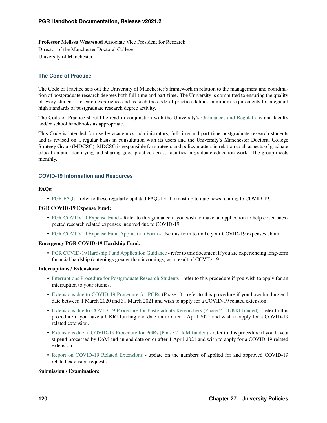Professor Melissa Westwood Associate Vice President for Research Director of the Manchester Doctoral College University of Manchester

#### **The Code of Practice**

The Code of Practice sets out the University of Manchester's framework in relation to the management and coordination of postgraduate research degrees both full-time and part-time. The University is committed to ensuring the quality of every student's research experience and as such the code of practice defines minimum requirements to safeguard high standards of postgraduate research degree activity.

The Code of Practice should be read in conjunction with the University's [Ordinances and Regulations](http://www.staffnet.manchester.ac.uk/services/rbess/graduate/ordinancesandregulations/) and faculty and/or school handbooks as appropriate.

This Code is intended for use by academics, administrators, full time and part time postgraduate research students and is revised on a regular basis in consultation with its users and the University's Manchester Doctoral College Strategy Group (MDCSG). MDCSG is responsible for strategic and policy matters in relation to all aspects of graduate education and identifying and sharing good practice across faculties in graduate education work. The group meets monthly.

#### **COVID-19 Information and Resources**

#### FAQs:

• [PGR FAQs](https://www.staffnet.manchester.ac.uk/coronavirus/faqs/pgr/) - refer to these regularly updated FAQs for the most up to date news relating to COVID-19.

#### PGR COVID-19 Expense Fund:

- [PGR COVID-19 Expense Fund](https://documents.manchester.ac.uk/DocuInfo.aspx?DocID=55066%20) Refer to this guidance if you wish to make an application to help cover unexpected research related expenses incurred due to COVID-19.
- [PGR COVID-19 Expense Fund Application Form](https://documents.manchester.ac.uk/DocuInfo.aspx?DocID=55065%20) Use this form to make your COVID-19 expenses claim.

#### Emergency PGR COVID-19 Hardship Fund:

• [PGR COVID-19 Hardship Fund Application Guidance](https://documents.manchester.ac.uk/admin/EditDoc1.aspx?DocID=50523) - refer to this document if you are experiencing long-term financial hardship (outgoings greater than incomings) as a result of COVID-19.

#### Interruptions / Extensions:

- [Interruptions Procedure for Postgraduate Research Students](http://documents.manchester.ac.uk/DocuInfo.aspx?DocID=39956) refer to this procedure if you wish to apply for an interruption to your studies.
- [Extensions due to COVID-19 Procedure for PGRs](http://documents.manchester.ac.uk/display.aspx?DocID=49503) (Phase 1) refer to this procedure if you have funding end date between 1 March 2020 and 31 March 2021 and wish to apply for a COVID-19 related extension.
- [Extensions due to COVID-19 Procedure for Postgraduate Researchers \(Phase 2 UKRI funded\)](http://documents.manchester.ac.uk/DocuInfo.aspx?DocID=52167%20) refer to this procedure if you have a UKRI funding end date on or after 1 April 2021 and wish to apply for a COVID-19 related extension.
- [Extensions due to COVID-19 Procedure for PGRs \(Phase 2 UoM funded\)](http://documents.manchester.ac.uk/DocuInfo.aspx?DocID=52169%20) refer to this procedure if you have a stipend processed by UoM and an end date on or after 1 April 2021 and wish to apply for a COVID-19 related extension.
- [Report on COVID-19 Related Extensions](https://documents.manchester.ac.uk/display.aspx?DocID=55089) update on the numbers of applied for and approved COVID-19 related extension requests.

#### Submission / Examination: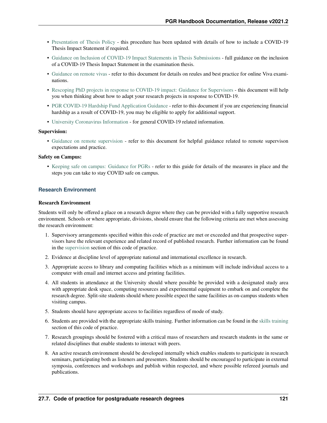- [Presentation of Thesis Policy](http://documents.manchester.ac.uk/display.aspx?DocID=7420) this procedure has been updated with details of how to include a COVID-19 Thesis Impact Statement if required.
- [Guidance on Inclusion of COVID-19 Impact Statements in Thesis Submissions](http://documents.manchester.ac.uk/display.aspx?DocID=50197) full guidance on the inclusion of a COVID-19 Thesis Impact Statement in the examination thesis.
- [Guidance on remote vivas](http://documents.manchester.ac.uk/display.aspx?DocID=48689) refer to this document for details on reules and best practice for online Viva examinations.
- [Rescoping PhD projects in response to COVID-19 impact: Guidance for Supervisors](http://documents.manchester.ac.uk/display.aspx?DocID=49461) this document will help you when thinking about how to adapt your research projects in response to COVID-19.
- [PGR COVID-19 Hardship Fund Application Guidance](https://documents.manchester.ac.uk/admin/EditDoc1.aspx?DocID=50523) refer to this document if you are experiencing financial hardship as a result of COVID-19, you may be eligible to apply for additional support.
- [University Coronavirus Information](https://www.manchester.ac.uk/coronavirus/) for general COVID-19 related information.

#### Supervision:

• [Guidance on remote supervision](http://documents.manchester.ac.uk/display.aspx?DocID=48906) - refer to this document for helpful guidance related to remote supervison expectations and practice.

#### Safety on Campus:

• [Keeping safe on campus: Guidance for PGRs](http://documents.manchester.ac.uk/display.aspx?DocID=50192) - refer to this guide for details of the measures in place and the steps you can take to stay COVID safe on campus.

#### **Research Environment**

#### Research Environment

Students will only be offered a place on a research degree where they can be provided with a fully supportive research environment. Schools or where appropriate, divisions, should ensure that the following criteria are met when assessing the research environment:

- 1. Supervisory arrangements specified within this code of practice are met or exceeded and that prospective supervisors have the relevant experience and related record of published research. Further information can be found in the supervision section of this code of practice.
- 2. Evidence at discipline level of appropriate national and international excellence in research.
- 3. Appropriate access to library and computing facilities which as a minimum will include individual access to a computer with email and internet access and printing facilities.
- 4. All students in attendance at the University should where possible be provided with a designated study area with appropriate desk space, computing resources and experimental equipment to embark on and complete the research degree. Split-site students should where possible expect the same facilities as on-campus students when visiting campus.
- 5. Students should have appropriate access to facilities regardless of mode of study.
- 6. Students are provided with the appropriate skills training. Further information can be found in the skills training section of this code of practice.
- 7. Research groupings should be fostered with a critical mass of researchers and research students in the same or related disciplines that enable students to interact with peers.
- 8. An active research environment should be developed internally which enables students to participate in research seminars, participating both as listeners and presenters. Students should be encouraged to participate in external symposia, conferences and workshops and publish within respected, and where possible refereed journals and publications.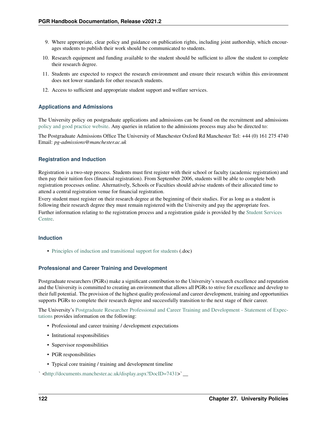- 9. Where appropriate, clear policy and guidance on publication rights, including joint authorship, which encourages students to publish their work should be communicated to students.
- 10. Research equipment and funding available to the student should be sufficient to allow the student to complete their research degree.
- 11. Students are expected to respect the research environment and ensure their research within this environment does not lower standards for other research students.
- 12. Access to sufficient and appropriate student support and welfare services.

#### **Applications and Admissions**

The University policy on postgraduate applications and admissions can be found on the recruitment and admissions [policy and good practice website.](http://www.saa.manchester.ac.uk/admissions/policy-and-procedures/) Any queries in relation to the admissions process may also be directed to:

The Postgraduate Admissions Office The University of Manchester Oxford Rd Manchester Tel: +44 (0) 161 275 4740 Email: *pg-admissions@manchester.ac.uk*

#### **Registration and Induction**

Registration is a two-step process. Students must first register with their school or faculty (academic registration) and then pay their tuition fees (financial registration). From September 2006, students will be able to complete both registration processes online. Alternatively, Schools or Faculties should advise students of their allocated time to attend a central registration venue for financial registration.

Every student must register on their research degree at the beginning of their studies. For as long as a student is following their research degree they must remain registered with the University and pay the appropriate fees. Further information relating to the registration process and a registration guide is provided by the [Student Services](https://login.manchester.ac.uk/cas/login?service=http%3a%2f%2fwww.saa.manchester.ac.uk%2fregistration%2f) [Centre.](https://login.manchester.ac.uk/cas/login?service=http%3a%2f%2fwww.saa.manchester.ac.uk%2fregistration%2f)

#### **Induction**

• [Principles of induction and transitional support for students](http://documents.manchester.ac.uk/display.aspx?DocID=1933) (.doc)

#### **Professional and Career Training and Development**

Postgraduate researchers (PGRs) make a significant contribution to the University's research excellence and reputation and the University is committed to creating an environment that allows all PGRs to strive for excellence and develop to their full potential. The provision of the highest quality professional and career development, training and opportunities supports PGRs to complete their research degree and successfully transition to the next stage of their career.

The University's [Postgraduate Researcher Professional and Career Training and Development - Statement of Expec](http://documents.manchester.ac.uk/DocuInfo.aspx?DocID=49930%20)[tations](http://documents.manchester.ac.uk/DocuInfo.aspx?DocID=49930%20) provides information on the following:

- Professional and career training / development expectations
- Intitutional responsibilities
- Supervisor responsibilities
- PGR responsibilities
- Typical core training / training and development timeline

` [<http://documents.manchester.ac.uk/display.aspx?DocID=7431>](http://documents.manchester.ac.uk/display.aspx?DocID=7431)`\_\_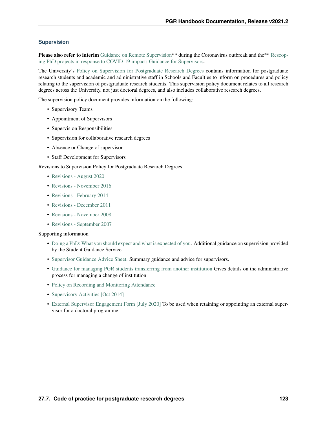#### **Supervision**

Please also refer to interim [Guidance on Remote Supervision\\*](http://documents.manchester.ac.uk/display.aspx?DocID=48906)\* during the Coronavirus outbreak and the\*\* [Rescop](http://documents.manchester.ac.uk/display.aspx?DocID=49461)[ing PhD projects in response to COVID-19 impact: Guidance for Supervisors](http://documents.manchester.ac.uk/display.aspx?DocID=49461).

The University's [Policy on Supervision for Postgraduate Research Degrees](http://documents.manchester.ac.uk/display.aspx?DocID=615) contains information for postgraduate research students and academic and administrative staff in Schools and Faculties to inform on procedures and policy relating to the supervision of postgraduate research students. This supervision policy document relates to all research degrees across the University, not just doctoral degrees, and also includes collaborative research degrees.

The supervision policy document provides information on the following:

- Supervisory Teams
- Appointment of Supervisors
- Supervision Responsibilities
- Supervision for collaborative research degrees
- Absence or Change of supervisor
- Staff Development for Supervisors

Revisions to Supervision Policy for Postgraduate Research Degrees

- [Revisions August 2020](http://documents.manchester.ac.uk/DocuInfo.aspx?DocID=50580)
- [Revisions November 2016](http://documents.manchester.ac.uk/DocuInfo.aspx?DocID=30414)
- [Revisions February 2014](http://documents.manchester.ac.uk/display.aspx?DocID=19488%20)
- [Revisions December 2011](http://documents.manchester.ac.uk/display.aspx?DocID=12073)
- [Revisions November 2008](http://documents.manchester.ac.uk/display.aspx?DocID=7433)
- [Revisions September 2007](http://documents.manchester.ac.uk/display.aspx?DocID=7434)

#### Supporting information

- [Doing a PhD: What you should expect and what is expected of you.](http://documents.manchester.ac.uk/display.aspx?DocID=7435) Additional guidance on supervision provided by the Student Guidance Service
- [Supervisor Guidance Advice Sheet.](http://documents.manchester.ac.uk/display.aspx?DocID=9800) Summary guidance and advice for supervisors.
- [Guidance for managing PGR students transferring from another institution](http://documents.manchester.ac.uk/display.aspx?DocID=16159) Gives details on the administrative process for managing a change of institution
- [Policy on Recording and Monitoring Attendance](http://www.tlso.manchester.ac.uk/map/studentsupportdevelopment/learningandprogression/recording_monitoring_attendance/)
- [Supervisory Activities \[Oct 2014\]](http://documents.manchester.ac.uk/display.aspx?DocID=22645%20)
- [External Supervisor Engagement Form \[July 2020\]](http://documents.manchester.ac.uk/display.aspx?DocID=24600) To be used when retaining or appointing an external supervisor for a doctoral programme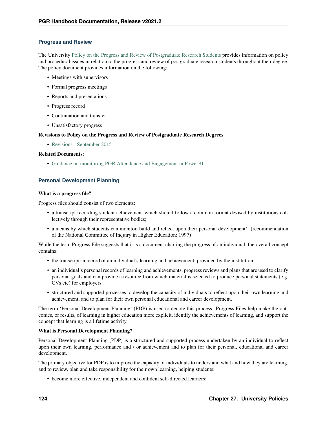#### **Progress and Review**

The University [Policy on the Progress and Review of Postgraduate Research Students](http://documents.manchester.ac.uk/display.aspx?DocID=612) provides information on policy and procedural issues in relation to the progress and review of postgraduate research students throughout their degree. The policy document provides information on the following:

- Meetings with supervisors
- Formal progress meetings
- Reports and presentations
- Progress record
- Continuation and transfer
- Unsatisfactory progress

#### Revisions to Policy on the Progress and Review of Postgraduate Research Degrees:

• [Revisions - September 2015](http://documents.manchester.ac.uk/display.aspx?DocID=7436)

#### Related Documents:

• [Guidance on monitoring PGR Attendance and Engagement in PowerBI](http://documents.manchester.ac.uk/display.aspx?DocID=50684)

#### **Personal Development Planning**

#### What is a progress file?

Progress files should consist of two elements:

- a transcript recording student achievement which should follow a common format devised by institutions collectively through their representative bodies;
- a means by which students can monitor, build and reflect upon their personal development'. (recommendation of the National Committee of Inquiry in Higher Education; 1997)

While the term Progress File suggests that it is a document charting the progress of an individual, the overall concept contains:

- the transcript: a record of an individual's learning and achievement, provided by the institution;
- an individual's personal records of learning and achievements, progress reviews and plans that are used to clarify personal goals and can provide a resource from which material is selected to produce personal statements (e.g. CVs etc) for employers
- structured and supported processes to develop the capacity of individuals to reflect upon their own learning and achievement, and to plan for their own personal educational and career development.

The term 'Personal Development Planning' (PDP) is used to denote this process. Progress Files help make the outcomes, or results, of learning in higher education more explicit, identify the achievements of learning, and support the concept that learning is a lifetime activity.

#### What is Personal Development Planning?

Personal Development Planning (PDP) is a structured and supported process undertaken by an individual to reflect upon their own learning, performance and / or achievement and to plan for their personal, educational and career development.

The primary objective for PDP is to improve the capacity of individuals to understand what and how they are learning, and to review, plan and take responsibility for their own learning, helping students:

• become more effective, independent and confident self-directed learners;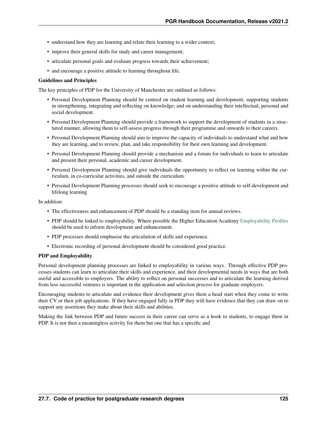- understand how they are learning and relate their learning to a wider context;
- improve their general skills for study and career management;
- articulate personal goals and evaluate progress towards their achievement;
- and encourage a positive attitude to learning throughout life.

#### Guidelines and Principles

The key principles of PDP for the University of Manchester are outlined as follows:

- Personal Development Planning should be centred on student learning and development, supporting students in strengthening, integrating and reflecting on knowledge; and on understanding their intellectual, personal and social development.
- Personal Development Planning should provide a framework to support the development of students in a structured manner, allowing them to self-assess progress through their programme and onwards to their careers.
- Personal Development Planning should aim to improve the capacity of individuals to understand what and how they are learning, and to review, plan, and take responsibility for their own learning and development.
- Personal Development Planning should provide a mechanism and a forum for individuals to learn to articulate and present their personal, academic and career development.
- Personal Development Planning should give individuals the opportunity to reflect on learning within the curriculum, in co-curricular activities, and outside the curriculum.
- Personal Development Planning processes should seek to encourage a positive attitude to self-development and lifelong learning

In addition:

- The effectiveness and enhancement of PDP should be a standing item for annual reviews.
- PDP should be linked to employability. Where possible the Higher Education Academy [Employability Profiles](https://www.heacademy.ac.uk/knowledge-hub/student-employability-profiles) should be used to inform development and enhancement.
- PDP processes should emphasise the articulation of skills and experience.
- Electronic recording of personal development should be considered good practice.

#### PDP and Employability

Personal development planning processes are linked to employability in various ways. Through effective PDP processes students can learn to articulate their skills and experience, and their developmental needs in ways that are both useful and accessible to employers. The ability to reflect on personal successes and to articulate the learning derived from less successful ventures is important in the application and selection process for graduate employers.

Encouraging students to articulate and evidence their development gives them a head start when they come to write their CV or their job applications. If they have engaged fully in PDP they will have evidence that they can draw on to support any assertions they make about their skills and abilities.

Making the link between PDP and future success in their career can serve as a hook to students, to engage them in PDP. It is not then a meaningless activity for them but one that has a specific and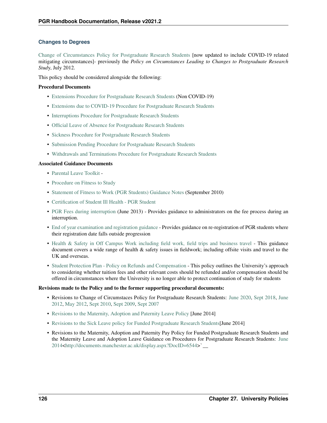#### **Changes to Degrees**

[Change of Circumstances Policy for Postgraduate Research Students](http://documents.manchester.ac.uk/DocuInfo.aspx?DocID=8162) [now updated to include COVID-19 related mitigating circumstances]- previously the *Policy on Circumstances Leading to Changes to Postgraduate Research Stud*y, July 2012.

This policy should be considered alongside the following:

#### Procedural Documents

- [Extensions Procedure for Postgraduate Research Students](http://documents.manchester.ac.uk/DocuInfo.aspx?DocID=39955) (Non COVID-19)
- [Extensions due to COVID-19 Procedure for Postgraduate Research Students](http://documents.manchester.ac.uk/display.aspx?DocID=49503)
- [Interruptions Procedure for Postgraduate Research Students](http://documents.manchester.ac.uk/DocuInfo.aspx?DocID=39956)
- [Official Leave of Absence for Postgraduate Research Students](http://documents.manchester.ac.uk/DocuInfo.aspx?DocID=39958)
- [Sickness Procedure for Postgraduate Research Students](http://documents.manchester.ac.uk/DocuInfo.aspx?DocID=7440)
- [Submission Pending Procedure for Postgraduate Research Students](http://documents.manchester.ac.uk/DocuInfo.aspx?DocID=39960)
- [Withdrawals and Terminations Procedure for Postgraduate Research Students](http://documents.manchester.ac.uk/DocuInfo.aspx?DocID=39961)

#### Associated Guidance Documents

- [Parental Leave Toolkit](https://documents.manchester.ac.uk/display.aspx?DocID=55092%20) -
- [Procedure on Fitness to Study](http://documents.manchester.ac.uk/DocuInfo.aspx?DocID=37762%20)
- [Statement of Fitness to Work \(PGR Students\) Guidance Notes](http://documents.manchester.ac.uk/display.aspx?DocID=8164%20) (September 2010)
- [Certification of Student Ill Health PGR Student](http://documents.manchester.ac.uk/display.aspx?DocID=8165%20)
- [PGR Fees during interruption](http://documents.manchester.ac.uk/display.aspx?DocID=16368) (June 2013) Provides guidance to administrators on the fee process during an interruption.
- [End of year examination and registration guidance](http://documents.manchester.ac.uk/display.aspx?DocID=23193%20) Provides guidance on re-registration of PGR students where their registration date falls outside progression
- [Health & Safety in Off Campus Work including field work, field trips and business travel](http://documents.manchester.ac.uk/display.aspx?DocID=15496) This guidance document covers a wide range of health & safety issues in fieldwork; including offsite visits and travel to the UK and overseas.
- [Student Protection Plan Policy on Refunds and Compensation](http://documents.manchester.ac.uk/display.aspx?DocID=42808) This policy outlines the University's approach to considering whether tuition fees and other relevant costs should be refunded and/or compensation should be offered in circumstances where the University is no longer able to protect continuation of study for students

#### Revisions made to the Policy and to the former supporting procedural documents:

- Revisions to Change of Circumstaces Policy for Postgraduate Research Students: [June 2020,](http://documents.manchester.ac.uk/DocuInfo.aspx?DocID=49531%20) [Sept 2018,](http://documents.manchester.ac.uk/DocuInfo.aspx?DocID=39963) [June](http://documents.manchester.ac.uk/display.aspx?DocID=13510) [2012,](http://documents.manchester.ac.uk/display.aspx?DocID=13510) [May 2012,](http://documents.manchester.ac.uk/display.aspx?DocID=13083) [Sept 2010,](http://documents.manchester.ac.uk/display.aspx?DocID=8163%20) [Sept 2009,](http://documents.manchester.ac.uk/display.aspx?DocID=7439) [Sept 2007](http://documents.manchester.ac.uk/display.aspx?DocID=7438)
- [Revisions to the Maternity, Adoption and Paternity Leave Policy](http://documents.manchester.ac.uk/display.aspx?DocID=20731) [June 2014]
- [Revisions to the Sick Leave policy for Funded Postgraduate Research Students\[](http://documents.manchester.ac.uk/display.aspx?DocID=20710)June 2014]
- Revisions to the Maternity, Adoption and Paternity Pay Policy for Funded Postgraduate Research Students and the Maternity Leave and Adoption Leave Guidance on Procedures for Postgraduate Research Students: [June](http://documents.manchester.ac.uk/display.aspx?DocID=20711) [2014](http://documents.manchester.ac.uk/display.aspx?DocID=20711)[<http://documents.manchester.ac.uk/display.aspx?DocID=6544>](http://documents.manchester.ac.uk/display.aspx?DocID=6544)`\_\_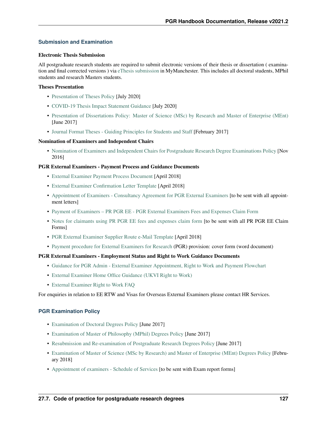#### **Submission and Examination**

#### Electronic Thesis Submission

All postgraduate research students are required to submit electronic versions of their thesis or dissertation ( examination and final corrected versions ) via [eThesis submission](https://www.library.manchester.ac.uk/using-the-library/staff/research/etheses/pgr-students/submit/) in MyManchester. This includes all doctoral students, MPhil students and research Masters students.

#### Theses Presentation

- [Presentation of Theses Policy](http://documents.manchester.ac.uk/display.aspx?DocID=7420) [July 2020]
- [COVID-19 Thesis Impact Statement Guidance](http://documents.manchester.ac.uk/display.aspx?DocID=50197) [July 2020]
- [Presentation of Dissertations Policy: Master of Science \(MSc\) by Research and Master of Enterprise \(MEnt\)](http://documents.manchester.ac.uk/display.aspx?DocID=7441) [June 2017]
- [Journal Format Theses Guiding Principles for Students and Staff](http://documents.manchester.ac.uk/DocuInfo.aspx?DocID=15216) [February 2017]

#### Nomination of Examiners and Independent Chairs

• [Nomination of Examiners and Independent Chairs for Postgraduate Research Degree Examinations Policy](http://documents.manchester.ac.uk/display.aspx?DocID=7444) [Nov 2016]

#### PGR External Examiners - Payment Process and Guidance Documents

- [External Examiner Payment Process Document](http://documents.manchester.ac.uk/DocuInfo.aspx?DocID=37032) [April 2018]
- [External Examiner Confirmation Letter Template](https://documents.manchester.ac.uk/display.aspx?DocID=37049) [April 2018]
- [Appointment of Examiners Consultancy Agreement for PGR External Examiners](http://documents.manchester.ac.uk/DocuInfo.aspx?DocID=33180) [to be sent with all appointment letters]
- [Payment of Examiners PR PGR EE PGR External Examiners Fees and Expenses Claim Form](http://documents.manchester.ac.uk/DocuInfo.aspx?DocID=33178)
- [Notes for claimants using PR PGR EE fees and expenses claim form](http://documents.manchester.ac.uk/DocuInfo.aspx?DocID=33179) [to be sent with all PR PGR EE Claim Forms]
- [PGR External Examiner Supplier Route e-Mail Template](http://documents.manchester.ac.uk/admin/EditDoc1.aspx?DocID=37050) [April 2018]
- [Payment procedure for External Examiners for Research](http://documents.manchester.ac.uk/DocuInfo.aspx?DocID=28836) (PGR) provision: cover form (word document)

#### PGR External Examiners - Employment Status and Right to Work Guidance Documents

- [Guidance for PGR Admin External Examiner Appointment, Right to Work and Payment Flowchart](http://documents.manchester.ac.uk/DocuInfo.aspx?DocID=33182)
- [External Examiner Home Office Guidance \(UKVI Right to Work\)](https://www.gov.uk/government/publications/right-to-work-checks-employers-guide)
- [External Examiner Right to Work FAQ](http://documents.manchester.ac.uk/DocuInfo.aspx?DocID=30402)

For enquiries in relation to EE RTW and Visas for Overseas External Examiners please contact HR Services.

#### **PGR Examination Policy**

- [Examination of Doctoral Degrees Policy](http://documents.manchester.ac.uk/display.aspx?DocID=7445) [June 2017]
- [Examination of Master of Philosophy \(MPhil\) Degrees Policy](http://documents.manchester.ac.uk/display.aspx?DocID=7446) [June 2017]
- [Resubmission and Re-examination of Postgraduate Research Degrees Policy](http://documents.manchester.ac.uk/display.aspx?DocID=7447) [June 2017]
- [Examination of Master of Science \(MSc by Research\) and Master of Enterprise \(MEnt\) Degrees Policy](http://documents.manchester.ac.uk/display.aspx?DocID=20718) [February 2018]
- [Appointment of examiners Schedule of Services](http://documents.manchester.ac.uk/DocuInfo.aspx?DocID=33181) [to be sent with Exam report forms]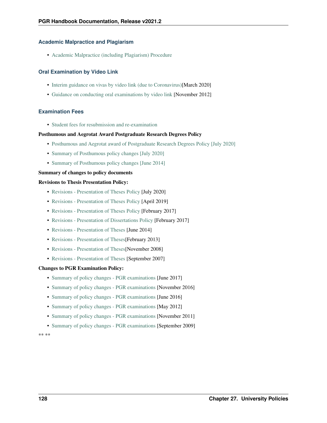#### **Academic Malpractice and Plagiarism**

• [Academic Malpractice \(including Plagiarism\) Procedure](http://documents.manchester.ac.uk/display.aspx?DocID=639)

#### **Oral Examination by Video Link**

- [Interim guidance on vivas by video link \(due to Coronavirus\)\[](http://documents.manchester.ac.uk/display.aspx?DocID=48689)March 2020]
- [Guidance on conducting oral examinations by video link](http://documents.manchester.ac.uk/display.aspx?DocID=6517) [November 2012]

#### **Examination Fees**

• [Student fees for resubmission and re-examination](http://documents.manchester.ac.uk/display.aspx?DocID=7452)

#### Posthumous and Aegrotat Award Postgraduate Research Degrees Policy

- [Posthumous and Aegrotat award of Postgraduate Research Degrees Policy \[July 2020\]](http://documents.manchester.ac.uk/display.aspx?DocID=8481)
- [Summary of Posthumous policy changes \[July 2020\]](http://documents.manchester.ac.uk/display.aspx?DocID=50035)
- [Summary of Posthumous policy changes \[June 2014\]](http://documents.manchester.ac.uk/display.aspx?DocID=20704)

#### Summary of changes to policy documents

#### Revisions to Thesis Presentation Policy:

- [Revisions Presentation of Theses Policy](http://documents.manchester.ac.uk/DocuInfo.aspx?DocID=50352) [July 2020]
- [Revisions Presentation of Theses Policy](http://documents.manchester.ac.uk/display.aspx?DocID=42730) [April 2019]
- [Revisions Presentation of Theses Policy](http://documents.manchester.ac.uk/display.aspx?DocID=31481) [February 2017]
- [Revisions Presentation of Dissertations Policy](http://documents.manchester.ac.uk/display.aspx?DocID=31482) [February 2017]
- [Revisions Presentation of Theses](http://documents.manchester.ac.uk/display.aspx?DocID=20719%20) [June 2014]
- Revisions Presentation of Theses [February 2013]
- [Revisions Presentation of Theses\[](http://documents.manchester.ac.uk/display.aspx?DocID=7442)November 2008]
- [Revisions Presentation of Theses](http://documents.manchester.ac.uk/display.aspx?DocID=7443%20) [September 2007]

#### Changes to PGR Examination Policy:

- [Summary of policy changes PGR examinations](http://documents.manchester.ac.uk/display.aspx?DocID=32908%20) [June 2017]
- [Summary of policy changes PGR examinations](http://documents.manchester.ac.uk/DocuInfo.aspx?DocID=30415) [November 2016]
- [Summary of policy changes PGR examinations](http://documents.manchester.ac.uk/DocuInfo.aspx?DocID=29174%20) [June 2016]
- [Summary of policy changes PGR examinations](http://documents.manchester.ac.uk/display.aspx?DocID=13073) [May 2012]
- [Summary of policy changes PGR examinations](http://documents.manchester.ac.uk/display.aspx?DocID=12075) [November 2011]
- [Summary of policy changes PGR examinations](http://documents.manchester.ac.uk/display.aspx?DocID=7450) [September 2009]

\*\* \*\*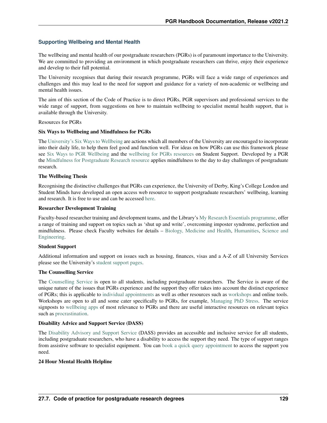#### **Supporting Wellbeing and Mental Health**

The wellbeing and mental health of our postgraduate researchers (PGRs) is of paramount importance to the University. We are committed to providing an environment in which postgraduate researchers can thrive, enjoy their experience and develop to their full potential.

The University recognises that during their research programme, PGRs will face a wide range of experiences and challenges and this may lead to the need for support and guidance for a variety of non-academic or wellbeing and mental health issues.

The aim of this section of the Code of Practice is to direct PGRs, PGR supervisors and professional services to the wide range of support, from suggestions on how to maintain wellbeing to specialist mental health support, that is available through the University.

#### Resources for PGRs

#### Six Ways to Wellbeing and Mindfulness for PGRs

The [University's Six Ways to Wellbeing](http://www.studentsupport.manchester.ac.uk/taking-care/wellbeing/six-ways-to-wellbeing/) are actions which all members of the University are encouraged to incorporate into their daily life, to help them feel good and function well. For ideas on how PGRs can use this framework please see [Six Ways to PGR Wellbeing](http://www.pgrlife.manchester.ac.uk/media/corporate/mymanchestermicrosites/pgrlife/Six-Ways-To-PGR-Wellbeing.pdf) and the [wellbeing for PGRs resources](https://www.studentsupport.manchester.ac.uk/tailored-support/pgrstudents/) on Student Support. Developed by a PGR the [Mindfulness for Postgraduate Research resource](https://www.escholar.manchester.ac.uk/learning-objects/mre/mindfulness-pgr/story_html5.html) applies mindfulness to the day to day challenges of postgraduate research.

#### The Wellbeing Thesis

Recognising the distinctive challenges that PGRs can experience, the University of Derby, King's College London and Student Minds have developed an open access web resource to support postgraduate researchers' wellbeing, learning and research. It is free to use and can be accessed [here.](https://thewellbeingthesis.org.uk/)

#### Researcher Development Training

Faculty-based researcher training and development teams, and the Library's [My Research Essentials programme,](https://www.library.manchester.ac.uk/using-the-library/staff/research/my-research-essentials/) offer a range of training and support on topics such as 'shut up and write', overcoming imposter syndrome, perfection and mindfulness. Please check Faculty websites for details – [Biology, Medicine and Health,](https://www.bmh.manchester.ac.uk/doctoral-academy/training/programme/) [Humanities,](http://progresstraininghub.humanities.manchester.ac.uk/category/) [Science and](http://www.researchsupport.eps.manchester.ac.uk/training/grad-dev-programme/) [Engineering.](http://www.researchsupport.eps.manchester.ac.uk/training/grad-dev-programme/)

#### Student Support

Additional information and support on issues such as housing, finances, visas and a A-Z of all University Services please see the University's [student support pages.](http://www.studentsupport.manchester.ac.uk/)

#### The Counselling Service

The [Counselling Service](https://www.counsellingservice.manchester.ac.uk/) is open to all students, including postgraduate researchers. The Service is aware of the unique nature of the issues that PGRs experience and the support they offer takes into account the distinct experience of PGRs; this is applicable to [individual appointments](https://www.counsellingservice.manchester.ac.uk/) as well as other resources such as [workshops](https://www.counsellingservice.manchester.ac.uk/workshops/) and online tools. Workshops are open to all and some cater specifically to PGRs, for example, [Managing PhD Stress.](https://video.manchester.ac.uk/faculties/943f0484917932b35d133ede1a25e0d0/cf7eb579-2a63-4796-8414-b3c2f6ac7ff5) The service signposts to [wellbeing apps](https://www.counsellingservice.manchester.ac.uk/pgr/) of most relevance to PGRs and there are useful interactive resources on relevant topics such as [procrastination.](https://www.escholar.manchester.ac.uk/learning-objects/mle/packages/counselling/procrastination/)

#### Disability Advice and Support Service (DASS)

The [Disability Advisory and Support Service](http://www.dso.manchester.ac.uk/) (DASS) provides an accessible and inclusive service for all students, including postgraduate researchers, who have a disability to access the support they need. The type of support ranges from assistive software to specialist equipment. You can [book a quick query appointment](http://www.dso.manchester.ac.uk/how-do-i-get-support/quick-query-appointments/) to access the support you need.

#### 24 Hour Mental Health Helpline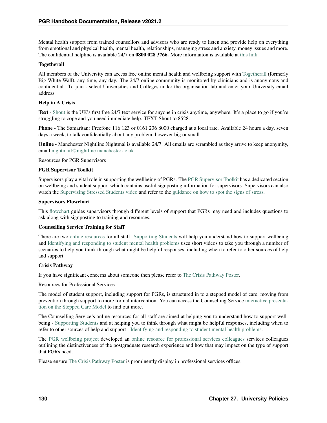Mental health support from trained counsellors and advisors who are ready to listen and provide help on everything from emotional and physical health, mental health, relationships, managing stress and anxiety, money issues and more. The confidential helpline is available 24/7 on 0800 028 3766. More informaiton is available at [this link.](http://www.studentsupport.manchester.ac.uk/taking-care/mental-health-helpline/%20)

#### Togetherall

All members of the University can access free online mental health and wellbeing support with [Togetherall](https://togetherall.com/en-gb/) (formerly Big White Wall), any time, any day. The 24/7 online community is monitored by clinicians and is anonymous and confidential. To join - select Universities and Colleges under the organisation tab and enter your University email address.

#### Help in A Crisis

Text - [Shout](https://www.crisistextline.uk/how-it-works) is the UK's first free 24/7 text service for anyone in crisis anytime, anywhere. It's a place to go if you're struggling to cope and you need immediate help. TEXT Shout to 8528.

Phone - The Samaritan: Freefone 116 123 or 0161 236 8000 charged at a local rate. Available 24 hours a day, seven days a week, to talk confidentially about any problem, however big or small.

Online - Manchester Nightline Nightmal is available 24/7. All emails are scrambled as they arrive to keep anonymity, email [nightmail@nightline.manchester.ac.uk.](mailto:nightmail@nightline.manchester.ac.uk)

Resources for PGR Supervisors

#### PGR Supervisor Toolkit

Supervisors play a vital role in supporting the wellbeing of PGRs. The [PGR Supervisor Toolkit](https://www.staffnet.manchester.ac.uk/rbe/rdrd/postgraduate-researcher-supervisor-toolkit/) has a dedicated section on wellbeing and student support which contains useful signposting information for supervisors. Supervisors can also watch the [Supervising Stressed Students video](https://spark.adobe.com/video/G5HQGyIfUUp14) and refer to the [guidance on how to spot the signs of stress.](http://documents.manchester.ac.uk/display.aspx?DocID=50839)

#### Supervisors Flowchart

This [flowchart](http://documents.manchester.ac.uk/DocuInfo.aspx?DocID=46644) guides supervisors through different levels of support that PGRs may need and includes questions to ask along with signposting to training and resources.

#### Counselling Service Training for Staff

There are two [online resources](https://www.counsellingservice.manchester.ac.uk/trainingforstaff/) for all staff. [Supporting Students](http://www.counsellingservice.manchester.ac.uk/includes/captivate/supporting-students/content/#/) will help you understand how to support wellbeing and [Identifying and responding to student mental health problems](http://www.counsellingservice.manchester.ac.uk/includes/captivate/student-mental-health/#/?_k=hi2nhz) uses short videos to take you through a number of scenarios to help you think through what might be helpful responses, including when to refer to other sources of help and support.

#### Crisis Pathway

If you have significant concerns about someone then please refer to [The Crisis Pathway Poster.](http://documents.manchester.ac.uk/display.aspx?DocID=41219)

Resources for Professional Services

The model of student support, including support for PGRs, is structured in to a stepped model of care, moving from prevention through support to more formal intervention. You can access the Counselling Service [interactive presenta](http://www.counsellingservice.manchester.ac.uk/includes/captivate/stepped-care-model/story_html5.html)[tion on the Stepped Care Model](http://www.counsellingservice.manchester.ac.uk/includes/captivate/stepped-care-model/story_html5.html) to find out more.

The Counselling Service's online resources for all staff are aimed at helping you to understand how to support wellbeing - [Supporting Students](http://www.counsellingservice.manchester.ac.uk/includes/captivate/supporting-students/content/#/) and at helping you to think through what might be helpful responses, including when to refer to other sources of help and support - [Identifying and responding to student mental health problems.](http://www.counsellingservice.manchester.ac.uk/includes/captivate/student-mental-health/#/?_k=l9wylp)

The [PGR wellbeing project](https://sites.manchester.ac.uk/pgrwellbeing/) developed an [online resource for professional services colleagues](https://www.escholar.manchester.ac.uk/learning-objects/other-resources/pgr-reps/story_html5.html) services colleagues outlining the distinctiveness of the postgraduate research experience and how that may impact on the type of support that PGRs need.

Please ensure [The Crisis Pathway Poster](http://documents.manchester.ac.uk/display.aspx?DocID=41219) is prominently display in professional services offices.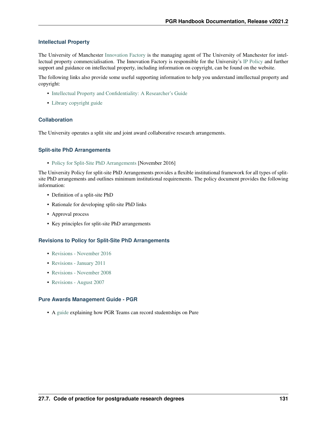#### **Intellectual Property**

The University of Manchester [Innovation Factory](https://uominnovationfactory.com/contact/) is the managing agent of The University of Manchester for intellectual property commercialisation. The Innovation Factory is responsible for the University's [IP Policy](http://documents.manchester.ac.uk/display.aspx?DocID=24420) and further support and guidance on intellectual property, including information on copyright, can be found on the website.

The following links also provide some useful supporting information to help you understand intellectual property and copyright:

- [Intellectual Property and Confidentiality: A Researcher's Guide](https://documents.manchester.ac.uk/display.aspx?DocID=51233)
- [Library copyright guide](http://subjects.library.manchester.ac.uk/copyright/)

#### **Collaboration**

The University operates a split site and joint award collaborative research arrangements.

#### **Split-site PhD Arrangements**

• [Policy for Split-Site PhD Arrangements](http://documents.manchester.ac.uk/display.aspx?DocID=7462) [November 2016]

The University Policy for split-site PhD Arrangements provides a flexible institutional framework for all types of splitsite PhD arrangements and outlines minimum institutional requirements. The policy document provides the following information:

- Definition of a split-site PhD
- Rationale for developing split-site PhD links
- Approval process
- Key principles for split-site PhD arrangements

#### **Revisions to Policy for Split-Site PhD Arrangements**

- [Revisions November 2016](http://documents.manchester.ac.uk/DocuInfo.aspx?DocID=30413)
- [Revisions January 2011](http://documents.manchester.ac.uk/DocuInfo.aspx?DocID=9787)
- [Revisions November 2008](http://documents.manchester.ac.uk/display.aspx?DocID=7463)
- [Revisions August 2007](http://documents.manchester.ac.uk/display.aspx?DocID=7464)

#### **Pure Awards Management Guide - PGR**

• A [guide](http://documents.manchester.ac.uk/display.aspx?DocID=51920) explaining how PGR Teams can record studentships on Pure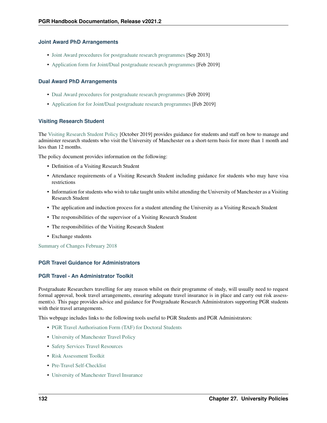#### **Joint Award PhD Arrangements**

- [Joint Award procedures for postgraduate research programmes](http://documents.manchester.ac.uk/display.aspx?DocID=11944) [Sep 2013]
- [Application form for Joint/Dual postgraduate research programmes](http://documents.manchester.ac.uk/DocuInfo.aspx?DocID=41842) [Feb 2019]

#### **Dual Award PhD Arrangements**

- [Dual Award procedures for postgraduate research programmes](http://documents.manchester.ac.uk/DocuInfo.aspx?DocID=41841) [Feb 2019]
- [Application for for Joint/Dual postgraduate research programmes](http://documents.manchester.ac.uk/DocuInfo.aspx?DocID=41842) [Feb 2019]

#### **Visiting Research Student**

The [Visiting Research Student Policy](http://documents.manchester.ac.uk/display.aspx?DocID=20693) [October 2019] provides guidance for students and staff on how to manage and administer research students who visit the University of Manchester on a short-term basis for more than 1 month and less than 12 months.

The policy document provides information on the following:

- Definition of a Visiting Research Student
- Attendance requirements of a Visiting Research Student including guidance for students who may have visa restrictions
- Information for students who wish to take taught units whilst attending the University of Manchester as a Visiting Research Student
- The application and induction process for a student attending the University as a Visiting Reseach Student
- The responsibilities of the supervisor of a Visiting Research Student
- The responsibilities of the Visiting Research Student
- Exchange students

[Summary of Changes February 2018](http://documents.manchester.ac.uk/display.aspx?DocID=35901)

#### **PGR Travel Guidance for Administrators**

#### **PGR Travel - An Administrator Toolkit**

Postgraduate Researchers travelling for any reason whilst on their programme of study, will usually need to request formal approval, book travel arrangements, ensuring adequate travel insurance is in place and carry out risk assessment(s). This page provides advice and guidance for Postgraduate Research Administrators supporting PGR students with their travel arrangements.

This webpage includes links to the following tools useful to PGR Students and PGR Administrators:

- [PGR Travel Authorisation Form \(TAF\) for Doctoral Students](http://documents.manchester.ac.uk/DocuInfo.aspx?DocID=46065%20)
- [University of Manchester Travel Policy](http://documents.manchester.ac.uk/DocuInfo.aspx?DocID=38313)
- [Safety Services Travel Resources](https://www.staffnet.manchester.ac.uk/compliance-and-risk/travel/)
- [Risk Assessment Toolkit](https://www.staffnet.manchester.ac.uk/compliance-and-risk/travel/flowchart/)
- [Pre-Travel Self-Checklist](https://www.staffnet.manchester.ac.uk/insurance/travel/)
- [University of Manchester Travel Insurance](http://documents.manchester.ac.uk/display.aspx?DocID=29191)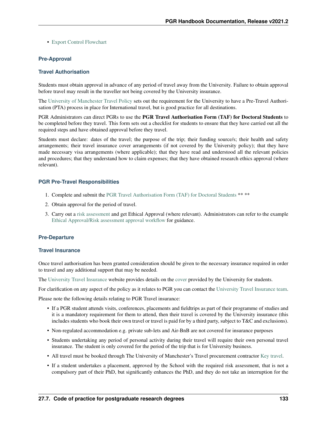• [Export Control Flowchart](#page-0-0)

#### **Pre-Approval**

#### **Travel Authorisation**

Students must obtain approval in advance of any period of travel away from the University. Failure to obtain approval before travel may result in the traveller not being covered by the University insurance.

The [University of Manchester Travel Policy](http://documents.manchester.ac.uk/DocuInfo.aspx?DocID=38313) sets out the requirement for the University to have a Pre-Travel Authorisation (PTA) process in place for International travel, but is good practice for all destinations.

PGR Administrators can direct PGRs to use the PGR Travel Authorisation Form (TAF) for Doctoral Students to be completed before they travel. This form sets out a checklist for students to ensure that they have carried out all the required steps and have obtained approval before they travel.

Students must declare: dates of the travel; the purpose of the trip; their funding source/s; their health and safety arrangements; their travel insurance cover arrangements (if not covered by the University policy); that they have made necessary visa arrangements (where applicable); that they have read and understood all the relevant policies and procedures; that they understand how to claim expenses; that they have obtained research ethics approval (where relevant).

#### **PGR Pre-Travel Responsibilities**

- 1. Complete and submit the [PGR Travel Authorisation Form \(TAF\) for Doctoral Students](http://documents.manchester.ac.uk/DocuInfo.aspx?DocID=46065%20) \*\* \*\*
- 2. Obtain approval for the period of travel.
- 3. Carry out a [risk assessment](http://documents.manchester.ac.uk/DocuInfo.aspx?DocID=37547) and get Ethical Approval (where relevant). Administrators can refer to the example [Ethical Approval/Risk assessment approval workflow](http://documents.manchester.ac.uk/admin/EditDoc1.aspx?DocID=46144) for guidance.

#### **Pre-Departure**

#### **Travel Insurance**

Once travel authorisation has been granted consideration should be given to the necessary insurance required in order to travel and any additional support that may be needed.

The [University Travel Insurance](https://www.staffnet.manchester.ac.uk/insurance/travel/) website provides details on the [cover](http://documents.manchester.ac.uk/display.aspx?DocID=29191) provided by the University for students.

For clarification on any aspect of the policy as it relates to PGR you can contact the [University Travel Insurance team.](https://www.staffnet.manchester.ac.uk/insurance/contact-us/)

Please note the following details relating to PGR Travel insurance:

- If a PGR student attends visits, conferences, placements and fieldtrips as part of their programme of studies and it is a mandatory requirement for them to attend, then their travel is covered by the University insurance (this includes students who book their own travel or travel is paid for by a third party, subject to T&C and exclusions).
- Non-regulated accommodation e.g. private sub-lets and Air-BnB are not covered for insurance purposes
- Students undertaking any period of personal activity during their travel will require their own personal travel insurance. The student is only covered for the period of the trip that is for University business.
- All travel must be booked through The University of Manchester's Travel procurement contractor [Key travel.](https://www.keytravel.com/uk/log-in?RedirectTo=https://www.keytravel.com/uk/my-travel/booking-online)
- If a student undertakes a placement, approved by the School with the required risk assessment, that is not a compulsory part of their PhD, but significantly enhances the PhD, and they do not take an interruption for the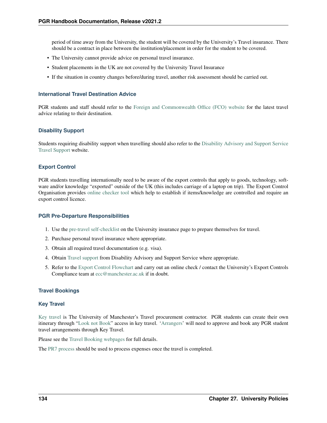period of time away from the University, the student will be covered by the University's Travel insurance. There should be a contract in place between the institution/placement in order for the student to be covered.

- The University cannot provide advice on personal travel insurance.
- Student placements in the UK are not covered by the University Travel Insurance
- If the situation in country changes before/during travel, another risk assessment should be carried out.

#### **International Travel Destination Advice**

PGR students and staff should refer to the [Foreign and Commonwealth Office \(FCO\) website](https://www.gov.uk/foreign-travel-advice) for the latest travel advice relating to their destination.

#### **Disability Support**

Students requiring disability support when travelling should also refer to the [Disability Advisory and Support Service](http://www.dso.manchester.ac.uk/what-support-can-i-get/other-ways-we-can-help/travel/) [Travel Support](http://www.dso.manchester.ac.uk/what-support-can-i-get/other-ways-we-can-help/travel/) website.

#### **Export Control**

PGR students travelling internationally need to be aware of the export controls that apply to goods, technology, software and/or knowledge "exported" outside of the UK (this includes carriage of a laptop on trip). The Export Control Organisation provides [online checker tool](https://www.staffnet.manchester.ac.uk/compliance-and-risk/export-controls/) which help to establish if items/knowledge are controlled and require an export control licence.

#### **PGR Pre-Departure Responsibilities**

- 1. Use the [pre-travel self-checklist](https://www.staffnet.manchester.ac.uk/insurance/travel/) on the University insurance page to prepare themselves for travel.
- 2. Purchase personal travel insurance where appropriate.
- 3. Obtain all required travel documentation (e.g. visa).
- 4. Obtain [Travel support](http://www.dso.manchester.ac.uk/what-support-can-i-get/other-ways-we-can-help/travel/) from Disability Advisory and Support Service where appropriate.
- 5. Refer to the [Export Control Flowchart](#page-0-0) and carry out an online check / contact the University's Export Controls Compliance team at [ecc@manchester.ac.uk](mailto:ecc@manchester.ac.uk) if in doubt.

#### **Travel Bookings**

#### **Key Travel**

[Key travel](https://www.keytravel.com/uk/log-in?RedirectTo=https://www.keytravel.com/uk/my-travel/booking-online) is The University of Manchester's Travel procurement contractor. PGR students can create their own itinerary through ["Look not Book"](http://www.finance.manchester.ac.uk/buyingexpenses/buyinggoodsandservices/bookingtravel/systemaccess/) access in key travel. ['Arrangers'](http://www.finance.manchester.ac.uk/buyingexpenses/buyinggoodsandservices/bookingtravel/systemaccess/) will need to approve and book any PGR student travel arrangements through Key Travel.

Please see the [Travel Booking webpages](https://www.staffnet.manchester.ac.uk/finance/travel-expenses/travel/) for full details.

The [PR7 process](http://documents.manchester.ac.uk/DocuInfo.aspx?DocID=28615) should be used to process expenses once the travel is completed.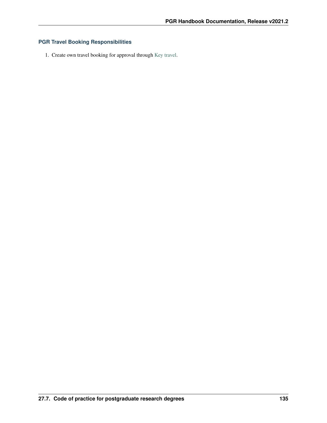### **PGR Travel Booking Responsibilities**

1. Create own travel booking for approval through [Key travel.](https://www.keytravel.com/uk/log-in?RedirectTo=https://www.keytravel.com/uk/my-travel/booking-online)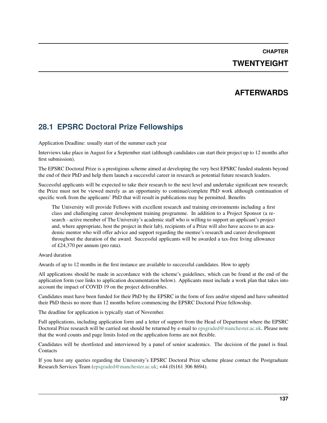# **CHAPTER TWENTYEIGHT**

### **AFTERWARDS**

### **28.1 EPSRC Doctoral Prize Fellowships**

Application Deadline: usually start of the summer each year

Interviews take place in August for a September start (although candidates can start their project up to 12 months after first submission).

The EPSRC Doctoral Prize is a prestigious scheme aimed at developing the very best EPSRC funded students beyond the end of their PhD and help them launch a successful career in research as potential future research leaders.

Successful applicants will be expected to take their research to the next level and undertake significant new research; the Prize must not be viewed merely as an opportunity to continue/complete PhD work although continuation of specific work from the applicants' PhD that will result in publications may be permitted. Benefits

The University will provide Fellows with excellent research and training environments including a first class and challenging career development training programme. In addition to a Project Sponsor (a research - active member of The University's academic staff who is willing to support an applicant's project and, where appropriate, host the project in their lab), recipients of a Prize will also have access to an academic mentor who will offer advice and support regarding the mentee's research and career development throughout the duration of the award. Successful applicants will be awarded a tax-free living allowance of £24,370 per annum (pro rata).

#### Award duration

Awards of up to 12 months in the first instance are available to successful candidates. How to apply

All applications should be made in accordance with the scheme's guidelines, which can be found at the end of the application form (see links to application documentation below). Applicants must include a work plan that takes into account the impact of COVID 19 on the project deliverables.

Candidates must have been funded for their PhD by the EPSRC in the form of fees and/or stipend and have submitted their PhD thesis no more than 12 months before commencing the EPSRC Doctoral Prize fellowship.

The deadline for application is typically start of November.

Full applications, including application form and a letter of support from the Head of Department where the EPSRC Doctoral Prize research will be carried out should be returned by e-mail to [epsgraded@manchester.ac.uk.](mailto:epsgraded@manchester.ac.uk) Please note that the word counts and page limits listed on the application forms are not flexible.

Candidates will be shortlisted and interviewed by a panel of senior academics. The decision of the panel is final. **Contacts** 

If you have any queries regarding the University's EPSRC Doctoral Prize scheme please contact the Postgraduate Research Services Team [\(epsgraded@manchester.ac.uk;](mailto:epsgraded@manchester.ac.uk) +44 (0)161 306 8694).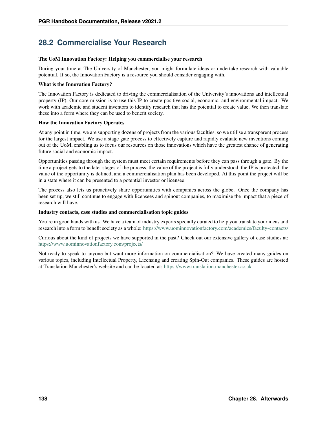## **28.2 Commercialise Your Research**

#### The UoM Innovation Factory: Helping you commercialise your research

During your time at The University of Manchester, you might formulate ideas or undertake research with valuable potential. If so, the Innovation Factory is a resource you should consider engaging with.

#### What is the Innovation Factory?

The Innovation Factory is dedicated to driving the commercialisation of the University's innovations and intellectual property (IP). Our core mission is to use this IP to create positive social, economic, and environmental impact. We work with academic and student inventors to identify research that has the potential to create value. We then translate these into a form where they can be used to benefit society.

#### How the Innovation Factory Operates

At any point in time, we are supporting dozens of projects from the various faculties, so we utilise a transparent process for the largest impact. We use a stage gate process to effectively capture and rapidly evaluate new inventions coming out of the UoM, enabling us to focus our resources on those innovations which have the greatest chance of generating future social and economic impact.

Opportunities passing through the system must meet certain requirements before they can pass through a gate. By the time a project gets to the later stages of the process, the value of the project is fully understood, the IP is protected, the value of the opportunity is defined, and a commercialisation plan has been developed. At this point the project will be in a state where it can be presented to a potential investor or licensee.

The process also lets us proactively share opportunities with companies across the globe. Once the company has been set up, we still continue to engage with licensees and spinout companies, to maximise the impact that a piece of research will have.

#### Industry contacts, case studies and commercialisation topic guides

You're in good hands with us. We have a team of industry experts specially curated to help you translate your ideas and research into a form to benefit society as a whole: <https://www.uominnovationfactory.com/academics/faculty-contacts/>

Curious about the kind of projects we have supported in the past? Check out our extensive gallery of case studies at: <https://www.uominnovationfactory.com/projects/>

Not ready to speak to anyone but want more information on commercialisation? We have created many guides on various topics, including Intellectual Property, Licensing and creating Spin-Out companies. These guides are hosted at Translation Manchester's website and can be located at: <https://www.translation.manchester.ac.uk>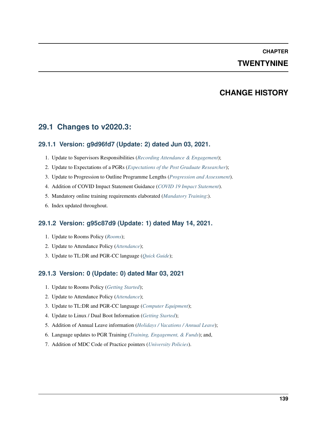### **CHAPTER TWENTYNINE**

## **CHANGE HISTORY**

### **29.1 Changes to v2020.3:**

### **29.1.1 Version: g9d96fd7 (Update: 2) dated Jun 03, 2021.**

- 1. Update to Supervisors Responsibilities (*[Recording Attendance & Engagement](#page-41-0)*);
- 2. Update to Expectations of a PGRs (*[Expectations of the Post Graduate Researcher](#page-32-0)*);
- 3. Update to Progression to Outline Programme Lengths (*[Progression and Assessment](#page-80-0)*).
- 4. Addition of COVID Impact Statement Guidance (*[COVID 19 Impact Statement](#page-23-0)*).
- 5. Mandatory online training requirements elaborated (*[Mandatory Training](#page-56-0)*:).
- 6. Index updated throughout.

### **29.1.2 Version: g95c87d9 (Update: 1) dated May 14, 2021.**

- 1. Update to Rooms Policy (*[Rooms](#page-44-0)*);
- 2. Update to Attendance Policy (*[Attendance](#page-48-0)*);
- 3. Update to TL:DR and PGR-CC language (*[Quick Guide](#page-12-0)*);

### **29.1.3 Version: 0 (Update: 0) dated Mar 03, 2021**

- 1. Update to Rooms Policy (*[Getting Started](#page-26-0)*);
- 2. Update to Attendance Policy (*[Attendance](#page-48-0)*);
- 3. Update to TL:DR and PGR-CC language (*[Computer Equipment](#page-63-0)*);
- 4. Update to Linux / Dual Boot Information (*[Getting Started](#page-26-0)*);
- 5. Addition of Annual Leave information (*[Holidays / Vacations / Annual Leave](#page-35-0)*);
- 6. Language updates to PGR Training (*[Training, Engagement, & Funds](#page-56-1)*); and,
- 7. Addition of MDC Code of Practice pointers (*[University Policies](#page-120-3)*).